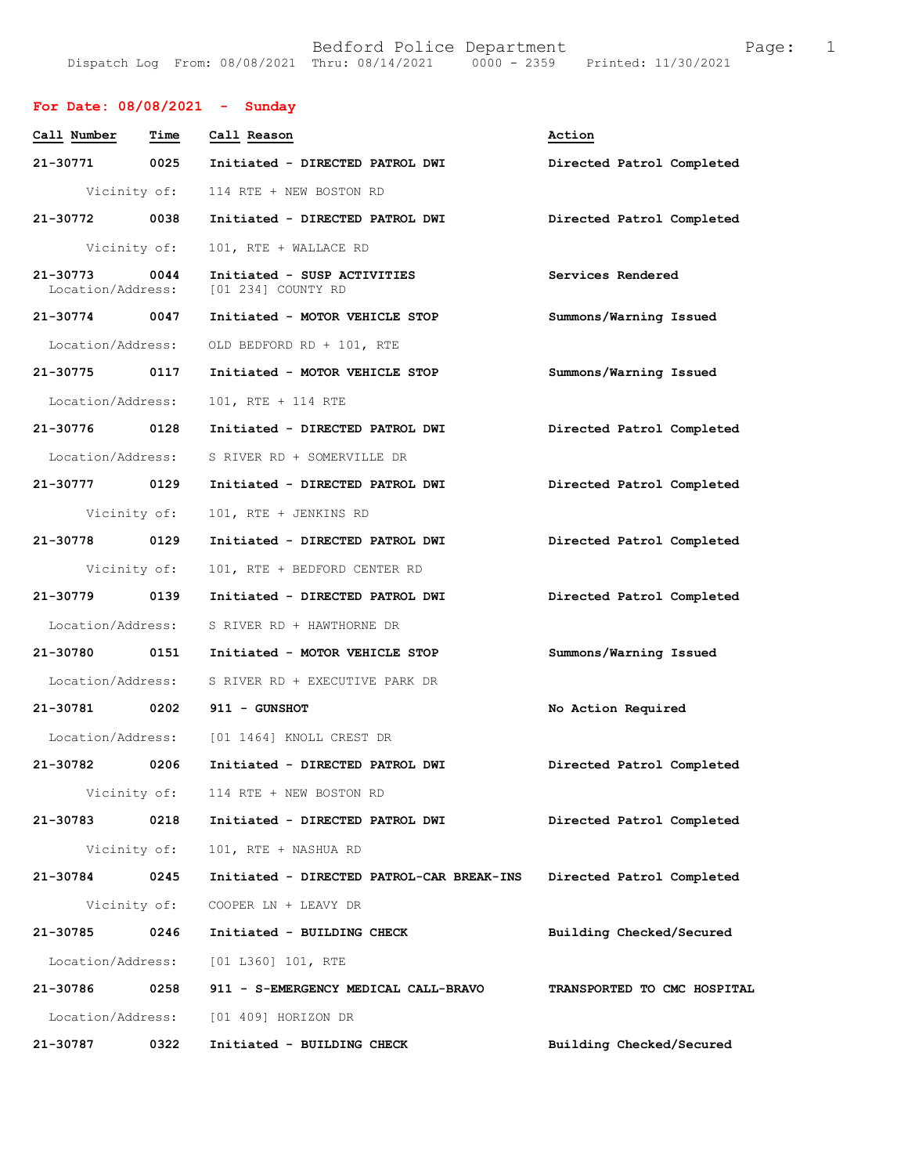|  | Bedford Police Department                      |                                 | Page: |  |
|--|------------------------------------------------|---------------------------------|-------|--|
|  | Dispatch Log From: 08/08/2021 Thru: 08/14/2021 | 0000 - 2359 Printed: 11/30/2021 |       |  |

## For Date:  $08/08/2021 -$  Sunday

| Call Number                       | Time         | Call Reason                                       | Action                      |
|-----------------------------------|--------------|---------------------------------------------------|-----------------------------|
| 21-30771                          | 0025         | Initiated - DIRECTED PATROL DWI                   | Directed Patrol Completed   |
|                                   | Vicinity of: | 114 RTE + NEW BOSTON RD                           |                             |
| $21 - 30772$                      | 0038         | Initiated - DIRECTED PATROL DWI                   | Directed Patrol Completed   |
| Vicinity of:                      |              | 101, RTE + WALLACE RD                             |                             |
| $21 - 30773$<br>Location/Address: | 0044         | Initiated - SUSP ACTIVITIES<br>[01 234] COUNTY RD | Services Rendered           |
| 21-30774 0047                     |              | Initiated - MOTOR VEHICLE STOP                    | Summons/Warning Issued      |
| Location/Address:                 |              | OLD BEDFORD RD + 101, RTE                         |                             |
| 21-30775 0117                     |              | Initiated - MOTOR VEHICLE STOP                    | Summons/Warning Issued      |
| Location/Address:                 |              | 101, RTE + 114 RTE                                |                             |
| 21-30776 0128                     |              | Initiated - DIRECTED PATROL DWI                   | Directed Patrol Completed   |
| Location/Address:                 |              | S RIVER RD + SOMERVILLE DR                        |                             |
| 21-30777 0129                     |              | Initiated - DIRECTED PATROL DWI                   | Directed Patrol Completed   |
| Vicinity of:                      |              | 101, RTE + JENKINS RD                             |                             |
| 21-30778 0129                     |              | Initiated - DIRECTED PATROL DWI                   | Directed Patrol Completed   |
| Vicinity of:                      |              | 101, RTE + BEDFORD CENTER RD                      |                             |
| 21-30779 0139                     |              | Initiated - DIRECTED PATROL DWI                   | Directed Patrol Completed   |
| Location/Address:                 |              | S RIVER RD + HAWTHORNE DR                         |                             |
| 21-30780 0151                     |              | Initiated - MOTOR VEHICLE STOP                    | Summons/Warning Issued      |
| Location/Address:                 |              | S RIVER RD + EXECUTIVE PARK DR                    |                             |
| 21-30781 0202                     |              | 911 - GUNSHOT                                     | No Action Required          |
|                                   |              | Location/Address: [01 1464] KNOLL CREST DR        |                             |
| 21-30782 0206                     |              | Initiated - DIRECTED PATROL DWI                   | Directed Patrol Completed   |
|                                   |              | Vicinity of: 114 RTE + NEW BOSTON RD              |                             |
| 21-30783                          | 0218         | Initiated - DIRECTED PATROL DWI                   | Directed Patrol Completed   |
|                                   | Vicinity of: | 101, RTE + NASHUA RD                              |                             |
| 21-30784                          | 0245         | Initiated - DIRECTED PATROL-CAR BREAK-INS         | Directed Patrol Completed   |
|                                   | Vicinity of: | COOPER LN + LEAVY DR                              |                             |
| 21-30785                          | 0246         | Initiated - BUILDING CHECK                        | Building Checked/Secured    |
| Location/Address:                 |              | [01 L360] 101, RTE                                |                             |
| 21-30786                          | 0258         | 911 - S-EMERGENCY MEDICAL CALL-BRAVO              | TRANSPORTED TO CMC HOSPITAL |
| Location/Address:                 |              | [01 409] HORIZON DR                               |                             |
| 21-30787                          | 0322         | Initiated - BUILDING CHECK                        | Building Checked/Secured    |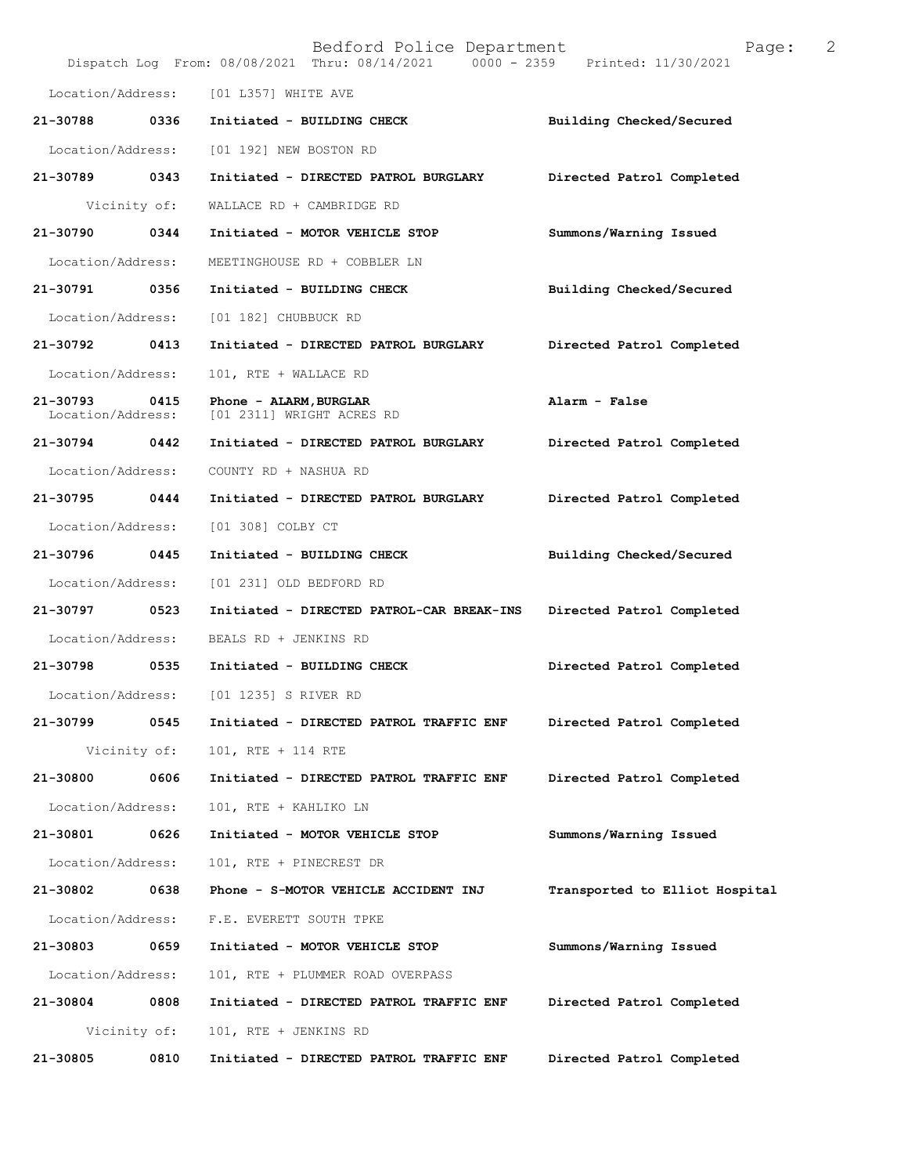|                                   |              | Bedford Police Department<br>Dispatch Log From: 08/08/2021 Thru: 08/14/2021 0000 - 2359 Printed: 11/30/2021 | 2<br>Page:                     |
|-----------------------------------|--------------|-------------------------------------------------------------------------------------------------------------|--------------------------------|
| Location/Address:                 |              | [01 L357] WHITE AVE                                                                                         |                                |
| 21-30788                          | 0336         | Initiated - BUILDING CHECK                                                                                  | Building Checked/Secured       |
| Location/Address:                 |              | [01 192] NEW BOSTON RD                                                                                      |                                |
| 21-30789 0343                     |              | Initiated - DIRECTED PATROL BURGLARY                                                                        | Directed Patrol Completed      |
|                                   | Vicinity of: | WALLACE RD + CAMBRIDGE RD                                                                                   |                                |
| 21-30790                          | 0344         | Initiated - MOTOR VEHICLE STOP                                                                              | Summons/Warning Issued         |
| Location/Address:                 |              | MEETINGHOUSE RD + COBBLER LN                                                                                |                                |
| 21-30791                          | 0356         | Initiated - BUILDING CHECK                                                                                  | Building Checked/Secured       |
| Location/Address:                 |              | [01 182] CHUBBUCK RD                                                                                        |                                |
| 21-30792                          | 0413         | Initiated - DIRECTED PATROL BURGLARY                                                                        | Directed Patrol Completed      |
| Location/Address:                 |              | 101, RTE + WALLACE RD                                                                                       |                                |
| $21 - 30793$<br>Location/Address: | 0415         | Phone - ALARM, BURGLAR<br>[01 2311] WRIGHT ACRES RD                                                         | Alarm - False                  |
| 21-30794                          | 0442         | Initiated - DIRECTED PATROL BURGLARY                                                                        | Directed Patrol Completed      |
| Location/Address:                 |              | COUNTY RD + NASHUA RD                                                                                       |                                |
| 21-30795                          | 0444         | Initiated - DIRECTED PATROL BURGLARY                                                                        | Directed Patrol Completed      |
| Location/Address:                 |              | [01 308] COLBY CT                                                                                           |                                |
| 21-30796                          | 0445         | Initiated - BUILDING CHECK                                                                                  | Building Checked/Secured       |
| Location/Address:                 |              | [01 231] OLD BEDFORD RD                                                                                     |                                |
| 21-30797                          | 0523         | Initiated - DIRECTED PATROL-CAR BREAK-INS                                                                   | Directed Patrol Completed      |
| Location/Address:                 |              | BEALS RD + JENKINS RD                                                                                       |                                |
| 21-30798 0535                     |              | Initiated - BUILDING CHECK                                                                                  | Directed Patrol Completed      |
| Location/Address:                 |              | [01 1235] S RIVER RD                                                                                        |                                |
| 21-30799                          | 0545         | Initiated - DIRECTED PATROL TRAFFIC ENF                                                                     | Directed Patrol Completed      |
|                                   | Vicinity of: | 101, RTE + 114 RTE                                                                                          |                                |
| 21-30800                          | 0606         | Initiated - DIRECTED PATROL TRAFFIC ENF                                                                     | Directed Patrol Completed      |
| Location/Address:                 |              | 101, RTE + KAHLIKO LN                                                                                       |                                |
| 21-30801                          | 0626         | Initiated - MOTOR VEHICLE STOP                                                                              | Summons/Warning Issued         |
| Location/Address:                 |              | 101, RTE + PINECREST DR                                                                                     |                                |
| 21-30802                          | 0638         | Phone - S-MOTOR VEHICLE ACCIDENT INJ                                                                        | Transported to Elliot Hospital |
| Location/Address:                 |              | F.E. EVERETT SOUTH TPKE                                                                                     |                                |
| 21-30803                          | 0659         | Initiated - MOTOR VEHICLE STOP                                                                              | Summons/Warning Issued         |
| Location/Address:                 |              | 101, RTE + PLUMMER ROAD OVERPASS                                                                            |                                |
| 21-30804                          | 0808         | Initiated - DIRECTED PATROL TRAFFIC ENF                                                                     | Directed Patrol Completed      |
|                                   | Vicinity of: | 101, RTE + JENKINS RD                                                                                       |                                |
| 21-30805                          | 0810         | Initiated - DIRECTED PATROL TRAFFIC ENF                                                                     | Directed Patrol Completed      |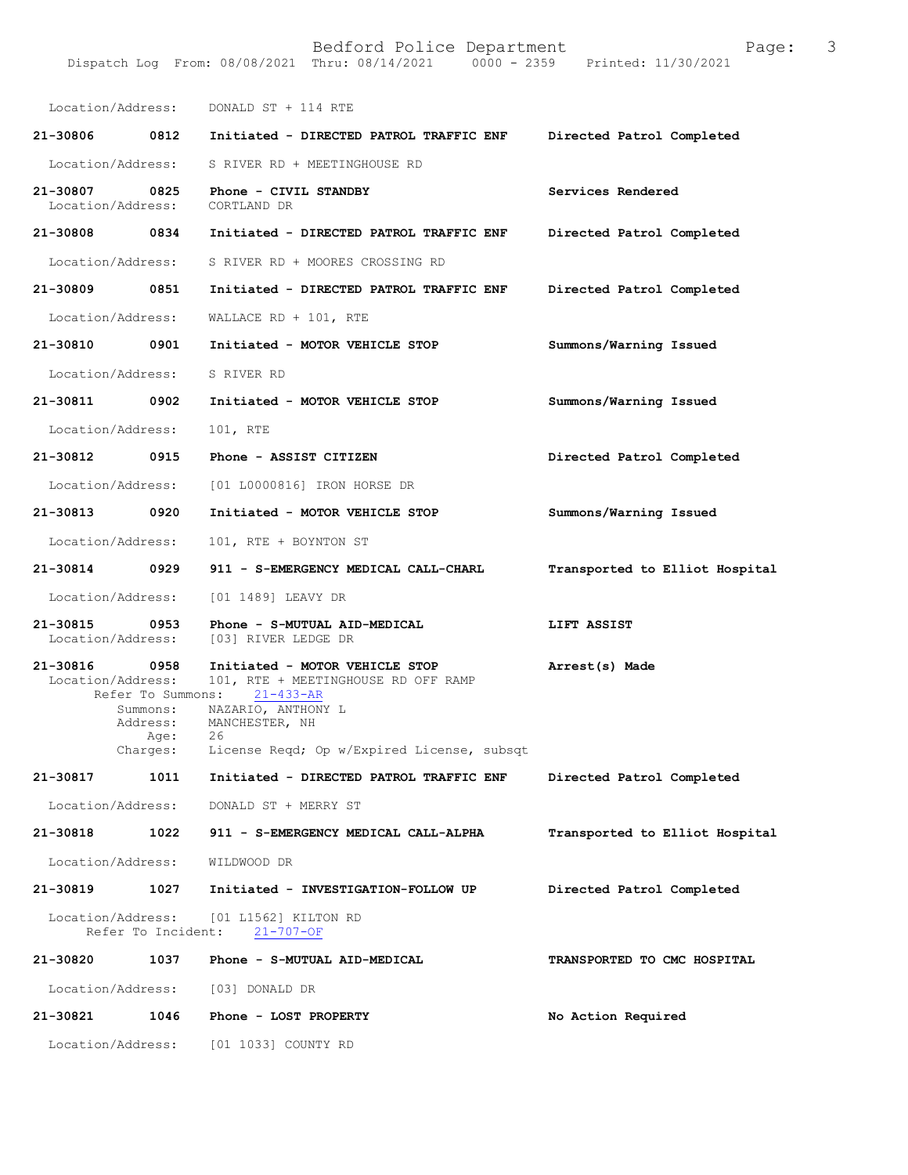Location/Address: DONALD ST + 114 RTE 21-30806 0812 Initiated - DIRECTED PATROL TRAFFIC ENF Directed Patrol Completed Location/Address: S RIVER RD + MEETINGHOUSE RD 21-30807 0825 Phone - CIVIL STANDBY Services Rendered<br>
Location/Address: CORTLAND DR Location/Address: 21-30808 0834 Initiated - DIRECTED PATROL TRAFFIC ENF Directed Patrol Completed Location/Address: S RIVER RD + MOORES CROSSING RD 21-30809 0851 Initiated - DIRECTED PATROL TRAFFIC ENF Directed Patrol Completed Location/Address: WALLACERD + 101, RTE 21-30810 0901 Initiated - MOTOR VEHICLE STOP Summons/Warning Issued Location/Address: S RIVER RD 21-30811 0902 Initiated - MOTOR VEHICLE STOP Summons/Warning Issued Location/Address: 101, RTE 21-30812 0915 Phone - ASSIST CITIZEN Directed Patrol Completed Location/Address: [01 L0000816] IRON HORSE DR 21-30813 0920 Initiated - MOTOR VEHICLE STOP Summons/Warning Issued Location/Address: 101, RTE + BOYNTON ST 21-30814 0929 911 - S-EMERGENCY MEDICAL CALL-CHARL Transported to Elliot Hospital Location/Address: [01 1489] LEAVY DR 21-30815 0953 Phone-S-MUTUAL AID-MEDICAL LIFT ASSIST<br>Location/Address: [03] RIVER LEDGE DR [03] RIVER LEDGE DR 21-30816 0958 Initiated - MOTOR VEHICLE STOP Arrest(s) Made **Location/Address:** 101, RTE + MEETINGHOUSE RD OFF RAMP 101, RTE + MEETINGHOUSE RD OFF RAMP<br>ns: 21-433-AR Refer To Summons:<br>Summons: NAZ Directed Patrol Completed Transported to Elliot Hospital Directed Patrol Completed  $21 - 707 - OF$ TRANSPORTED TO CMC HOSPITAL No Action Required Summons: NAZARIO, ANTHONY L<br>Address: MANCHESTER, NH MANCHESTER, NH Age:<br>Charges: License Reqd; Op w/Expired License, subsqt 21-30817 1011 Initiated - DIRECTED PATROL TRAFFIC ENF Location/Address: DONALD ST + MERRY ST 21-30818 1022 911 - S-EMERGENCY MEDICAL CALL-ALPHA Location/Address: WILDWOOD DR 21-30819 1027 Initiated - INVESTIGATION-FOLLOW UP Location/Address: [01 L1562] KILTON RD Refer To Incident: 21-30820 1037 Phone - S-MUTUAL AID-MEDICAL Location/Address: [03] DONALD DR 21-30821 1046 Phone - LOST PROPERTY

Dispatch Log From: 08/08/2021 Thru: 08/14/2021

Location/Address: [01 1033] COUNTY RD

Bedford Police Department<br>Thru: 08/14/2021 0000 - 2359 Printed: 11/30/2021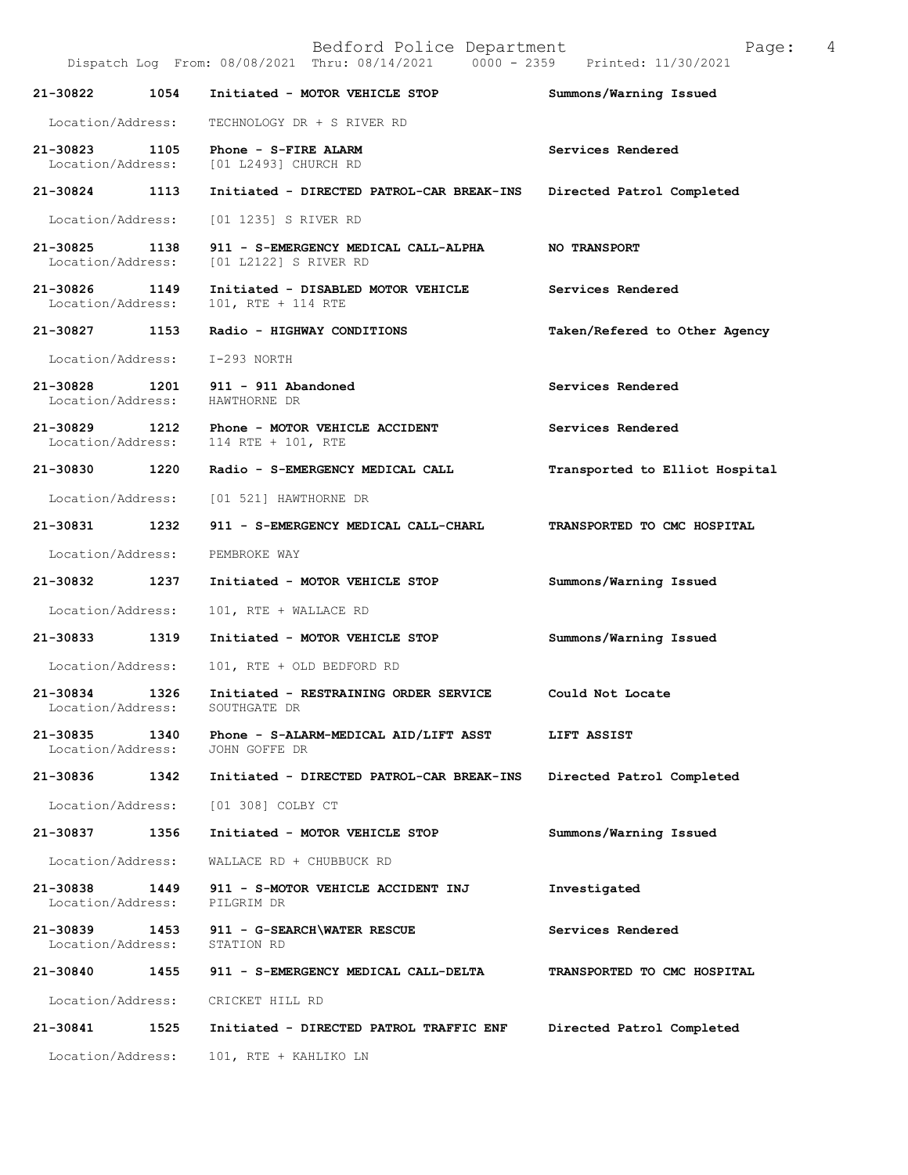|                                    |      | Bedford Police Department<br>Dispatch Log From: 08/08/2021 Thru: 08/14/2021 0000 - 2359 Printed: 11/30/2021 | 4<br>Page:                     |
|------------------------------------|------|-------------------------------------------------------------------------------------------------------------|--------------------------------|
| 21-30822                           | 1054 | Initiated - MOTOR VEHICLE STOP                                                                              | Summons/Warning Issued         |
| Location/Address:                  |      | TECHNOLOGY DR + S RIVER RD                                                                                  |                                |
| 21-30823<br>Location/Address:      | 1105 | Phone - S-FIRE ALARM<br>[01 L2493] CHURCH RD                                                                | Services Rendered              |
| 21-30824 1113                      |      | Initiated - DIRECTED PATROL-CAR BREAK-INS                                                                   | Directed Patrol Completed      |
| Location/Address:                  |      | [01 1235] S RIVER RD                                                                                        |                                |
| 21-30825<br>Location/Address:      | 1138 | 911 - S-EMERGENCY MEDICAL CALL-ALPHA<br>[01 L2122] S RIVER RD                                               | <b>NO TRANSPORT</b>            |
| 21-30826<br>Location/Address:      | 1149 | Initiated - DISABLED MOTOR VEHICLE<br>$101$ , RTE + 114 RTE                                                 | Services Rendered              |
| 21-30827 1153                      |      | Radio - HIGHWAY CONDITIONS                                                                                  | Taken/Refered to Other Agency  |
| Location/Address:                  |      | I-293 NORTH                                                                                                 |                                |
| 21-30828<br>Location/Address:      | 1201 | $911 - 911$ Abandoned<br>HAWTHORNE DR                                                                       | Services Rendered              |
| 21-30829 1212<br>Location/Address: |      | Phone - MOTOR VEHICLE ACCIDENT<br>114 RTE + 101, RTE                                                        | Services Rendered              |
| 21-30830 1220                      |      | Radio - S-EMERGENCY MEDICAL CALL                                                                            | Transported to Elliot Hospital |
| Location/Address:                  |      | [01 521] HAWTHORNE DR                                                                                       |                                |
| 21-30831 1232                      |      | 911 - S-EMERGENCY MEDICAL CALL-CHARL                                                                        | TRANSPORTED TO CMC HOSPITAL    |
| Location/Address:                  |      | PEMBROKE WAY                                                                                                |                                |
| 21-30832                           | 1237 | Initiated - MOTOR VEHICLE STOP                                                                              | Summons/Warning Issued         |
| Location/Address:                  |      | 101, RTE + WALLACE RD                                                                                       |                                |
| 21-30833                           | 1319 | Initiated - MOTOR VEHICLE STOP                                                                              | Summons/Warning Issued         |
| Location/Address:                  |      | 101, RTE + OLD BEDFORD RD                                                                                   |                                |
| 21-30834<br>Location/Address:      | 1326 | Initiated - RESTRAINING ORDER SERVICE<br>SOUTHGATE DR                                                       | Could Not Locate               |
| 21-30835<br>Location/Address:      | 1340 | Phone - S-ALARM-MEDICAL AID/LIFT ASST<br>JOHN GOFFE DR                                                      | LIFT ASSIST                    |
| 21-30836                           | 1342 | Initiated - DIRECTED PATROL-CAR BREAK-INS                                                                   | Directed Patrol Completed      |
| Location/Address:                  |      | $[01 308]$ COLBY CT                                                                                         |                                |
| 21-30837                           | 1356 | Initiated - MOTOR VEHICLE STOP                                                                              | Summons/Warning Issued         |
| Location/Address:                  |      | WALLACE RD + CHUBBUCK RD                                                                                    |                                |
| 21-30838<br>Location/Address:      | 1449 | 911 - S-MOTOR VEHICLE ACCIDENT INJ<br>PILGRIM DR                                                            | Investigated                   |
| 21-30839<br>Location/Address:      | 1453 | 911 - G-SEARCH\WATER RESCUE<br>STATION RD                                                                   | Services Rendered              |
| 21-30840                           | 1455 | 911 - S-EMERGENCY MEDICAL CALL-DELTA                                                                        | TRANSPORTED TO CMC HOSPITAL    |
| Location/Address:                  |      | CRICKET HILL RD                                                                                             |                                |
| 21-30841                           | 1525 | Initiated - DIRECTED PATROL TRAFFIC ENF                                                                     | Directed Patrol Completed      |
| Location/Address:                  |      | 101, RTE + KAHLIKO LN                                                                                       |                                |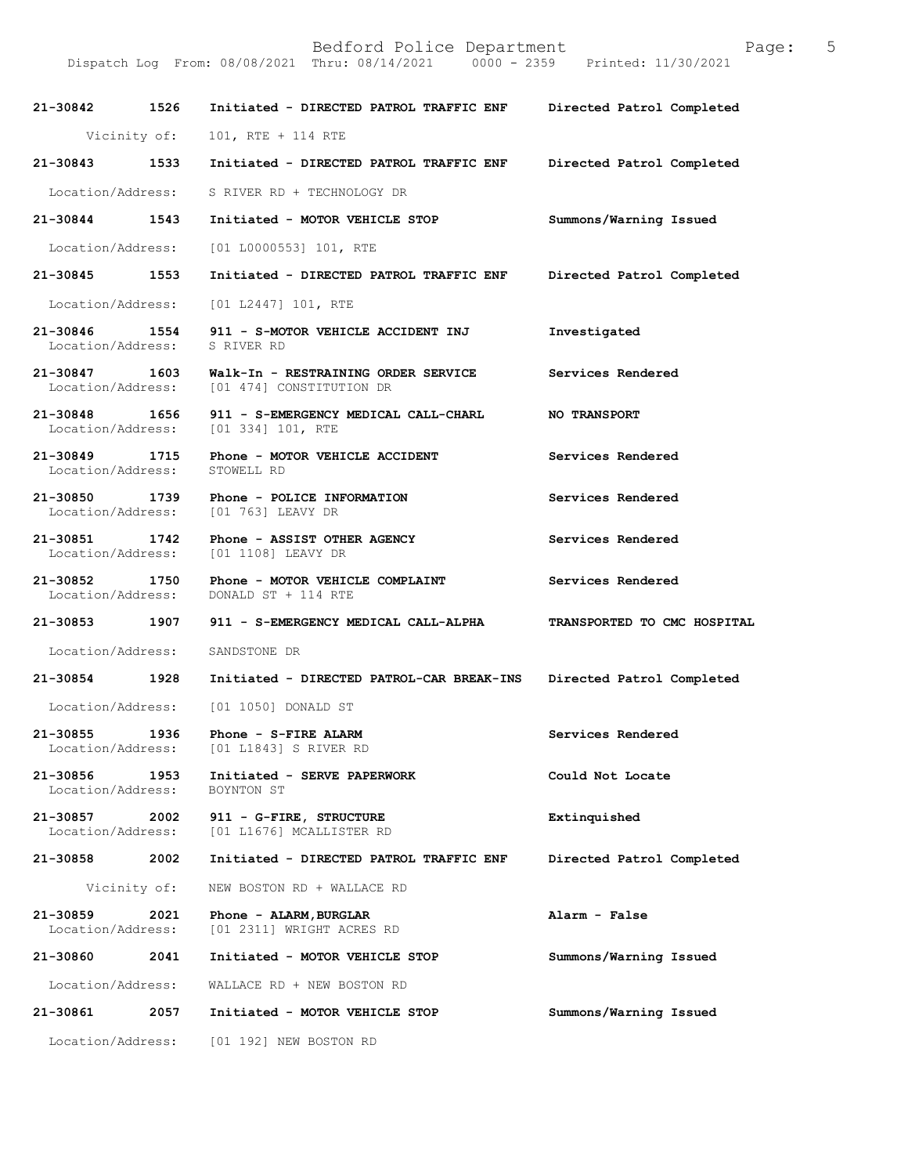BedfordPoliceDepartment Page:5 Dispatch Log From: 08/08/2021 Thru: 08/14/2021 21-30842 1526 Initiated - DIRECTED PATROL TRAFFIC ENF Directed Patrol Completed Vicinity of: 101, RTE + 114 RTE 21-30843 1533 Initiated - DIRECTED PATROL TRAFFIC ENF Directed Patrol Completed Location/Address: S RIVER RD + TECHNOLOGY DR 21-30844 1543 Initiated - MOTOR VEHICLE STOP Summons/Warning Issued Location/Address: [01 L0000553] 101, RTE 21-30845 1553 Initiated - DIRECTED PATROL TRAFFIC ENF Directed Patrol Completed Location/Address: [01 L2447] 101, RTE 21-30846 1554 911 - S-MOTOR VEHICLE ACCIDENT INJ Investigated Location/Address: S RIVER RD Location/Address: 21-30847 1603 Walk-In - RESTRAINING ORDER SERVICE Services Rendered Location/Address: [01 474] CONSTITUTION DR [01 474] CONSTITUTION DR 21-30848 1656 911 - S-EMERGENCY MEDICAL CALL-CHARL NO TRANSPORT<br>Location/Address: [01 334] 101, RTE [01 334] 101, RTE 21-30849 1715 Phone - MOTOR VEHICLE ACCIDENT Services Rendered Location/Address: STOWELL RD Location/Address: 21-30850 1739 Phone - POLICE INFORMATION Services Rendered Location/Address: [01 763] LEAVY DR Location/Address: 21-30851 1742 Phone - ASSIST OTHER AGENCY Services Rendered Location/Address: [01 1108] LEAVY DR [01 1108] LEAVY DR 21-30852 1750 Phone - MOTOR VEHICLE COMPLAINT Services Rendered Location/Address: DONALD ST + 114 RTE DONALD ST + 114 RTE 21-30853 1907 911 - S-EMERGENCY MEDICAL CALL-ALPHA TRANSPORTED TO CMC HOSPITAL Location/Address: SANDSTONE DR 21-30854 1928 Initiated - DIRECTED PATROL-CAR BREAK-INS Directed Patrol Completed Location/Address: [01 1050] DONALD ST 21-30855 1936 Phone - S-FIRE ALARM Services Rendered<br>
Location/Address: [01 L1843] S RIVER RD [01 L1843] S RIVER RD 21-30856 1953 Initiated - SERVE PAPERWORK Could Not Locate<br>Location/Address: BOYNTON ST Location/Address: 21-30857 2002 911 - G-FIRE, STRUCTURE Extinquished Extinquished Location/Address: [01 L1676] MCALLISTER RD [01 L1676] MCALLISTER RD 21-30858 2002 Initiated - DIRECTED PATROL TRAFFIC ENF Directed Patrol Completed Vicinity of: NEW BOSTON RD + WALLACE RD 21-30859 2021 Phone - ALARM, BURGLAR <br>Location/Address: [01 2311] WRIGHT ACRES RD [01 2311] WRIGHT ACRES RD 21-30860 2041 Initiated - MOTOR VEHICLE STOP Summons/Warning Issued Location/Address: WALLACE RD + NEW BOSTON RD 21-30861 2057 Initiated - MOTOR VEHICLE STOP Summons/Warning Issued Location/Address: [01 192] NEW BOSTON RD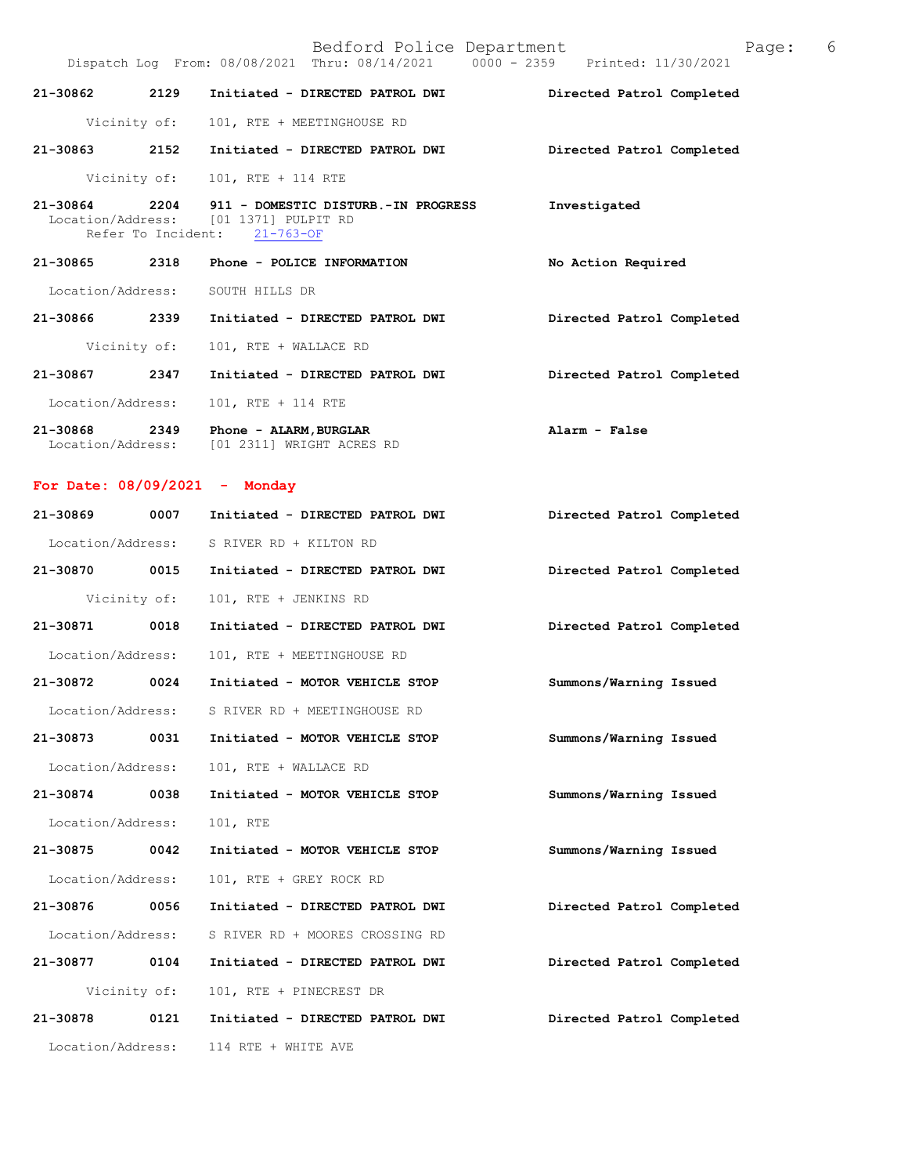|                   | Bedford Police Department<br>Dispatch Log From: 08/08/2021 Thru: 08/14/2021 0000 - 2359 Printed: 11/30/2021       | Page: 6                   |  |
|-------------------|-------------------------------------------------------------------------------------------------------------------|---------------------------|--|
| 21-30862 2129     | Initiated - DIRECTED PATROL DWI                                                                                   | Directed Patrol Completed |  |
| Vicinity of:      | 101, RTE + MEETINGHOUSE RD                                                                                        |                           |  |
| 2152<br>21-30863  | Initiated - DIRECTED PATROL DWI                                                                                   | Directed Patrol Completed |  |
|                   | Vicinity of: 101, RTE + 114 RTE                                                                                   |                           |  |
| 21-30864          | 2204 911 - DOMESTIC DISTURB.-IN PROGRESS<br>Location/Address: [01 1371] PULPIT RD<br>Refer To Incident: 21-763-OF | Investigated              |  |
| 2318<br>21-30865  | Phone - POLICE INFORMATION                                                                                        | No Action Required        |  |
| Location/Address: | SOUTH HILLS DR                                                                                                    |                           |  |
| 21-30866 2339     | Initiated - DIRECTED PATROL DWI                                                                                   | Directed Patrol Completed |  |
| Vicinity of:      | 101, RTE + WALLACE RD                                                                                             |                           |  |
| 21-30867 2347     | Initiated - DIRECTED PATROL DWI                                                                                   | Directed Patrol Completed |  |
| Location/Address: | 101, RTE + 114 RTE                                                                                                |                           |  |
| 2349<br>21-30868  | Phone - ALARM, BURGLAR                                                                                            | Alarm - False             |  |

For Date:  $08/09/2021 -$  Monday

Location/Address: [01 2311] WRIGHT ACRES RD

| 21-30869          | 0007         | Initiated - DIRECTED PATROL DWI | Directed Patrol Completed |
|-------------------|--------------|---------------------------------|---------------------------|
| Location/Address: |              | S RIVER RD + KILTON RD          |                           |
| 21-30870 0015     |              | Initiated - DIRECTED PATROL DWI | Directed Patrol Completed |
|                   | Vicinity of: | 101, RTE + JENKINS RD           |                           |
| 21-30871          | 0018         | Initiated - DIRECTED PATROL DWI | Directed Patrol Completed |
| Location/Address: |              | 101, RTE + MEETINGHOUSE RD      |                           |
| 21-30872          | 0024         | Initiated - MOTOR VEHICLE STOP  | Summons/Warning Issued    |
| Location/Address: |              | S RIVER RD + MEETINGHOUSE RD    |                           |
| 21-30873          | 0031         | Initiated - MOTOR VEHICLE STOP  | Summons/Warning Issued    |
| Location/Address: |              | 101, RTE + WALLACE RD           |                           |
| 21-30874          | 0038         | Initiated - MOTOR VEHICLE STOP  | Summons/Warning Issued    |
| Location/Address: |              | 101, RTE                        |                           |
| 21-30875 0042     |              | Initiated - MOTOR VEHICLE STOP  | Summons/Warning Issued    |
| Location/Address: |              | 101, RTE + GREY ROCK RD         |                           |
| 21-30876 0056     |              | Initiated - DIRECTED PATROL DWI | Directed Patrol Completed |
| Location/Address: |              | S RIVER RD + MOORES CROSSING RD |                           |
| 21-30877          | 0104         | Initiated - DIRECTED PATROL DWI | Directed Patrol Completed |
|                   | Vicinity of: | 101, RTE + PINECREST DR         |                           |
| 21-30878          | 0121         | Initiated - DIRECTED PATROL DWI | Directed Patrol Completed |
| Location/Address: |              | 114 RTE + WHITE AVE             |                           |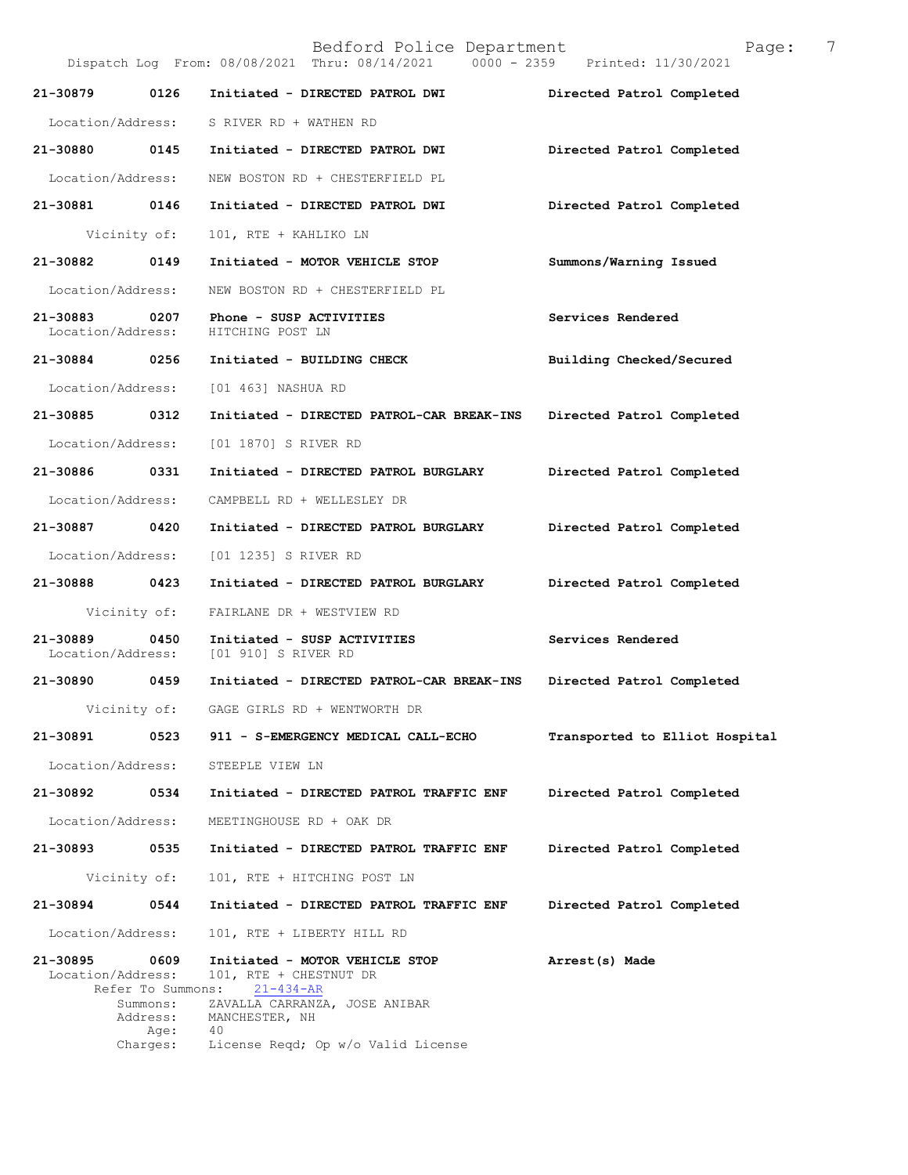|                                    |                                                   | Bedford Police Department<br>Dispatch Log From: 08/08/2021 Thru: 08/14/2021 0000 - 2359 Printed: 11/30/2021                    | 7<br>Page:                     |
|------------------------------------|---------------------------------------------------|--------------------------------------------------------------------------------------------------------------------------------|--------------------------------|
| 21-30879                           | 0126                                              | Initiated - DIRECTED PATROL DWI                                                                                                | Directed Patrol Completed      |
|                                    |                                                   | Location/Address: S RIVER RD + WATHEN RD                                                                                       |                                |
| 21-30880                           | 0145                                              | Initiated - DIRECTED PATROL DWI                                                                                                | Directed Patrol Completed      |
| Location/Address:                  |                                                   | NEW BOSTON RD + CHESTERFIELD PL                                                                                                |                                |
| 21-30881                           | 0146                                              | Initiated - DIRECTED PATROL DWI                                                                                                | Directed Patrol Completed      |
| Vicinity of:                       |                                                   | 101, RTE + KAHLIKO LN                                                                                                          |                                |
| 21-30882                           | 0149                                              | Initiated - MOTOR VEHICLE STOP                                                                                                 | Summons/Warning Issued         |
| Location/Address:                  |                                                   | NEW BOSTON RD + CHESTERFIELD PL                                                                                                |                                |
| 21-30883 0207<br>Location/Address: |                                                   | Phone - SUSP ACTIVITIES<br>HITCHING POST LN                                                                                    | Services Rendered              |
|                                    |                                                   | 21-30884 0256 Initiated - BUILDING CHECK                                                                                       | Building Checked/Secured       |
| Location/Address:                  |                                                   | [01 463] NASHUA RD                                                                                                             |                                |
| 21-30885                           | 0312                                              | Initiated - DIRECTED PATROL-CAR BREAK-INS                                                                                      | Directed Patrol Completed      |
| Location/Address:                  |                                                   | [01 1870] S RIVER RD                                                                                                           |                                |
| 21-30886                           | 0331                                              | Initiated - DIRECTED PATROL BURGLARY                                                                                           | Directed Patrol Completed      |
| Location/Address:                  |                                                   | CAMPBELL RD + WELLESLEY DR                                                                                                     |                                |
| 21-30887 0420                      |                                                   | Initiated - DIRECTED PATROL BURGLARY                                                                                           | Directed Patrol Completed      |
| Location/Address:                  |                                                   | [01 1235] S RIVER RD                                                                                                           |                                |
| 21-30888 0423                      |                                                   | Initiated - DIRECTED PATROL BURGLARY                                                                                           | Directed Patrol Completed      |
|                                    |                                                   | Vicinity of: FAIRLANE DR + WESTVIEW RD                                                                                         |                                |
| 21-30889<br>Location/Address:      | 0450                                              | Initiated - SUSP ACTIVITIES<br>[01 910] S RIVER RD                                                                             | Services Rendered              |
| 21-30890 0459                      |                                                   | Initiated - DIRECTED PATROL-CAR BREAK-INS                                                                                      | Directed Patrol Completed      |
| Vicinity of:                       |                                                   | GAGE GIRLS RD + WENTWORTH DR                                                                                                   |                                |
| 21-30891                           | 0523                                              | 911 - S-EMERGENCY MEDICAL CALL-ECHO                                                                                            | Transported to Elliot Hospital |
| Location/Address:                  |                                                   | STEEPLE VIEW LN                                                                                                                |                                |
| 21-30892                           | 0534                                              | Initiated - DIRECTED PATROL TRAFFIC ENF                                                                                        | Directed Patrol Completed      |
| Location/Address:                  |                                                   | MEETINGHOUSE RD + OAK DR                                                                                                       |                                |
| 21-30893                           | 0535                                              | Initiated - DIRECTED PATROL TRAFFIC ENF                                                                                        | Directed Patrol Completed      |
| Vicinity of:                       |                                                   | 101, RTE + HITCHING POST LN                                                                                                    |                                |
| 21-30894                           | 0544                                              | Initiated - DIRECTED PATROL TRAFFIC ENF                                                                                        | Directed Patrol Completed      |
| Location/Address:                  |                                                   | 101, RTE + LIBERTY HILL RD                                                                                                     |                                |
| 21-30895<br>Location/Address:      | 0609<br>Refer To Summons:<br>Summons:<br>Address: | Initiated - MOTOR VEHICLE STOP<br>101, RTE + CHESTNUT DR<br>$21 - 434 - AR$<br>ZAVALLA CARRANZA, JOSE ANIBAR<br>MANCHESTER, NH | Arrest(s) Made                 |
|                                    | Age:<br>Charges:                                  | 40<br>License Reqd; Op w/o Valid License                                                                                       |                                |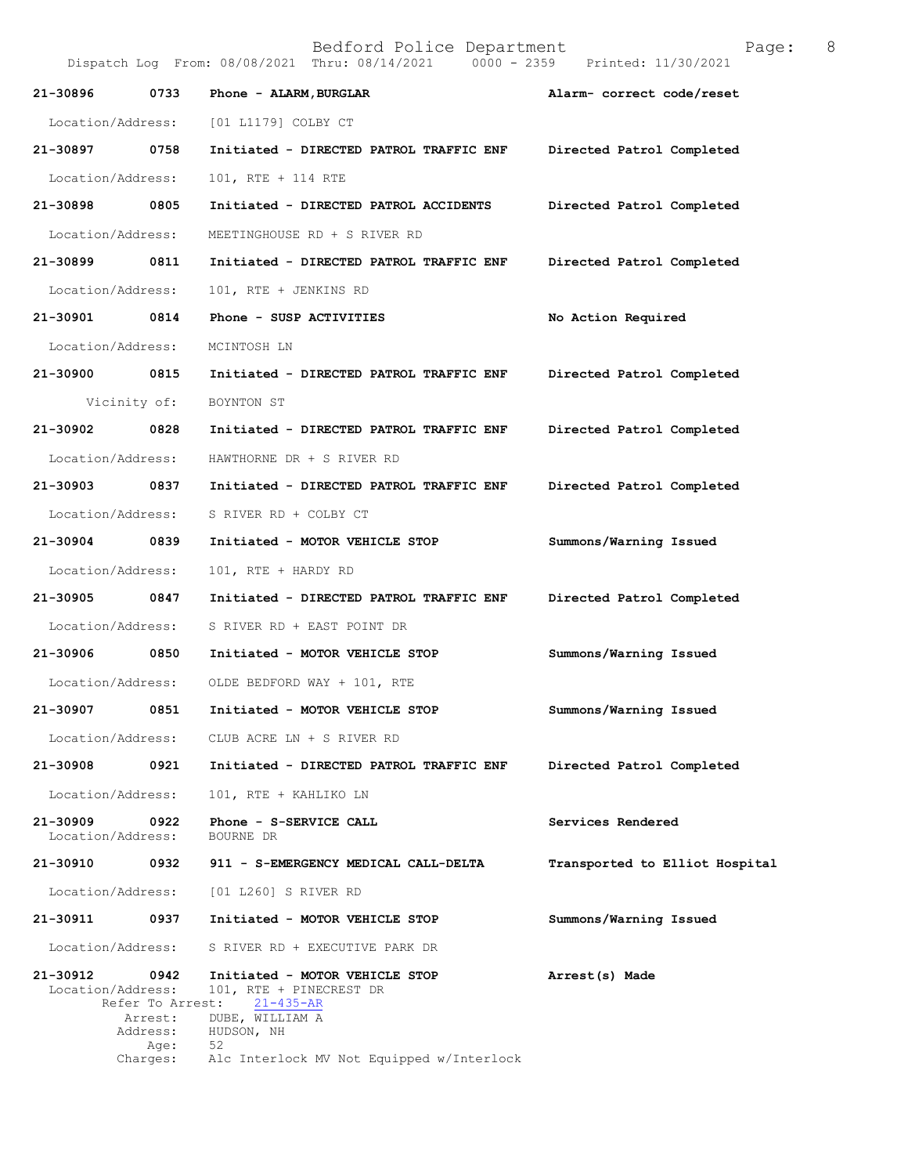| Bedford Police Department<br>Page:<br>Dispatch Log From: 08/08/2021 Thru: 08/14/2021 0000 - 2359 Printed: 11/30/2021 |                          |                                                                              |                                |
|----------------------------------------------------------------------------------------------------------------------|--------------------------|------------------------------------------------------------------------------|--------------------------------|
| 21-30896                                                                                                             | 0733                     | Phone - ALARM, BURGLAR                                                       | Alarm- correct code/reset      |
| Location/Address:                                                                                                    |                          | [01 L1179] COLBY CT                                                          |                                |
| 21-30897                                                                                                             | 0758                     | Initiated - DIRECTED PATROL TRAFFIC ENF                                      | Directed Patrol Completed      |
| Location/Address:                                                                                                    |                          | 101, RTE + 114 RTE                                                           |                                |
| 21-30898                                                                                                             | 0805                     | Initiated - DIRECTED PATROL ACCIDENTS                                        | Directed Patrol Completed      |
| Location/Address:                                                                                                    |                          | MEETINGHOUSE RD + S RIVER RD                                                 |                                |
| 21-30899                                                                                                             | 0811                     | Initiated - DIRECTED PATROL TRAFFIC ENF                                      | Directed Patrol Completed      |
| Location/Address:                                                                                                    |                          | 101, RTE + JENKINS RD                                                        |                                |
| 21-30901                                                                                                             | 0814                     | Phone - SUSP ACTIVITIES                                                      | No Action Required             |
| Location/Address:                                                                                                    |                          | MCINTOSH LN                                                                  |                                |
| 21-30900                                                                                                             | 0815                     | Initiated - DIRECTED PATROL TRAFFIC ENF                                      | Directed Patrol Completed      |
|                                                                                                                      | Vicinity of:             | BOYNTON ST                                                                   |                                |
| 21-30902                                                                                                             | 0828                     | Initiated - DIRECTED PATROL TRAFFIC ENF                                      | Directed Patrol Completed      |
| Location/Address:                                                                                                    |                          | HAWTHORNE DR + S RIVER RD                                                    |                                |
| 21-30903 0837                                                                                                        |                          | Initiated - DIRECTED PATROL TRAFFIC ENF                                      | Directed Patrol Completed      |
| Location/Address:                                                                                                    |                          | S RIVER RD + COLBY CT                                                        |                                |
| 21-30904 0839                                                                                                        |                          | Initiated - MOTOR VEHICLE STOP                                               | Summons/Warning Issued         |
| Location/Address:                                                                                                    |                          | 101, RTE + HARDY RD                                                          |                                |
| 21-30905                                                                                                             | 0847                     | Initiated - DIRECTED PATROL TRAFFIC ENF                                      | Directed Patrol Completed      |
| Location/Address:                                                                                                    |                          | S RIVER RD + EAST POINT DR                                                   |                                |
| 21-30906                                                                                                             | 0850                     | Initiated - MOTOR VEHICLE STOP                                               | Summons/Warning Issued         |
| Location/Address:                                                                                                    |                          | OLDE BEDFORD WAY + 101, RTE                                                  |                                |
| 21-30907                                                                                                             | 0851                     | Initiated - MOTOR VEHICLE STOP                                               | Summons/Warning Issued         |
| Location/Address:                                                                                                    |                          | CLUB ACRE LN + S RIVER RD                                                    |                                |
| 21-30908                                                                                                             | 0921                     | Initiated - DIRECTED PATROL TRAFFIC ENF                                      | Directed Patrol Completed      |
| Location/Address:                                                                                                    |                          | 101, RTE + KAHLIKO LN                                                        |                                |
| 21-30909<br>Location/Address:                                                                                        | 0922                     | Phone - S-SERVICE CALL<br>BOURNE DR                                          | Services Rendered              |
| 21-30910                                                                                                             | 0932                     | 911 - S-EMERGENCY MEDICAL CALL-DELTA                                         | Transported to Elliot Hospital |
| Location/Address:                                                                                                    |                          | [01 L260] S RIVER RD                                                         |                                |
| 21-30911                                                                                                             | 0937                     | Initiated - MOTOR VEHICLE STOP                                               | Summons/Warning Issued         |
| Location/Address:                                                                                                    |                          | S RIVER RD + EXECUTIVE PARK DR                                               |                                |
| 21-30912<br>Location/Address:                                                                                        | 0942<br>Refer To Arrest: | Initiated - MOTOR VEHICLE STOP<br>101, RTE + PINECREST DR<br>$21 - 435 - AR$ | Arrest(s) Made                 |
|                                                                                                                      | Arrest:<br>Address:      | DUBE, WILLIAM A<br>HUDSON, NH                                                |                                |
|                                                                                                                      | Age:<br>Charges:         | 52<br>Alc Interlock MV Not Equipped w/Interlock                              |                                |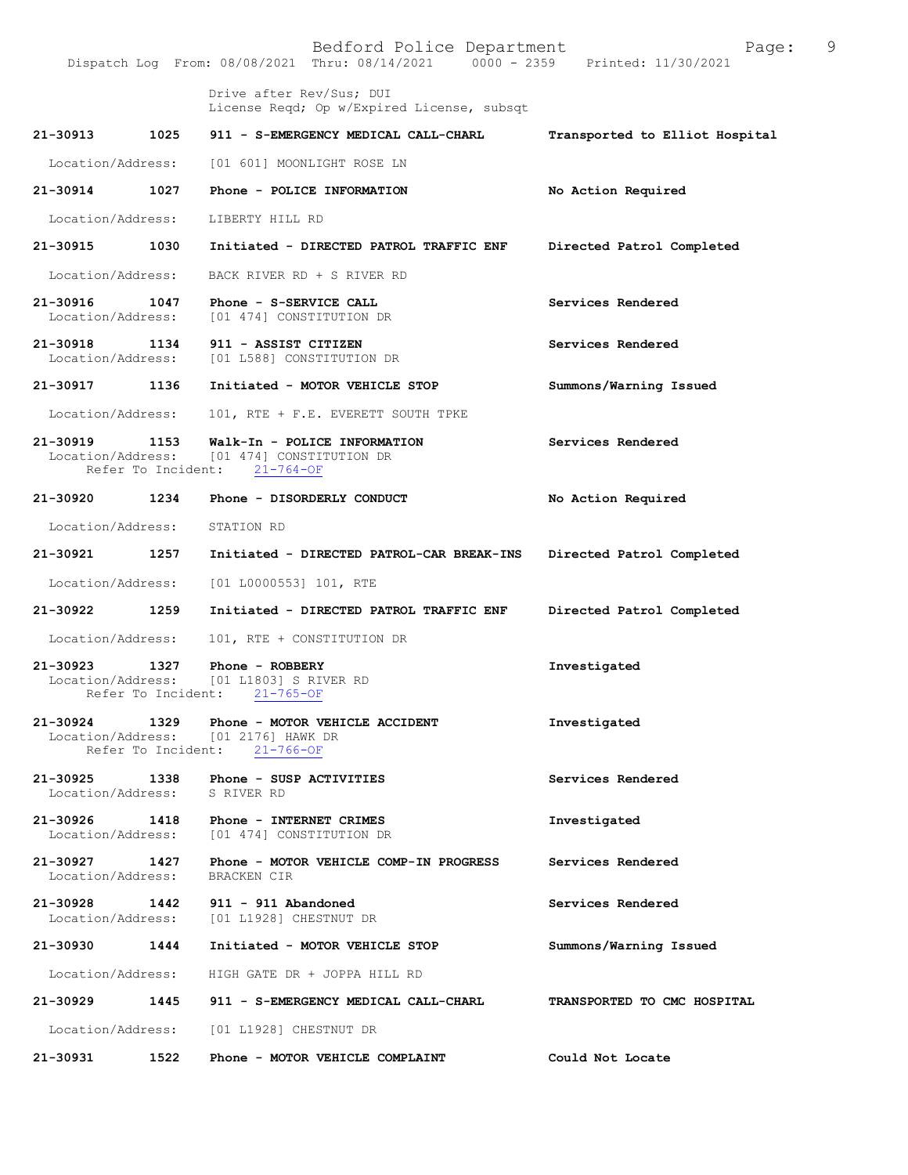|                               |                    | Bedford Police Department<br>Dispatch Log From: 08/08/2021 Thru: 08/14/2021 0000 - 2359 Printed: 11/30/2021         | Page:                          | 9 |
|-------------------------------|--------------------|---------------------------------------------------------------------------------------------------------------------|--------------------------------|---|
|                               |                    | Drive after Rev/Sus; DUI<br>License Reqd; Op w/Expired License, subsqt                                              |                                |   |
|                               |                    | 21-30913 1025 911 - S-EMERGENCY MEDICAL CALL-CHARL                                                                  | Transported to Elliot Hospital |   |
| Location/Address:             |                    | [01 601] MOONLIGHT ROSE LN                                                                                          |                                |   |
| 21-30914 1027                 |                    | Phone - POLICE INFORMATION                                                                                          | No Action Required             |   |
| Location/Address:             |                    | LIBERTY HILL RD                                                                                                     |                                |   |
|                               |                    | 21-30915 1030 Initiated - DIRECTED PATROL TRAFFIC ENF                                                               | Directed Patrol Completed      |   |
| Location/Address:             |                    | BACK RIVER RD + S RIVER RD                                                                                          |                                |   |
| 21-30916<br>Location/Address: |                    | 1047 Phone - S-SERVICE CALL<br>[01 474] CONSTITUTION DR                                                             | Services Rendered              |   |
|                               |                    | 21-30918 1134 911 - ASSIST CITIZEN<br>Location/Address: [01 L588] CONSTITUTION DR                                   | Services Rendered              |   |
|                               |                    | 21-30917 1136 Initiated - MOTOR VEHICLE STOP                                                                        | Summons/Warning Issued         |   |
| Location/Address:             |                    | 101, RTE + F.E. EVERETT SOUTH TPKE                                                                                  |                                |   |
| 21-30919                      | 1153               | Walk-In - POLICE INFORMATION<br>Location/Address: [01 474] CONSTITUTION DR<br>Refer To Incident: 21-764-OF          | Services Rendered              |   |
|                               |                    | 21-30920 1234 Phone - DISORDERLY CONDUCT                                                                            | No Action Required             |   |
| Location/Address:             |                    | STATION RD                                                                                                          |                                |   |
| 21-30921                      | 1257               | Initiated - DIRECTED PATROL-CAR BREAK-INS Directed Patrol Completed                                                 |                                |   |
| Location/Address:             |                    | [01 L0000553] 101, RTE                                                                                              |                                |   |
| 21-30922 1259                 |                    | Initiated - DIRECTED PATROL TRAFFIC ENF                                                                             | Directed Patrol Completed      |   |
| Location/Address:             |                    | 101, RTE + CONSTITUTION DR                                                                                          |                                |   |
|                               | Refer To Incident: | 21-30923 1327 Phone - ROBBERY<br>Location/Address: [01 L1803] S RIVER RD<br>$21 - 765 - OF$                         | Investigated                   |   |
|                               |                    | 21-30924 1329 Phone - MOTOR VEHICLE ACCIDENT<br>Location/Address: [01 2176] HAWK DR<br>Refer To Incident: 21-766-OF | Investigated                   |   |
|                               |                    | 21-30925 1338 Phone - SUSP ACTIVITIES<br>Location/Address: S RIVER RD                                               | Services Rendered              |   |
|                               |                    | 21-30926 1418 Phone - INTERNET CRIMES<br>Location/Address: [01 474] CONSTITUTION DR                                 | Investigated                   |   |
| 21-30927<br>Location/Address: |                    | 1427    Phone - MOTOR VEHICLE COMP-IN PROGRESS<br>BRACKEN CIR                                                       | Services Rendered              |   |
|                               |                    | 21-30928 1442 911 - 911 Abandoned<br>Location/Address: [01 L1928] CHESTNUT DR                                       | Services Rendered              |   |
|                               |                    | 21-30930 1444 Initiated - MOTOR VEHICLE STOP                                                                        | Summons/Warning Issued         |   |
|                               |                    | Location/Address: HIGH GATE DR + JOPPA HILL RD                                                                      |                                |   |
|                               |                    | 21-30929 1445 911 - S-EMERGENCY MEDICAL CALL-CHARL                                                                  | TRANSPORTED TO CMC HOSPITAL    |   |
|                               |                    | Location/Address: [01 L1928] CHESTNUT DR                                                                            |                                |   |
| 21-30931                      | 1522               | Phone - MOTOR VEHICLE COMPLAINT                                                                                     | Could Not Locate               |   |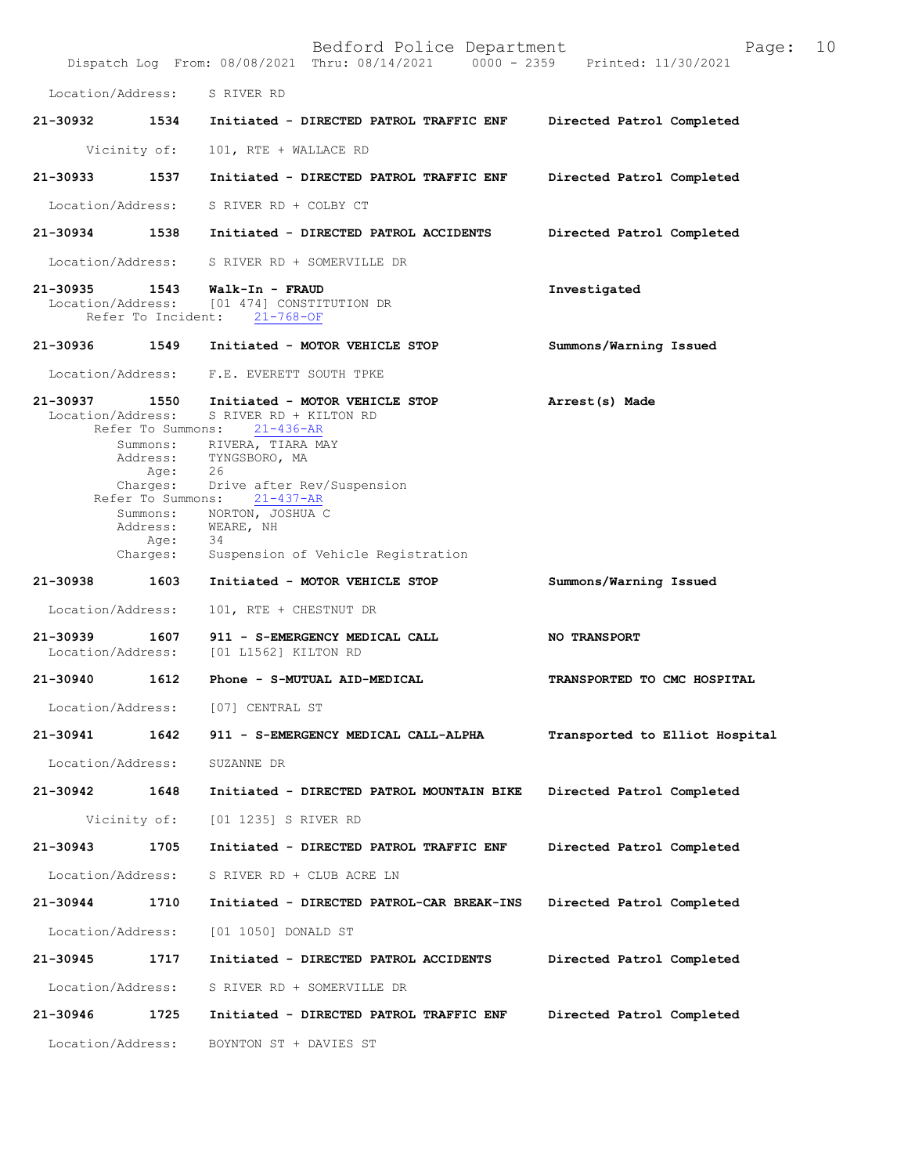|                               |                                       | Bedford Police Department<br>Dispatch Log From: 08/08/2021 Thru: 08/14/2021 0000 - 2359 Printed: 11/30/2021                                                                                                                                                                                                                  | 10<br>Page:                    |
|-------------------------------|---------------------------------------|------------------------------------------------------------------------------------------------------------------------------------------------------------------------------------------------------------------------------------------------------------------------------------------------------------------------------|--------------------------------|
|                               |                                       | Location/Address: S RIVER RD                                                                                                                                                                                                                                                                                                 |                                |
|                               |                                       | 21-30932 1534 Initiated - DIRECTED PATROL TRAFFIC ENF                                                                                                                                                                                                                                                                        | Directed Patrol Completed      |
|                               | Vicinity of:                          | 101, RTE + WALLACE RD                                                                                                                                                                                                                                                                                                        |                                |
| 21-30933                      | 1537                                  | Initiated - DIRECTED PATROL TRAFFIC ENF                                                                                                                                                                                                                                                                                      | Directed Patrol Completed      |
|                               |                                       | Location/Address: S RIVER RD + COLBY CT                                                                                                                                                                                                                                                                                      |                                |
| 21-30934 1538                 |                                       | Initiated - DIRECTED PATROL ACCIDENTS                                                                                                                                                                                                                                                                                        | Directed Patrol Completed      |
|                               |                                       | Location/Address: S RIVER RD + SOMERVILLE DR                                                                                                                                                                                                                                                                                 |                                |
| 21-30935 1543                 |                                       | Walk-In - FRAUD<br>Location/Address: [01 474] CONSTITUTION DR<br>Refer To Incident: 21-768-OF                                                                                                                                                                                                                                | Investigated                   |
| 21-30936                      | 1549                                  | Initiated - MOTOR VEHICLE STOP                                                                                                                                                                                                                                                                                               | Summons/Warning Issued         |
|                               |                                       | Location/Address: F.E. EVERETT SOUTH TPKE                                                                                                                                                                                                                                                                                    |                                |
| Location/Address:             | Refer To Summons:<br>Age:<br>Charges: | 21-30937 1550 Initiated - MOTOR VEHICLE STOP<br>S RIVER RD + KILTON RD<br>21-436-AR<br>Summons: RIVERA, TIARA MAY<br>Address: TYNGSBORO, MA<br>Age: 26<br>Charges: Drive after Rev/Suspension<br>Refer To Summons: 21-437-AR<br>Summons: NORTON, JOSHUA C<br>Address: WEARE, NH<br>-34<br>Suspension of Vehicle Registration | Arrest(s) Made                 |
| 21-30938                      | 1603                                  | Initiated - MOTOR VEHICLE STOP                                                                                                                                                                                                                                                                                               | Summons/Warning Issued         |
| Location/Address:             |                                       | 101, RTE + CHESTNUT DR                                                                                                                                                                                                                                                                                                       |                                |
| 21-30939<br>Location/Address: | 1607                                  | 911 - S-EMERGENCY MEDICAL CALL<br>[01 L1562] KILTON RD                                                                                                                                                                                                                                                                       | <b>NO TRANSPORT</b>            |
| 21-30940 1612                 |                                       | Phone - S-MUTUAL AID-MEDICAL                                                                                                                                                                                                                                                                                                 | TRANSPORTED TO CMC HOSPITAL    |
|                               |                                       | Location/Address: [07] CENTRAL ST                                                                                                                                                                                                                                                                                            |                                |
| 21-30941                      | 1642                                  | 911 - S-EMERGENCY MEDICAL CALL-ALPHA                                                                                                                                                                                                                                                                                         | Transported to Elliot Hospital |
| Location/Address:             |                                       | SUZANNE DR                                                                                                                                                                                                                                                                                                                   |                                |
| 21-30942                      | 1648                                  | Initiated - DIRECTED PATROL MOUNTAIN BIKE                                                                                                                                                                                                                                                                                    | Directed Patrol Completed      |
|                               | Vicinity of:                          | [01 1235] S RIVER RD                                                                                                                                                                                                                                                                                                         |                                |
| 21-30943                      | 1705                                  | Initiated - DIRECTED PATROL TRAFFIC ENF                                                                                                                                                                                                                                                                                      | Directed Patrol Completed      |
| Location/Address:             |                                       | S RIVER RD + CLUB ACRE LN                                                                                                                                                                                                                                                                                                    |                                |
| 21-30944                      | 1710                                  | Initiated - DIRECTED PATROL-CAR BREAK-INS                                                                                                                                                                                                                                                                                    | Directed Patrol Completed      |
| Location/Address:             |                                       | [01 1050] DONALD ST                                                                                                                                                                                                                                                                                                          |                                |
| 21-30945                      | 1717                                  | Initiated - DIRECTED PATROL ACCIDENTS                                                                                                                                                                                                                                                                                        | Directed Patrol Completed      |
| Location/Address:             |                                       | S RIVER RD + SOMERVILLE DR                                                                                                                                                                                                                                                                                                   |                                |
| 21-30946                      | 1725                                  | Initiated - DIRECTED PATROL TRAFFIC ENF                                                                                                                                                                                                                                                                                      | Directed Patrol Completed      |
| Location/Address:             |                                       | BOYNTON ST + DAVIES ST                                                                                                                                                                                                                                                                                                       |                                |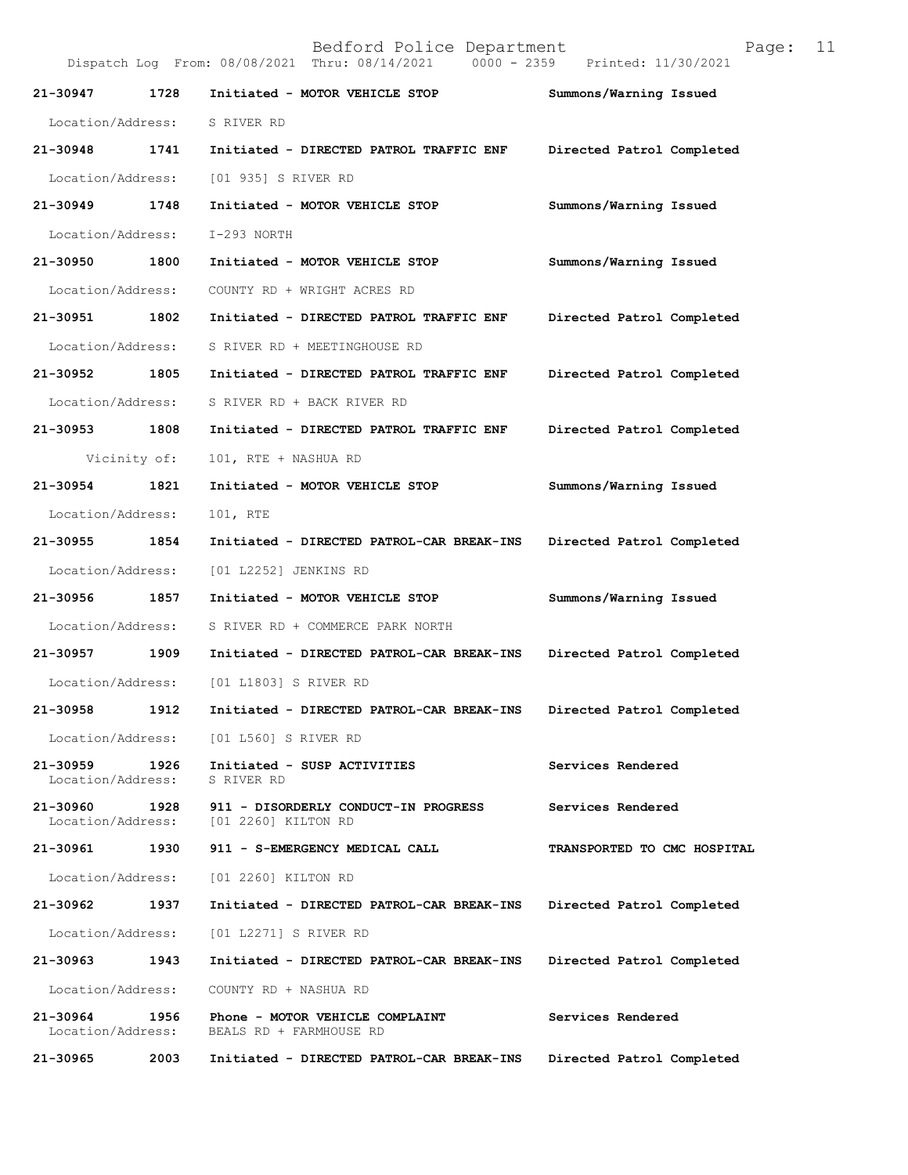| Bedford Police Department<br>11<br>Page:<br>Dispatch Log From: 08/08/2021 Thru: 08/14/2021<br>0000 - 2359 Printed: 11/30/2021 |              |                                                             |                             |
|-------------------------------------------------------------------------------------------------------------------------------|--------------|-------------------------------------------------------------|-----------------------------|
| 21-30947                                                                                                                      | 1728         | Initiated - MOTOR VEHICLE STOP                              | Summons/Warning Issued      |
| Location/Address:                                                                                                             |              | S RIVER RD                                                  |                             |
| 21-30948                                                                                                                      | 1741         | Initiated - DIRECTED PATROL TRAFFIC ENF                     | Directed Patrol Completed   |
| Location/Address:                                                                                                             |              | [01 935] S RIVER RD                                         |                             |
| 21-30949                                                                                                                      | 1748         | Initiated - MOTOR VEHICLE STOP                              | Summons/Warning Issued      |
| Location/Address:                                                                                                             |              | I-293 NORTH                                                 |                             |
| 21-30950                                                                                                                      | 1800         | Initiated - MOTOR VEHICLE STOP                              | Summons/Warning Issued      |
| Location/Address:                                                                                                             |              | COUNTY RD + WRIGHT ACRES RD                                 |                             |
| 21-30951                                                                                                                      | 1802         | Initiated - DIRECTED PATROL TRAFFIC ENF                     | Directed Patrol Completed   |
| Location/Address:                                                                                                             |              | S RIVER RD + MEETINGHOUSE RD                                |                             |
| 21-30952                                                                                                                      | 1805         | Initiated - DIRECTED PATROL TRAFFIC ENF                     | Directed Patrol Completed   |
| Location/Address:                                                                                                             |              | S RIVER RD + BACK RIVER RD                                  |                             |
| 21-30953                                                                                                                      | 1808         | Initiated - DIRECTED PATROL TRAFFIC ENF                     | Directed Patrol Completed   |
|                                                                                                                               | Vicinity of: | 101, RTE + NASHUA RD                                        |                             |
| 21-30954                                                                                                                      | 1821         | Initiated - MOTOR VEHICLE STOP                              | Summons/Warning Issued      |
| Location/Address:                                                                                                             |              | 101, RTE                                                    |                             |
| 21-30955                                                                                                                      | 1854         | Initiated - DIRECTED PATROL-CAR BREAK-INS                   | Directed Patrol Completed   |
| Location/Address:                                                                                                             |              | [01 L2252] JENKINS RD                                       |                             |
| 21-30956                                                                                                                      | 1857         | Initiated - MOTOR VEHICLE STOP                              | Summons/Warning Issued      |
| Location/Address:                                                                                                             |              | S RIVER RD + COMMERCE PARK NORTH                            |                             |
| 21-30957                                                                                                                      | 1909         | Initiated - DIRECTED PATROL-CAR BREAK-INS                   | Directed Patrol Completed   |
| Location/Address:                                                                                                             |              | [01 L1803] S RIVER RD                                       |                             |
| 21-30958                                                                                                                      | 1912         | Initiated - DIRECTED PATROL-CAR BREAK-INS                   | Directed Patrol Completed   |
| Location/Address:                                                                                                             |              | [01 L560] S RIVER RD                                        |                             |
| 21-30959<br>Location/Address:                                                                                                 | 1926         | Initiated - SUSP ACTIVITIES<br>S RIVER RD                   | Services Rendered           |
| 21-30960<br>Location/Address:                                                                                                 | 1928         | 911 - DISORDERLY CONDUCT-IN PROGRESS<br>[01 2260] KILTON RD | Services Rendered           |
| 21-30961                                                                                                                      | 1930         | 911 - S-EMERGENCY MEDICAL CALL                              | TRANSPORTED TO CMC HOSPITAL |
| Location/Address:                                                                                                             |              | [01 2260] KILTON RD                                         |                             |
| 21-30962                                                                                                                      | 1937         | Initiated - DIRECTED PATROL-CAR BREAK-INS                   | Directed Patrol Completed   |
| Location/Address:                                                                                                             |              | [01 L2271] S RIVER RD                                       |                             |
| 21-30963                                                                                                                      | 1943         | Initiated - DIRECTED PATROL-CAR BREAK-INS                   | Directed Patrol Completed   |
| Location/Address:                                                                                                             |              | COUNTY RD + NASHUA RD                                       |                             |
| 21-30964<br>Location/Address:                                                                                                 | 1956         | Phone - MOTOR VEHICLE COMPLAINT<br>BEALS RD + FARMHOUSE RD  | Services Rendered           |
| 21-30965                                                                                                                      | 2003         | Initiated - DIRECTED PATROL-CAR BREAK-INS                   | Directed Patrol Completed   |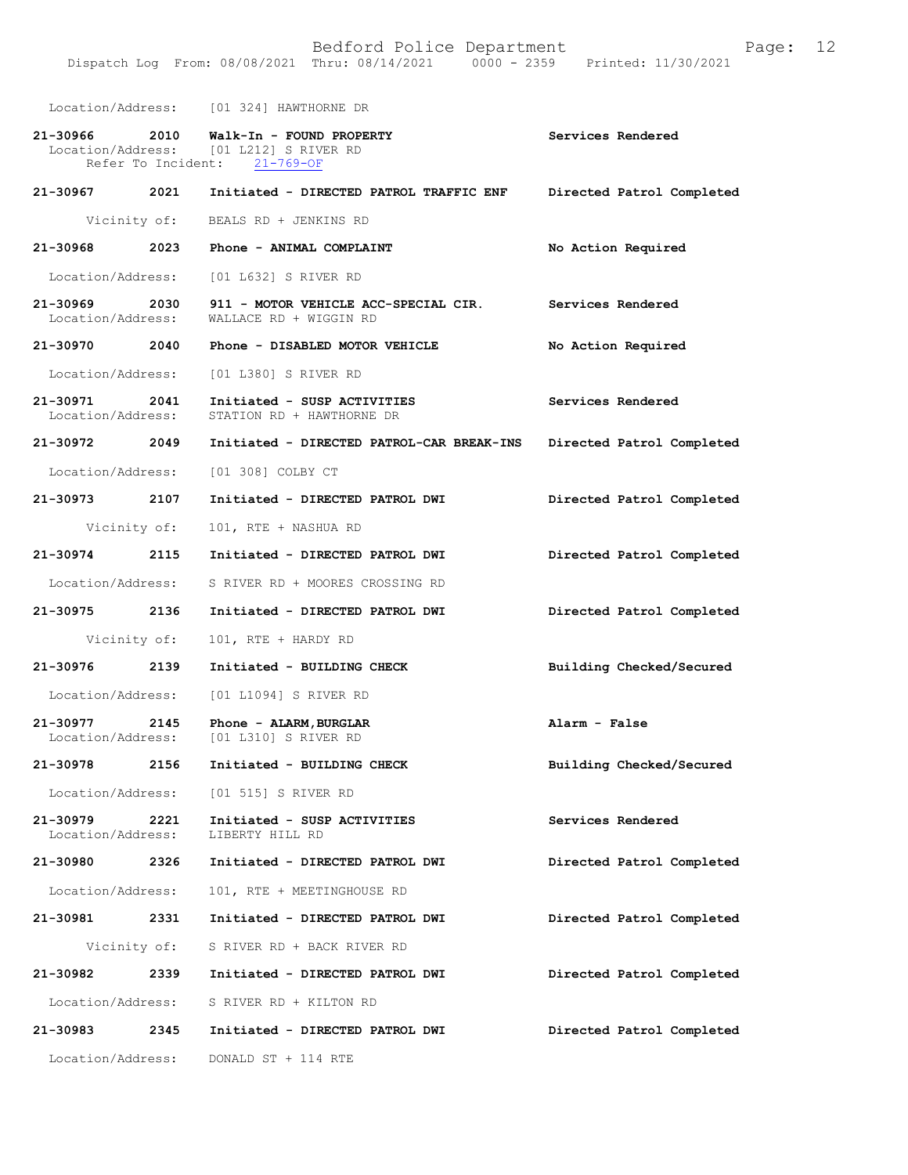Location/Address: [01 324] HAWTHORNE DR

| 21-30966                           | 2010 | Walk-In - FOUND PROPERTY<br>Location/Address: [01 L212] S RIVER RD<br>Refer To Incident: 21-769-OF | Services Rendered         |
|------------------------------------|------|----------------------------------------------------------------------------------------------------|---------------------------|
| 21-30967 2021                      |      | Initiated - DIRECTED PATROL TRAFFIC ENF                                                            | Directed Patrol Completed |
| Vicinity of:                       |      | BEALS RD + JENKINS RD                                                                              |                           |
| 21-30968                           | 2023 | Phone - ANIMAL COMPLAINT                                                                           | No Action Required        |
|                                    |      | Location/Address: [01 L632] S RIVER RD                                                             |                           |
| 21-30969 2030<br>Location/Address: |      | 911 - MOTOR VEHICLE ACC-SPECIAL CIR.<br>WALLACE RD + WIGGIN RD                                     | Services Rendered         |
| 21-30970                           |      | 2040 Phone - DISABLED MOTOR VEHICLE                                                                | No Action Required        |
|                                    |      | Location/Address: [01 L380] S RIVER RD                                                             |                           |
| 21-30971 2041<br>Location/Address: |      | Initiated - SUSP ACTIVITIES<br>STATION RD + HAWTHORNE DR                                           | Services Rendered         |
| 21-30972 2049                      |      | Initiated - DIRECTED PATROL-CAR BREAK-INS                                                          | Directed Patrol Completed |
|                                    |      | Location/Address: [01 308] COLBY CT                                                                |                           |
| 21-30973 2107                      |      | Initiated - DIRECTED PATROL DWI                                                                    | Directed Patrol Completed |
| Vicinity of:                       |      | 101, RTE + NASHUA RD                                                                               |                           |
| 21-30974                           | 2115 | Initiated - DIRECTED PATROL DWI                                                                    | Directed Patrol Completed |
| Location/Address:                  |      | S RIVER RD + MOORES CROSSING RD                                                                    |                           |
| 21-30975 2136                      |      | Initiated - DIRECTED PATROL DWI                                                                    | Directed Patrol Completed |
| Vicinity of:                       |      | 101, RTE + HARDY RD                                                                                |                           |
| 21-30976                           | 2139 | Initiated - BUILDING CHECK                                                                         | Building Checked/Secured  |
| Location/Address:                  |      | [01 L1094] S RIVER RD                                                                              |                           |
| 21-30977 2145                      |      | Phone - ALARM, BURGLAR<br>Location/Address: [01 L310] S RIVER RD                                   | Alarm - False             |
| 21-30978                           | 2156 | Initiated - BUILDING CHECK                                                                         | Building Checked/Secured  |
| Location/Address:                  |      | [01 515] S RIVER RD                                                                                |                           |
| 21-30979<br>Location/Address:      | 2221 | Initiated - SUSP ACTIVITIES<br>LIBERTY HILL RD                                                     | Services Rendered         |
| 21-30980                           | 2326 | Initiated - DIRECTED PATROL DWI                                                                    | Directed Patrol Completed |
| Location/Address:                  |      | 101, RTE + MEETINGHOUSE RD                                                                         |                           |
| 21-30981                           | 2331 | Initiated - DIRECTED PATROL DWI                                                                    | Directed Patrol Completed |
|                                    |      | Vicinity of: S RIVER RD + BACK RIVER RD                                                            |                           |
| 21-30982                           | 2339 | Initiated - DIRECTED PATROL DWI                                                                    | Directed Patrol Completed |
|                                    |      | Location/Address: S RIVER RD + KILTON RD                                                           |                           |
| 21-30983                           | 2345 | Initiated - DIRECTED PATROL DWI                                                                    | Directed Patrol Completed |
| Location/Address:                  |      | DONALD ST + 114 RTE                                                                                |                           |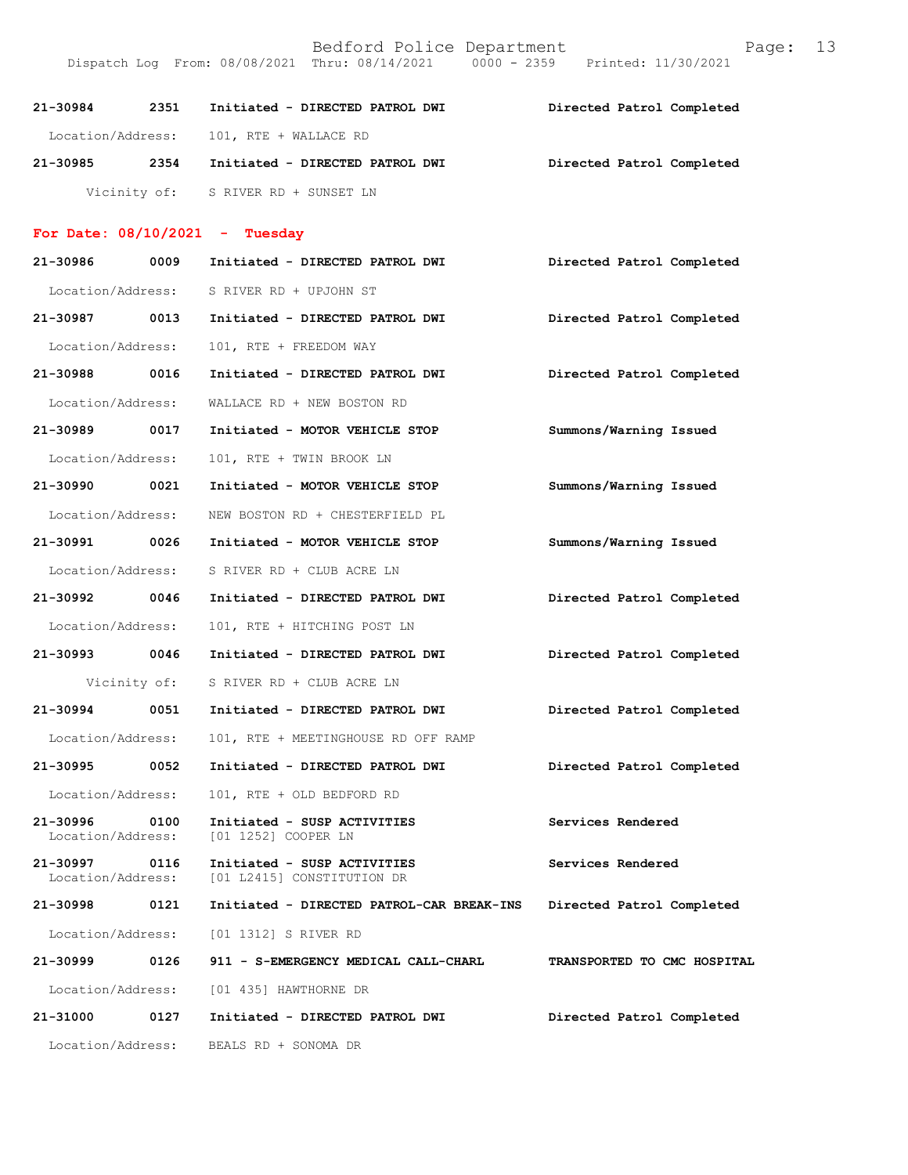| Bedford Police Department                                                      | Page: 13 |  |
|--------------------------------------------------------------------------------|----------|--|
| Dispatch Log From: 08/08/2021 Thru: 08/14/2021 0000 - 2359 Printed: 11/30/2021 |          |  |

| 21-30984 | 2351 | Initiated - DIRECTED PATROL DWI         |  | Directed Patrol Completed |
|----------|------|-----------------------------------------|--|---------------------------|
|          |      | Location/Address: 101, RTE + WALLACE RD |  |                           |
| 21-30985 | 2354 | Initiated - DIRECTED PATROL DWI         |  | Directed Patrol Completed |
|          |      | Vicinity of: S RIVER RD + SUNSET LN     |  |                           |

## For Date:  $08/10/2021$  - Tuesday

| 21-30986                           | 0009         | Initiated - DIRECTED PATROL DWI                           | Directed Patrol Completed   |
|------------------------------------|--------------|-----------------------------------------------------------|-----------------------------|
| Location/Address:                  |              | S RIVER RD + UPJOHN ST                                    |                             |
| 21-30987 0013                      |              | Initiated - DIRECTED PATROL DWI                           | Directed Patrol Completed   |
| Location/Address:                  |              | 101, RTE + FREEDOM WAY                                    |                             |
| 21-30988 0016                      |              | Initiated - DIRECTED PATROL DWI                           | Directed Patrol Completed   |
| Location/Address:                  |              | WALLACE RD + NEW BOSTON RD                                |                             |
| 21-30989                           | 0017         | Initiated - MOTOR VEHICLE STOP                            | Summons/Warning Issued      |
| Location/Address:                  |              | 101, RTE + TWIN BROOK LN                                  |                             |
| 21-30990 0021                      |              | Initiated - MOTOR VEHICLE STOP                            | Summons/Warning Issued      |
| Location/Address:                  |              | NEW BOSTON RD + CHESTERFIELD PL                           |                             |
| 21-30991 0026                      |              | Initiated - MOTOR VEHICLE STOP                            | Summons/Warning Issued      |
| Location/Address:                  |              | S RIVER RD + CLUB ACRE LN                                 |                             |
| 21-30992 0046                      |              | Initiated - DIRECTED PATROL DWI                           | Directed Patrol Completed   |
| Location/Address:                  |              | 101, RTE + HITCHING POST LN                               |                             |
| 21-30993 0046                      |              | Initiated - DIRECTED PATROL DWI                           | Directed Patrol Completed   |
|                                    | Vicinity of: | S RIVER RD + CLUB ACRE LN                                 |                             |
| 21-30994 0051                      |              | Initiated - DIRECTED PATROL DWI                           | Directed Patrol Completed   |
| Location/Address:                  |              | 101, RTE + MEETINGHOUSE RD OFF RAMP                       |                             |
| 21-30995 0052                      |              | Initiated - DIRECTED PATROL DWI                           | Directed Patrol Completed   |
| Location/Address:                  |              | 101, RTE + OLD BEDFORD RD                                 |                             |
| 21-30996<br>Location/Address:      | 0100         | Initiated - SUSP ACTIVITIES<br>[01 1252] COOPER LN        | Services Rendered           |
| 21-30997 0116<br>Location/Address: |              | Initiated - SUSP ACTIVITIES<br>[01 L2415] CONSTITUTION DR | Services Rendered           |
| 21-30998                           | 0121         | Initiated - DIRECTED PATROL-CAR BREAK-INS                 | Directed Patrol Completed   |
| Location/Address:                  |              | [01 1312] S RIVER RD                                      |                             |
| 21-30999                           | 0126         | 911 - S-EMERGENCY MEDICAL CALL-CHARL                      | TRANSPORTED TO CMC HOSPITAL |
| Location/Address:                  |              | [01 435] HAWTHORNE DR                                     |                             |
| 21-31000                           | 0127         | Initiated - DIRECTED PATROL DWI                           | Directed Patrol Completed   |
| Location/Address:                  |              | BEALS RD + SONOMA DR                                      |                             |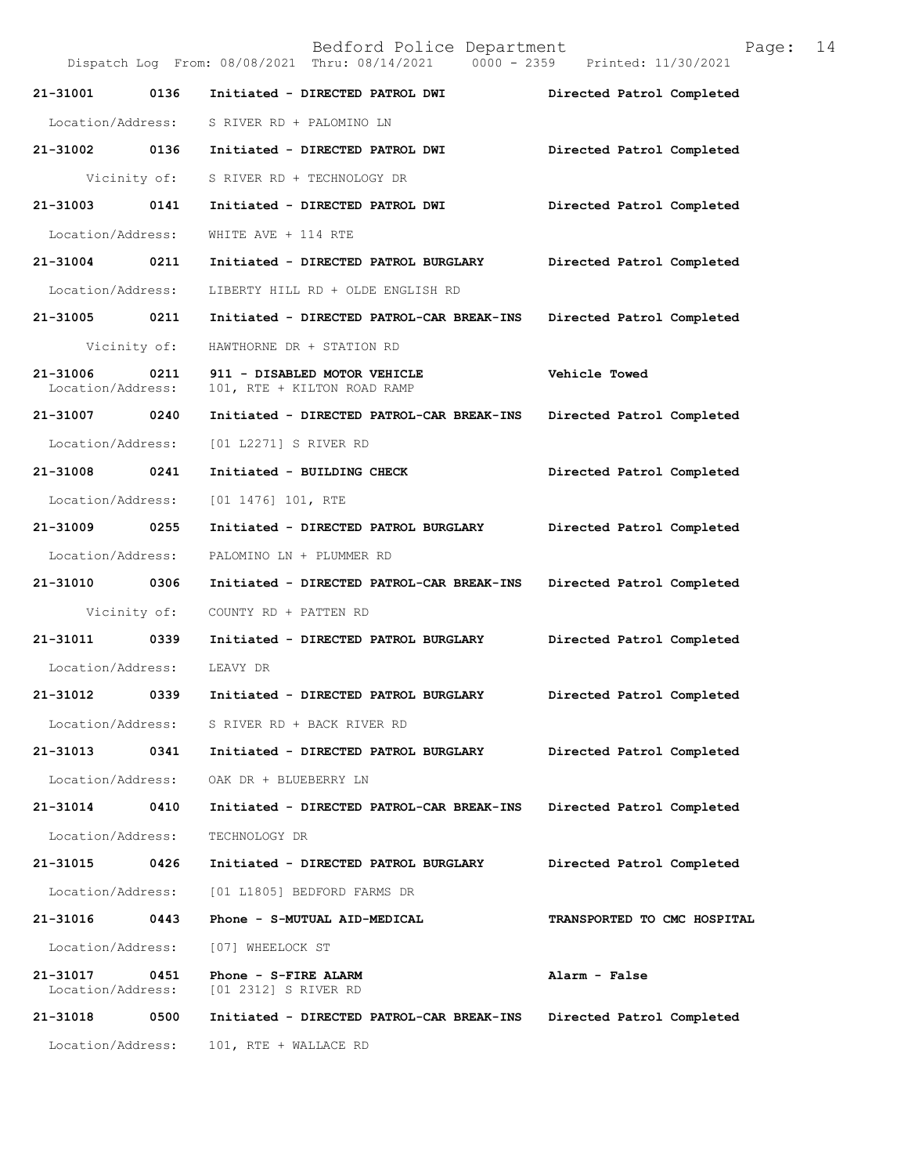|                               |              | Bedford Police Department<br>Dispatch Log From: 08/08/2021 Thru: 08/14/2021 0000 - 2359 Printed: 11/30/2021 | 14<br>Page:                 |
|-------------------------------|--------------|-------------------------------------------------------------------------------------------------------------|-----------------------------|
| 21-31001 0136                 |              | Initiated - DIRECTED PATROL DWI                                                                             | Directed Patrol Completed   |
|                               |              | Location/Address: S RIVER RD + PALOMINO LN                                                                  |                             |
| 21-31002                      | 0136         | Initiated - DIRECTED PATROL DWI                                                                             | Directed Patrol Completed   |
|                               |              | Vicinity of: S RIVER RD + TECHNOLOGY DR                                                                     |                             |
| 21-31003                      | 0141         | Initiated - DIRECTED PATROL DWI                                                                             | Directed Patrol Completed   |
| Location/Address:             |              | WHITE AVE + 114 RTE                                                                                         |                             |
| 21-31004 0211                 |              | Initiated - DIRECTED PATROL BURGLARY                                                                        | Directed Patrol Completed   |
| Location/Address:             |              | LIBERTY HILL RD + OLDE ENGLISH RD                                                                           |                             |
| 21-31005 0211                 |              | Initiated - DIRECTED PATROL-CAR BREAK-INS                                                                   | Directed Patrol Completed   |
|                               | Vicinity of: | HAWTHORNE DR + STATION RD                                                                                   |                             |
| 21-31006<br>Location/Address: | 0211         | 911 - DISABLED MOTOR VEHICLE<br>101, RTE + KILTON ROAD RAMP                                                 | Vehicle Towed               |
| 21-31007                      | 0240         | Initiated - DIRECTED PATROL-CAR BREAK-INS                                                                   | Directed Patrol Completed   |
| Location/Address:             |              | [01 L2271] S RIVER RD                                                                                       |                             |
| 21-31008                      | 0241         | Initiated - BUILDING CHECK                                                                                  | Directed Patrol Completed   |
| Location/Address:             |              | $[01 1476] 101$ , RTE                                                                                       |                             |
| 21-31009                      | 0255         | Initiated - DIRECTED PATROL BURGLARY                                                                        | Directed Patrol Completed   |
| Location/Address:             |              | PALOMINO LN + PLUMMER RD                                                                                    |                             |
| 21-31010 0306                 |              | Initiated - DIRECTED PATROL-CAR BREAK-INS                                                                   | Directed Patrol Completed   |
|                               | Vicinity of: | COUNTY RD + PATTEN RD                                                                                       |                             |
| 21-31011 0339                 |              | Initiated - DIRECTED PATROL BURGLARY                                                                        | Directed Patrol Completed   |
| Location/Address:             |              | LEAVY DR                                                                                                    |                             |
| 21-31012 0339                 |              | Initiated - DIRECTED PATROL BURGLARY                                                                        | Directed Patrol Completed   |
| Location/Address:             |              | S RIVER RD + BACK RIVER RD                                                                                  |                             |
| 21-31013                      | 0341         | Initiated - DIRECTED PATROL BURGLARY                                                                        | Directed Patrol Completed   |
| Location/Address:             |              | OAK DR + BLUEBERRY LN                                                                                       |                             |
| 21-31014                      | 0410         | Initiated - DIRECTED PATROL-CAR BREAK-INS                                                                   | Directed Patrol Completed   |
| Location/Address:             |              | TECHNOLOGY DR                                                                                               |                             |
| 21-31015                      | 0426         | Initiated - DIRECTED PATROL BURGLARY                                                                        | Directed Patrol Completed   |
| Location/Address:             |              | [01 L1805] BEDFORD FARMS DR                                                                                 |                             |
| 21-31016                      | 0443         | Phone - S-MUTUAL AID-MEDICAL                                                                                | TRANSPORTED TO CMC HOSPITAL |
| Location/Address:             |              | [07] WHEELOCK ST                                                                                            |                             |
| 21-31017<br>Location/Address: | 0451         | Phone - S-FIRE ALARM<br>[01 2312] S RIVER RD                                                                | Alarm - False               |
| 21-31018                      | 0500         | Initiated - DIRECTED PATROL-CAR BREAK-INS                                                                   | Directed Patrol Completed   |
| Location/Address:             |              | 101, RTE + WALLACE RD                                                                                       |                             |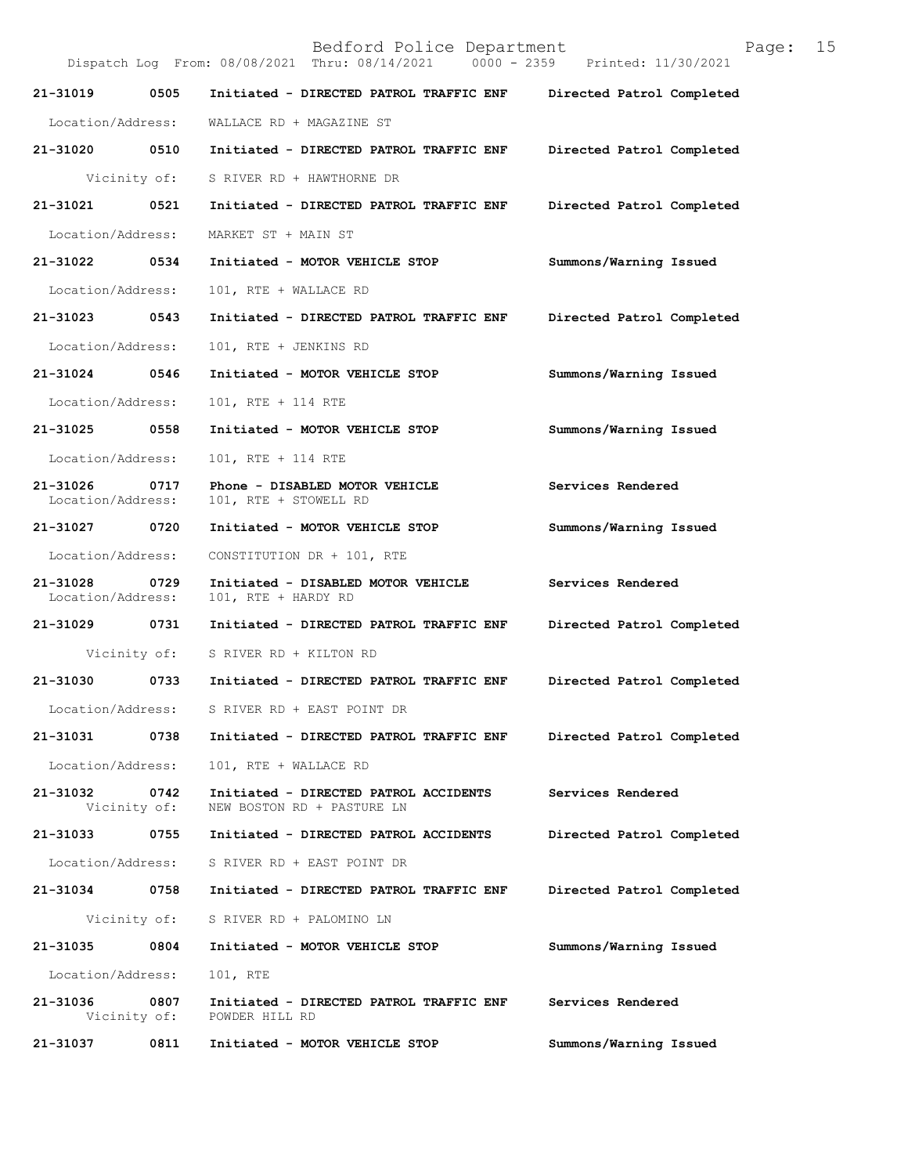|                               |                      | Bedford Police Department<br>Dispatch Log From: 08/08/2021 Thru: 08/14/2021<br>$0000 - 2359$ | 15<br>Page:<br>Printed: 11/30/2021 |
|-------------------------------|----------------------|----------------------------------------------------------------------------------------------|------------------------------------|
| 21-31019                      | 0505                 | Initiated - DIRECTED PATROL TRAFFIC ENF                                                      | Directed Patrol Completed          |
| Location/Address:             |                      | WALLACE RD + MAGAZINE ST                                                                     |                                    |
| 21-31020                      | 0510                 | Initiated - DIRECTED PATROL TRAFFIC ENF                                                      | Directed Patrol Completed          |
|                               | Vicinity of:         | S RIVER RD + HAWTHORNE DR                                                                    |                                    |
| 21-31021                      | 0521                 | Initiated - DIRECTED PATROL TRAFFIC ENF                                                      | Directed Patrol Completed          |
| Location/Address:             |                      | MARKET ST + MAIN ST                                                                          |                                    |
| 21-31022                      | 0534                 | Initiated - MOTOR VEHICLE STOP                                                               | Summons/Warning Issued             |
| Location/Address:             |                      | 101, RTE + WALLACE RD                                                                        |                                    |
| 21-31023                      | 0543                 | Initiated - DIRECTED PATROL TRAFFIC ENF                                                      | Directed Patrol Completed          |
| Location/Address:             |                      | 101, RTE + JENKINS RD                                                                        |                                    |
| 21-31024                      | 0546                 | Initiated - MOTOR VEHICLE STOP                                                               | Summons/Warning Issued             |
| Location/Address:             |                      | 101, RTE + 114 RTE                                                                           |                                    |
| 21-31025                      | 0558                 | Initiated - MOTOR VEHICLE STOP                                                               | Summons/Warning Issued             |
| Location/Address:             |                      | 101, RTE + 114 RTE                                                                           |                                    |
| 21-31026<br>Location/Address: | 0717                 | Phone - DISABLED MOTOR VEHICLE<br>101, RTE + STOWELL RD                                      | Services Rendered                  |
| 21-31027                      | 0720                 | Initiated - MOTOR VEHICLE STOP                                                               | Summons/Warning Issued             |
| Location/Address:             |                      | CONSTITUTION DR + 101, RTE                                                                   |                                    |
| 21-31028<br>Location/Address: | 0729                 | Initiated - DISABLED MOTOR VEHICLE<br>101, RTE + HARDY RD                                    | Services Rendered                  |
| 21-31029                      | 0731                 | Initiated - DIRECTED PATROL TRAFFIC ENF                                                      | Directed Patrol Completed          |
|                               | Vicinity of:         | S RIVER RD + KILTON RD                                                                       |                                    |
| 21-31030                      | 0733                 | Initiated - DIRECTED PATROL TRAFFIC ENF                                                      | Directed Patrol Completed          |
|                               |                      | Location/Address: S RIVER RD + EAST POINT DR                                                 |                                    |
| 21-31031                      | 0738                 | Initiated - DIRECTED PATROL TRAFFIC ENF                                                      | Directed Patrol Completed          |
| Location/Address:             |                      | 101, RTE + WALLACE RD                                                                        |                                    |
| 21-31032                      | 0742<br>Vicinity of: | Initiated - DIRECTED PATROL ACCIDENTS<br>NEW BOSTON RD + PASTURE LN                          | Services Rendered                  |
| 21-31033                      | 0755                 | Initiated - DIRECTED PATROL ACCIDENTS                                                        | Directed Patrol Completed          |
| Location/Address:             |                      | S RIVER RD + EAST POINT DR                                                                   |                                    |
| 21-31034                      | 0758                 | Initiated - DIRECTED PATROL TRAFFIC ENF                                                      | Directed Patrol Completed          |
|                               | Vicinity of:         | S RIVER RD + PALOMINO LN                                                                     |                                    |
| 21-31035                      | 0804                 | Initiated - MOTOR VEHICLE STOP                                                               | Summons/Warning Issued             |
| Location/Address:             |                      | 101, RTE                                                                                     |                                    |
| 21-31036                      | 0807<br>Vicinity of: | Initiated - DIRECTED PATROL TRAFFIC ENF<br>POWDER HILL RD                                    | Services Rendered                  |
| 21-31037                      | 0811                 | Initiated - MOTOR VEHICLE STOP                                                               | Summons/Warning Issued             |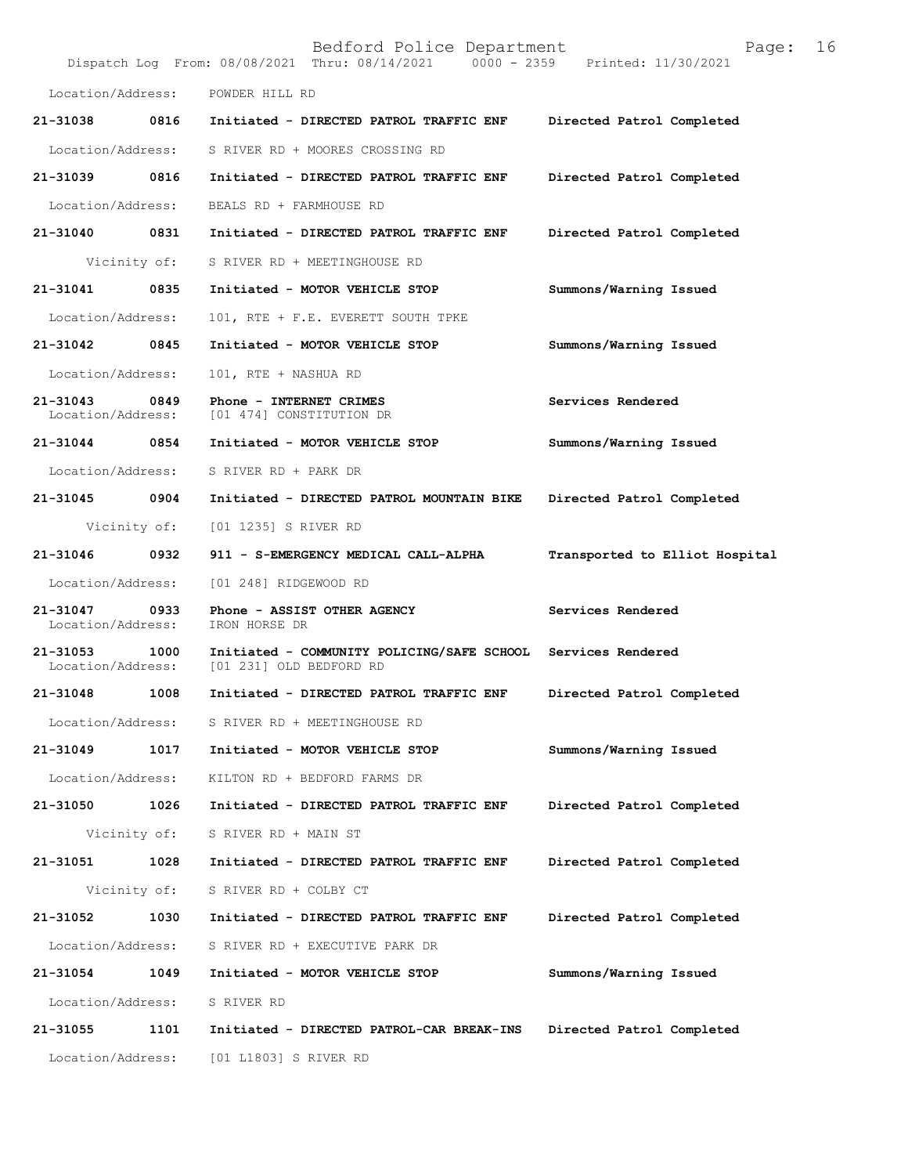|                               |              | Bedford Police Department<br>Dispatch Log From: 08/08/2021 Thru: 08/14/2021 0000 - 2359 Printed: 11/30/2021 | Page:                          | 16 |
|-------------------------------|--------------|-------------------------------------------------------------------------------------------------------------|--------------------------------|----|
| Location/Address:             |              | POWDER HILL RD                                                                                              |                                |    |
| 21-31038 0816                 |              | Initiated - DIRECTED PATROL TRAFFIC ENF                                                                     | Directed Patrol Completed      |    |
| Location/Address:             |              | S RIVER RD + MOORES CROSSING RD                                                                             |                                |    |
| 21-31039                      | 0816         | Initiated - DIRECTED PATROL TRAFFIC ENF                                                                     | Directed Patrol Completed      |    |
| Location/Address:             |              | BEALS RD + FARMHOUSE RD                                                                                     |                                |    |
| 21-31040                      | 0831         | Initiated - DIRECTED PATROL TRAFFIC ENF                                                                     | Directed Patrol Completed      |    |
|                               | Vicinity of: | S RIVER RD + MEETINGHOUSE RD                                                                                |                                |    |
| 21-31041                      | 0835         | Initiated - MOTOR VEHICLE STOP                                                                              | Summons/Warning Issued         |    |
| Location/Address:             |              | 101, RTE + F.E. EVERETT SOUTH TPKE                                                                          |                                |    |
| 21-31042                      | 0845         | Initiated - MOTOR VEHICLE STOP                                                                              | Summons/Warning Issued         |    |
| Location/Address:             |              | 101, RTE + NASHUA RD                                                                                        |                                |    |
| 21-31043<br>Location/Address: | 0849         | Phone - INTERNET CRIMES<br>[01 474] CONSTITUTION DR                                                         | Services Rendered              |    |
| 21-31044                      | 0854         | Initiated - MOTOR VEHICLE STOP                                                                              | Summons/Warning Issued         |    |
| Location/Address:             |              | S RIVER RD + PARK DR                                                                                        |                                |    |
| 21-31045                      | 0904         | Initiated - DIRECTED PATROL MOUNTAIN BIKE                                                                   | Directed Patrol Completed      |    |
|                               | Vicinity of: | [01 1235] S RIVER RD                                                                                        |                                |    |
| 21-31046                      | 0932         | 911 - S-EMERGENCY MEDICAL CALL-ALPHA                                                                        | Transported to Elliot Hospital |    |
| Location/Address:             |              | [01 248] RIDGEWOOD RD                                                                                       |                                |    |
| 21-31047<br>Location/Address: | 0933         | Phone - ASSIST OTHER AGENCY<br>IRON HORSE DR                                                                | Services Rendered              |    |
| 21-31053<br>Location/Address: | 1000         | Initiated - COMMUNITY POLICING/SAFE SCHOOL<br>[01 231] OLD BEDFORD RD                                       | Services Rendered              |    |
| 21-31048                      | 1008         | Initiated - DIRECTED PATROL TRAFFIC ENF                                                                     | Directed Patrol Completed      |    |
| Location/Address:             |              | S RIVER RD + MEETINGHOUSE RD                                                                                |                                |    |
| 21-31049                      | 1017         | Initiated - MOTOR VEHICLE STOP                                                                              | Summons/Warning Issued         |    |
| Location/Address:             |              | KILTON RD + BEDFORD FARMS DR                                                                                |                                |    |
| 21-31050                      | 1026         | Initiated - DIRECTED PATROL TRAFFIC ENF                                                                     | Directed Patrol Completed      |    |
|                               | Vicinity of: | S RIVER RD + MAIN ST                                                                                        |                                |    |
| 21-31051                      | 1028         | Initiated - DIRECTED PATROL TRAFFIC ENF                                                                     | Directed Patrol Completed      |    |
|                               | Vicinity of: | S RIVER RD + COLBY CT                                                                                       |                                |    |
| 21-31052                      | 1030         | Initiated - DIRECTED PATROL TRAFFIC ENF                                                                     | Directed Patrol Completed      |    |
| Location/Address:             |              | S RIVER RD + EXECUTIVE PARK DR                                                                              |                                |    |
| 21-31054                      | 1049         | Initiated - MOTOR VEHICLE STOP                                                                              | Summons/Warning Issued         |    |
| Location/Address:             |              | S RIVER RD                                                                                                  |                                |    |
| 21-31055                      | 1101         | Initiated - DIRECTED PATROL-CAR BREAK-INS                                                                   | Directed Patrol Completed      |    |
| Location/Address:             |              | [01 L1803] S RIVER RD                                                                                       |                                |    |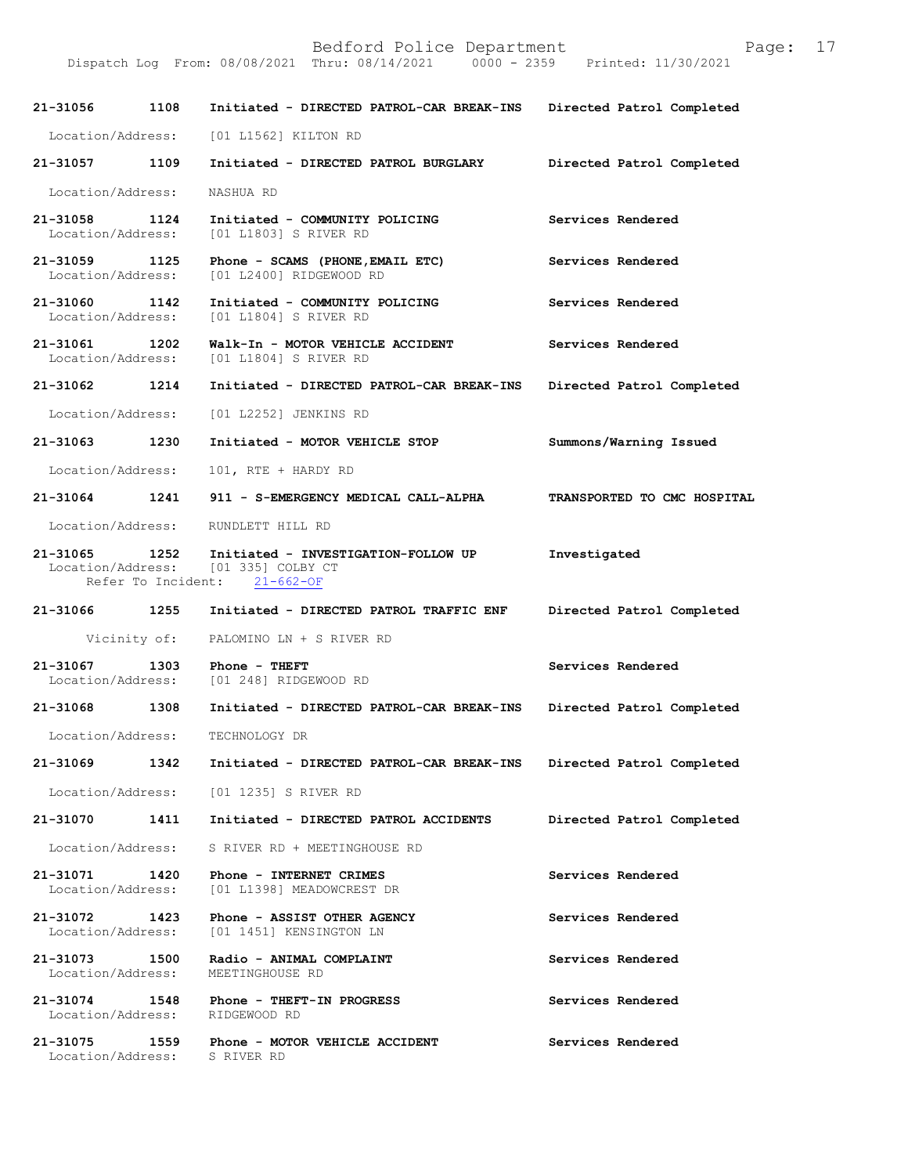| 21-31056                           | 1108         | Initiated - DIRECTED PATROL-CAR BREAK-INS                                                                  | Directed Patrol Completed   |
|------------------------------------|--------------|------------------------------------------------------------------------------------------------------------|-----------------------------|
| Location/Address:                  |              | [01 L1562] KILTON RD                                                                                       |                             |
| 21-31057 1109                      |              | Initiated - DIRECTED PATROL BURGLARY                                                                       | Directed Patrol Completed   |
| Location/Address:                  |              | NASHUA RD                                                                                                  |                             |
| 21-31058 1124<br>Location/Address: |              | Initiated - COMMUNITY POLICING<br>[01 L1803] S RIVER RD                                                    | Services Rendered           |
| 21-31059<br>Location/Address:      | 1125         | Phone - SCAMS (PHONE, EMAIL ETC)<br>[01 L2400] RIDGEWOOD RD                                                | Services Rendered           |
| 21-31060 1142<br>Location/Address: |              | Initiated - COMMUNITY POLICING<br>[01 L1804] S RIVER RD                                                    | Services Rendered           |
| 21-31061 1202<br>Location/Address: |              | Walk-In - MOTOR VEHICLE ACCIDENT<br>[01 L1804] S RIVER RD                                                  | Services Rendered           |
| 21-31062 1214                      |              | Initiated - DIRECTED PATROL-CAR BREAK-INS                                                                  | Directed Patrol Completed   |
| Location/Address:                  |              | [01 L2252] JENKINS RD                                                                                      |                             |
| 21-31063 1230                      |              | Initiated - MOTOR VEHICLE STOP                                                                             | Summons/Warning Issued      |
| Location/Address:                  |              | 101, RTE + HARDY RD                                                                                        |                             |
| $21 - 31064$                       | 1241         | 911 - S-EMERGENCY MEDICAL CALL-ALPHA                                                                       | TRANSPORTED TO CMC HOSPITAL |
| Location/Address:                  |              | RUNDLETT HILL RD                                                                                           |                             |
| 21-31065 1252                      |              | Initiated - INVESTIGATION-FOLLOW UP<br>Location/Address: [01 335] COLBY CT<br>Refer To Incident: 21-662-OF | Investigated                |
|                                    |              |                                                                                                            |                             |
| 21-31066 1255                      |              | Initiated - DIRECTED PATROL TRAFFIC ENF                                                                    | Directed Patrol Completed   |
|                                    | Vicinity of: | PALOMINO LN + S RIVER RD                                                                                   |                             |
| 21-31067<br>Location/Address:      | 1303         | Phone - THEFT<br>[01 248] RIDGEWOOD RD                                                                     | Services Rendered           |
| 21-31068                           | 1308         | Initiated - DIRECTED PATROL-CAR BREAK-INS Directed Patrol Completed                                        |                             |
| Location/Address:                  |              | TECHNOLOGY DR                                                                                              |                             |
| 21-31069                           | 1342         | Initiated - DIRECTED PATROL-CAR BREAK-INS                                                                  | Directed Patrol Completed   |
|                                    |              | Location/Address: [01 1235] S RIVER RD                                                                     |                             |
| 21-31070                           | 1411         | Initiated - DIRECTED PATROL ACCIDENTS                                                                      | Directed Patrol Completed   |
|                                    |              | Location/Address: S RIVER RD + MEETINGHOUSE RD                                                             |                             |
| 21-31071<br>Location/Address:      | 1420         | Phone - INTERNET CRIMES<br>[01 L1398] MEADOWCREST DR                                                       | Services Rendered           |
| 21-31072 1423                      |              | Phone - ASSIST OTHER AGENCY<br>Location/Address: [01 1451] KENSINGTON LN                                   | Services Rendered           |
| 21-31073<br>Location/Address:      | 1500         | Radio - ANIMAL COMPLAINT<br>MEETINGHOUSE RD                                                                | Services Rendered           |
|                                    |              | 21-31074 1548 Phone - THEFT-IN PROGRESS<br>Location/Address: RIDGEWOOD RD                                  | Services Rendered           |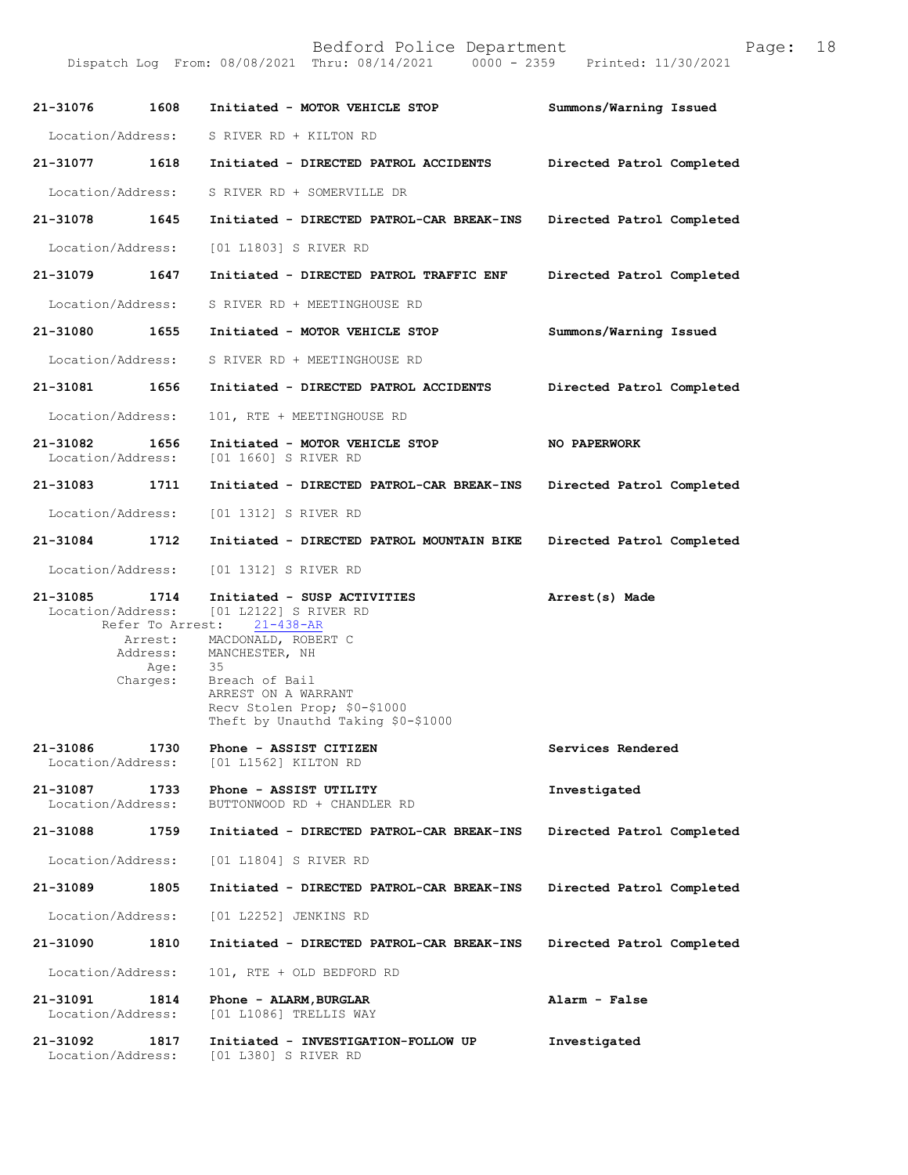Bedford Police Department<br>Thru: 08/14/2021 0000 - 2359 Printed: 11/30/2021 Dispatch Log From: 08/08/2021 Thru: 08/14/2021 21-31076 1608 Initiated - MOTOR VEHICLE STOP Summons/Warning Issued Location/Address: S RIVER RD + KILTON RD 21-31077 1618 Initiated - DIRECTED PATROL ACCIDENTS Directed Patrol Completed Location/Address: S RIVER RD + SOMERVILLE DR 21-31078 1645 Initiated - DIRECTED PATROL-CAR BREAK-INS Directed Patrol Completed Location/Address: [01 L1803] S RIVER RD 21-31079 1647 Initiated - DIRECTED PATROL TRAFFIC ENF Directed Patrol Completed Location/Address: S RIVER RD + MEETINGHOUSE RD 21-31080 1655 Initiated - MOTOR VEHICLE STOP Summons/Warning Issued Location/Address: S RIVER RD + MEETINGHOUSE RD 21-31081 1656 Initiated - DIRECTED PATROL ACCIDENTS Directed Patrol Completed Location/Address: 101, RTE + MEETINGHOUSE RD 21-31082 1656 Initiated - MOTOR VEHICLE STOP NO PAPERWORK Location/Address: [01 1660] S RIVER RD [01 1660] S RIVER RD 21-31083 1711 Initiated - DIRECTED PATROL-CAR BREAK-INS Directed Patrol Completed Location/Address: [01 1312] S RIVER RD 21-31084 1712 Initiated - DIRECTED PATROL MOUNTAIN BIKE Directed Patrol Completed Location/Address: [01 1312] S RIVER RD 21-31085 1714 Initiated - SUSPACTIVITIES Arrest(s) Made 
Location/Address: [01 L2122] S RIVER RD [01 L2122] S RIVER RD<br>st: 21-438-AR Refer To Arrest:<br>21-Arrest: MAC Services Rendered Investigated Directed Patrol Completed Directed Patrol Completed 21-31090 1810 Initiated - DIRECTED PATROL-CAR BREAK-INS Directed Patrol Completed Alarm-False Investigated Arrest: MACDONALD, ROBERT C<br>Address: MANCHESTER, NH MANCHESTER, NH<br>35 Age:<br>:Charges Breach of Bail ARREST ON A WARRANT Recv Stolen Prop; \$0-\$1000 Theft by Unauthd Taking \$0-\$1000 21-31086 1730 Phone - ASSIST CITIZEN<br>Location/Address: [01 L1562] KILTON RD [01 L1562] KILTON RD 21-31087 1733 Phone - ASSIST UTILITY<br>Location/Address: BUTTONWOOD RD + CHANDLE BUTTONWOOD RD + CHANDLER RD 21-310881759 Initiated-DIRECTEDPATROL-CARBREAK-INS Location/Address: [01 L1804] S RIVER RD 21-310891805 Initiated-DIRECTEDPATROL-CARBREAK-INS Location/Address: [01 L2252] JENKINS RD Location/Address: 101, RTE + OLD BEDFORD RD 21-31091 1814 Phone - ALARM, BURGLAR<br>Location/Address: [01 L1086] TRELLIS WAY [01 L1086] TRELLIS WAY 21-31092 1817 Initiated - INVESTIGATION-FOLLOW UP Location/Address: [01 L380] S RIVER RD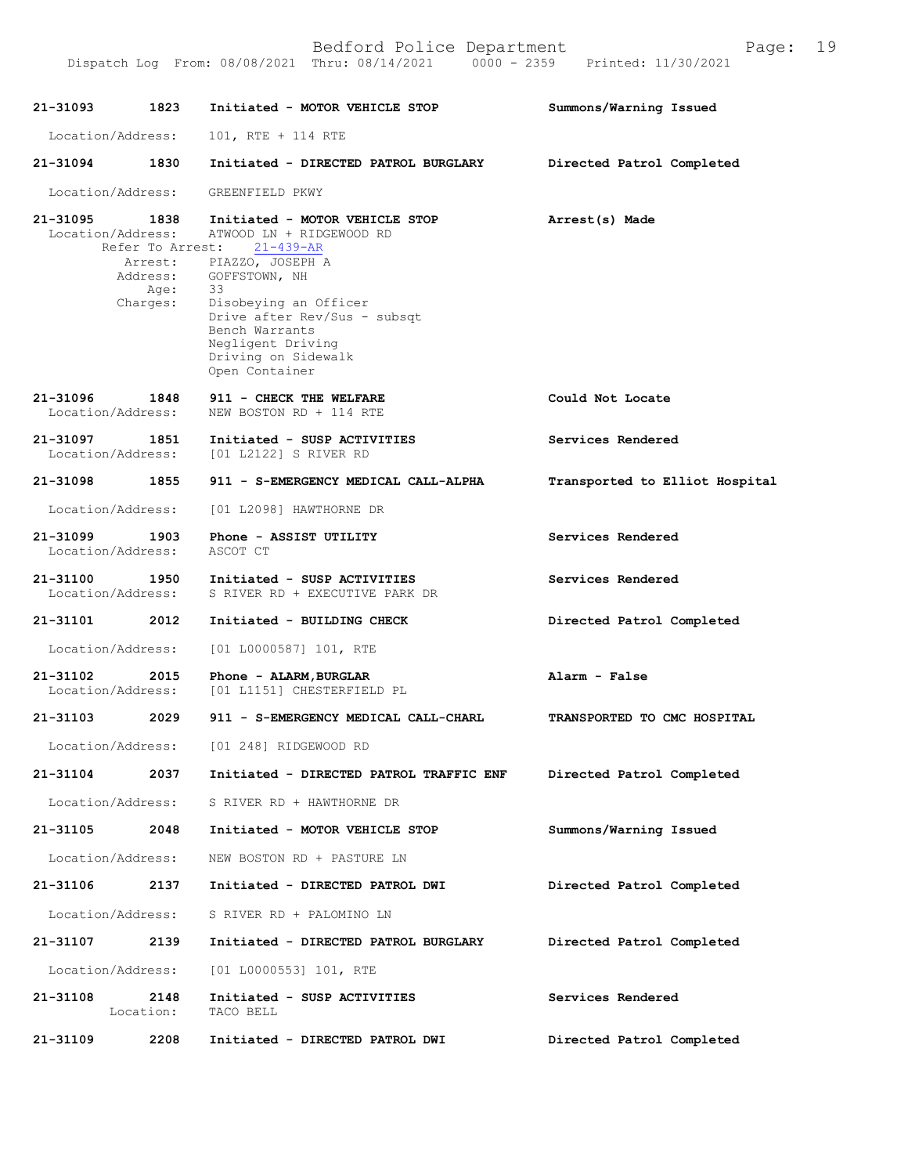| 21-31093                           | 1823              | Initiated - MOTOR VEHICLE STOP                                                                                                              | Summons/Warning Issued         |
|------------------------------------|-------------------|---------------------------------------------------------------------------------------------------------------------------------------------|--------------------------------|
| Location/Address:                  |                   | 101, RTE + 114 RTE                                                                                                                          |                                |
| 21-31094                           | 1830              | Initiated - DIRECTED PATROL BURGLARY                                                                                                        | Directed Patrol Completed      |
| Location/Address:                  |                   | GREENFIELD PKWY                                                                                                                             |                                |
| 21-31095<br>Location/Address:      | 1838<br>Address:  | Initiated - MOTOR VEHICLE STOP<br>ATWOOD LN + RIDGEWOOD RD<br>Refer To Arrest: 21-439-AR<br>Arrest: PIAZZO, JOSEPH A<br>GOFFSTOWN, NH       | Arrest(s) Made                 |
|                                    | Age:<br>Charges:  | 33<br>Disobeying an Officer<br>Drive after Rev/Sus - subsqt<br>Bench Warrants<br>Negligent Driving<br>Driving on Sidewalk<br>Open Container |                                |
| 21-31096<br>Location/Address:      | 1848              | 911 - CHECK THE WELFARE<br>NEW BOSTON RD + 114 RTE                                                                                          | Could Not Locate               |
| 21-31097<br>Location/Address:      | 1851              | Initiated - SUSP ACTIVITIES<br>[01 L2122] S RIVER RD                                                                                        | Services Rendered              |
| 21-31098                           | 1855              | 911 - S-EMERGENCY MEDICAL CALL-ALPHA                                                                                                        | Transported to Elliot Hospital |
| Location/Address:                  |                   | [01 L2098] HAWTHORNE DR                                                                                                                     |                                |
| 21-31099<br>Location/Address:      | 1903              | Phone - ASSIST UTILITY<br>ASCOT CT                                                                                                          | Services Rendered              |
| 21-31100 1950<br>Location/Address: |                   | Initiated - SUSP ACTIVITIES<br>S RIVER RD + EXECUTIVE PARK DR                                                                               | Services Rendered              |
| 21-31101                           | 2012              | Initiated - BUILDING CHECK                                                                                                                  | Directed Patrol Completed      |
| Location/Address:                  |                   | $[01 L0000587] 101$ , RTE                                                                                                                   |                                |
| 21-31102<br>Location/Address:      | 2015              | Phone - ALARM, BURGLAR<br>[01 L1151] CHESTERFIELD PL                                                                                        | Alarm - False                  |
| 21-31103 2029                      |                   | 911 - S-EMERGENCY MEDICAL CALL-CHARL                                                                                                        | TRANSPORTED TO CMC HOSPITAL    |
|                                    |                   | Location/Address: [01 248] RIDGEWOOD RD                                                                                                     |                                |
| 21-31104                           | 2037              | Initiated - DIRECTED PATROL TRAFFIC ENF                                                                                                     | Directed Patrol Completed      |
|                                    |                   | Location/Address: S RIVER RD + HAWTHORNE DR                                                                                                 |                                |
| 21-31105                           | 2048              | Initiated - MOTOR VEHICLE STOP                                                                                                              | Summons/Warning Issued         |
| Location/Address:                  |                   | NEW BOSTON RD + PASTURE LN                                                                                                                  |                                |
| 21-31106                           | 2137              | Initiated - DIRECTED PATROL DWI                                                                                                             | Directed Patrol Completed      |
|                                    |                   | Location/Address: S RIVER RD + PALOMINO LN                                                                                                  |                                |
| 21-31107                           | 2139              | Initiated - DIRECTED PATROL BURGLARY                                                                                                        | Directed Patrol Completed      |
| Location/Address:                  |                   | [01 L0000553] 101, RTE                                                                                                                      |                                |
| 21-31108                           | 2148<br>Location: | Initiated - SUSP ACTIVITIES<br>TACO BELL                                                                                                    | Services Rendered              |

DispatchLogFrom:08/08/2021Thru:08/14/20210000-2359Printed:11/30/2021

21-31109 2208 Initiated - DIRECTED PATROL DWI Directed Patrol Completed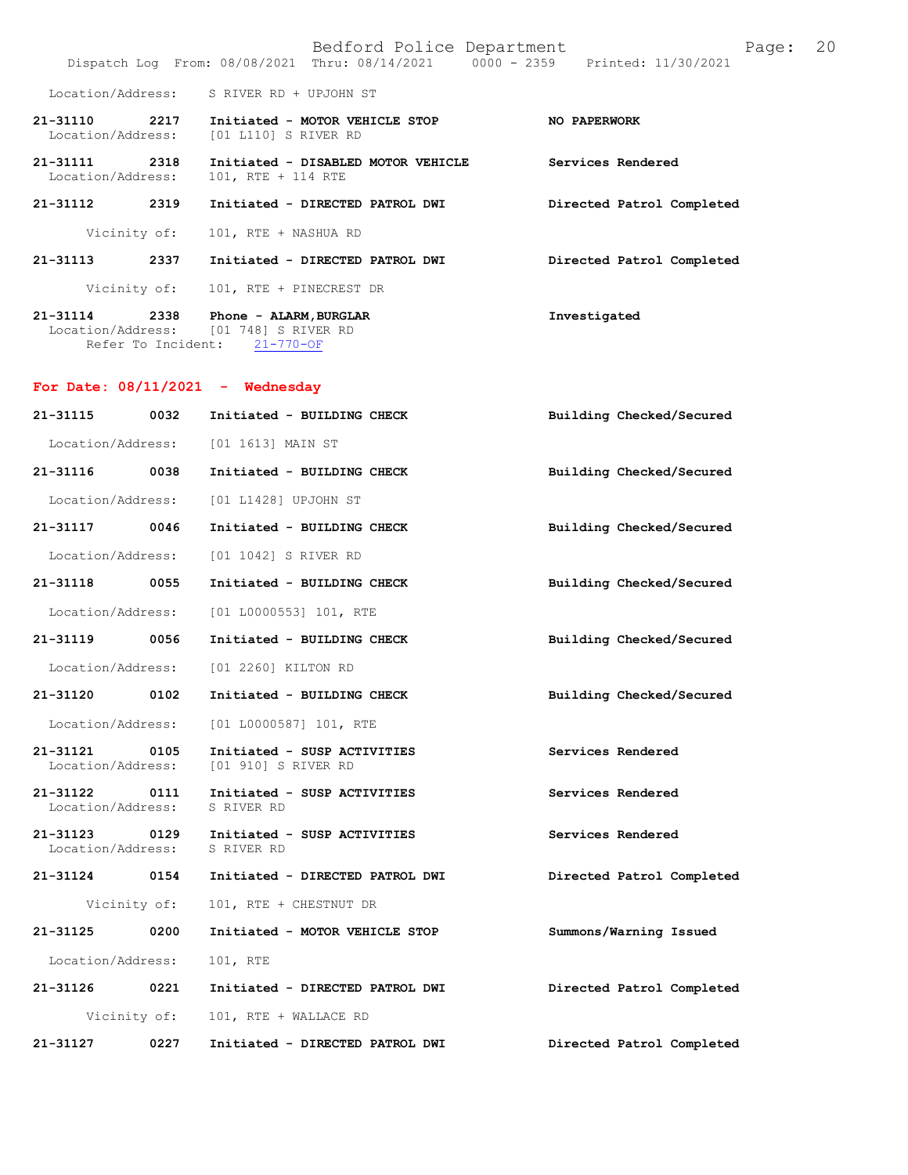|                               |      | Bedford Police Department<br>Dispatch Log From: 08/08/2021 Thru: 08/14/2021 0000 - 2359 Printed: 11/30/2021 | 20<br>Page:               |
|-------------------------------|------|-------------------------------------------------------------------------------------------------------------|---------------------------|
| Location/Address:             |      | S RIVER RD + UPJOHN ST                                                                                      |                           |
| 21-31110<br>Location/Address: | 2217 | Initiated - MOTOR VEHICLE STOP<br>[01 L110] S RIVER RD                                                      | NO PAPERWORK              |
| 21-31111<br>Location/Address: | 2318 | Initiated - DISABLED MOTOR VEHICLE<br>101, RTE + 114 RTE                                                    | Services Rendered         |
| 21-31112                      | 2319 | Initiated - DIRECTED PATROL DWI                                                                             | Directed Patrol Completed |
| Vicinity of:                  |      | 101, RTE + NASHUA RD                                                                                        |                           |
| 21-31113                      | 2337 | Initiated - DIRECTED PATROL DWI                                                                             | Directed Patrol Completed |
| Vicinity of:                  |      | 101, RTE + PINECREST DR                                                                                     |                           |
| 21-31114<br>Location/Address: | 2338 | Phone - ALARM, BURGLAR<br>[01 748] S RIVER RD<br>Refer To Incident: 21-770-OF                               | Investigated              |
|                               |      | For Date: $08/11/2021$ - Wednesday                                                                          |                           |
| 21-31115                      | 0032 | Initiated - BUILDING CHECK                                                                                  | Building Checked/Secured  |
| Location/Address:             |      | [01 1613] MAIN ST                                                                                           |                           |
| 21-31116                      | 0038 | Initiated - BUILDING CHECK                                                                                  | Building Checked/Secured  |
| Location/Address:             |      | [01 L1428] UPJOHN ST                                                                                        |                           |
| 21-31117                      | 0046 | Initiated - BUILDING CHECK                                                                                  | Building Checked/Secured  |
| Location/Address:             |      | [01 1042] S RIVER RD                                                                                        |                           |
| 21-31118                      | 0055 | Initiated - BUILDING CHECK                                                                                  | Building Checked/Secured  |
| Location/Address:             |      | $[01 L0000553] 101$ , RTE                                                                                   |                           |
| 21-31119                      | 0056 | Initiated - BUILDING CHECK                                                                                  | Building Checked/Secured  |
| Location/Address:             |      | [01 2260] KILTON RD                                                                                         |                           |
| 21-31120                      | 0102 | Initiated - BUILDING CHECK                                                                                  | Building Checked/Secured  |
| Location/Address:             |      | $[01 L0000587] 101$ , RTE                                                                                   |                           |
| 21-31121<br>Location/Address: | 0105 | Initiated - SUSP ACTIVITIES<br>[01 910] S RIVER RD                                                          | Services Rendered         |
| 21-31122<br>Location/Address: | 0111 | Initiated - SUSP ACTIVITIES<br>S RIVER RD                                                                   | Services Rendered         |
| 21-31123<br>Location/Address: | 0129 | Initiated - SUSP ACTIVITIES<br>S RIVER RD                                                                   | Services Rendered         |
| 21-31124                      | 0154 | Initiated - DIRECTED PATROL DWI                                                                             | Directed Patrol Completed |
| Vicinity of:                  |      | 101, RTE + CHESTNUT DR                                                                                      |                           |
| 21-31125                      | 0200 | Initiated - MOTOR VEHICLE STOP                                                                              | Summons/Warning Issued    |
| Location/Address:             |      | 101, RTE                                                                                                    |                           |
| 21-31126                      | 0221 | Initiated - DIRECTED PATROL DWI                                                                             | Directed Patrol Completed |
| Vicinity of:                  |      | 101, RTE + WALLACE RD                                                                                       |                           |
| 21-31127                      | 0227 | Initiated - DIRECTED PATROL DWI                                                                             | Directed Patrol Completed |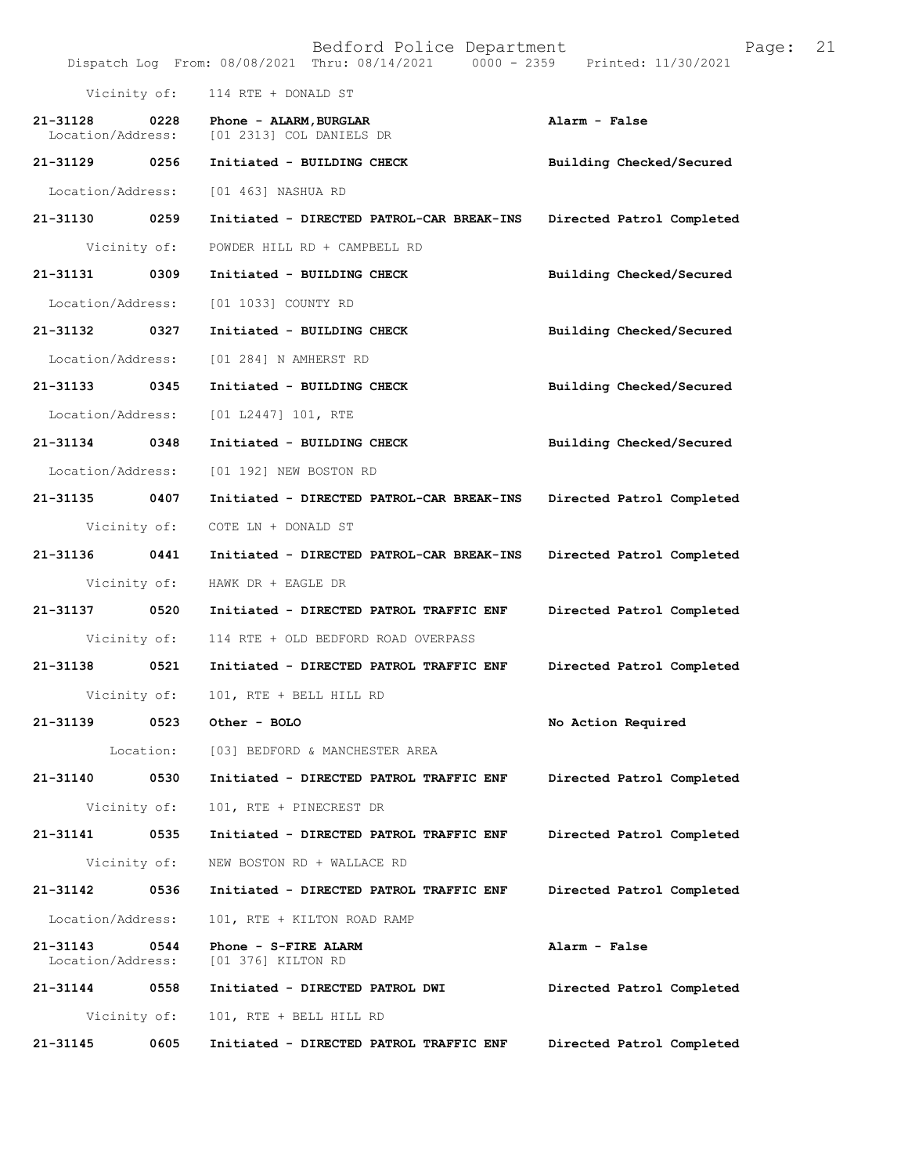|                               |      | Bedford Police Department<br>Dispatch Log From: 08/08/2021 Thru: 08/14/2021 0000 - 2359 Printed: 11/30/2021 | 21<br>Page:               |
|-------------------------------|------|-------------------------------------------------------------------------------------------------------------|---------------------------|
| Vicinity of:                  |      | 114 RTE + DONALD ST                                                                                         |                           |
| 21-31128<br>Location/Address: | 0228 | Phone - ALARM, BURGLAR<br>[01 2313] COL DANIELS DR                                                          | Alarm - False             |
| 21-31129                      | 0256 | Initiated - BUILDING CHECK                                                                                  | Building Checked/Secured  |
| Location/Address:             |      | [01 463] NASHUA RD                                                                                          |                           |
| 21-31130                      | 0259 | Initiated - DIRECTED PATROL-CAR BREAK-INS                                                                   | Directed Patrol Completed |
| Vicinity of:                  |      | POWDER HILL RD + CAMPBELL RD                                                                                |                           |
| 21-31131                      | 0309 | Initiated - BUILDING CHECK                                                                                  | Building Checked/Secured  |
| Location/Address:             |      | [01 1033] COUNTY RD                                                                                         |                           |
| 21-31132 0327                 |      | Initiated - BUILDING CHECK                                                                                  | Building Checked/Secured  |
| Location/Address:             |      | [01 284] N AMHERST RD                                                                                       |                           |
| 21-31133                      | 0345 | Initiated - BUILDING CHECK                                                                                  | Building Checked/Secured  |
| Location/Address:             |      | [01 L2447] 101, RTE                                                                                         |                           |
| 21-31134                      | 0348 | Initiated - BUILDING CHECK                                                                                  | Building Checked/Secured  |
| Location/Address:             |      | [01 192] NEW BOSTON RD                                                                                      |                           |
| 21-31135                      | 0407 | Initiated - DIRECTED PATROL-CAR BREAK-INS                                                                   | Directed Patrol Completed |
| Vicinity of:                  |      | COTE LN + DONALD ST                                                                                         |                           |
| 21-31136                      | 0441 | Initiated - DIRECTED PATROL-CAR BREAK-INS                                                                   | Directed Patrol Completed |
| Vicinity of:                  |      | HAWK DR + EAGLE DR                                                                                          |                           |
| 21-31137                      | 0520 | Initiated - DIRECTED PATROL TRAFFIC ENF                                                                     | Directed Patrol Completed |
| Vicinity of:                  |      | 114 RTE + OLD BEDFORD ROAD OVERPASS                                                                         |                           |
| 21-31138                      | 0521 | Initiated - DIRECTED PATROL TRAFFIC ENF                                                                     | Directed Patrol Completed |
| Vicinity of:                  |      | 101, RTE + BELL HILL RD                                                                                     |                           |
| 21-31139                      | 0523 | Other - BOLO                                                                                                | No Action Required        |
| Location:                     |      | [03] BEDFORD & MANCHESTER AREA                                                                              |                           |
| 21-31140                      | 0530 | Initiated - DIRECTED PATROL TRAFFIC ENF                                                                     | Directed Patrol Completed |
| Vicinity of:                  |      | 101, RTE + PINECREST DR                                                                                     |                           |
| 21-31141                      | 0535 | Initiated - DIRECTED PATROL TRAFFIC ENF                                                                     | Directed Patrol Completed |
| Vicinity of:                  |      | NEW BOSTON RD + WALLACE RD                                                                                  |                           |
| 21-31142                      | 0536 | Initiated - DIRECTED PATROL TRAFFIC ENF                                                                     | Directed Patrol Completed |
| Location/Address:             |      | 101, RTE + KILTON ROAD RAMP                                                                                 |                           |
| 21-31143<br>Location/Address: | 0544 | Phone - S-FIRE ALARM<br>[01 376] KILTON RD                                                                  | Alarm - False             |
| 21-31144                      | 0558 | Initiated - DIRECTED PATROL DWI                                                                             | Directed Patrol Completed |
| Vicinity of:                  |      | 101, RTE + BELL HILL RD                                                                                     |                           |
| 21-31145                      | 0605 | Initiated - DIRECTED PATROL TRAFFIC ENF                                                                     | Directed Patrol Completed |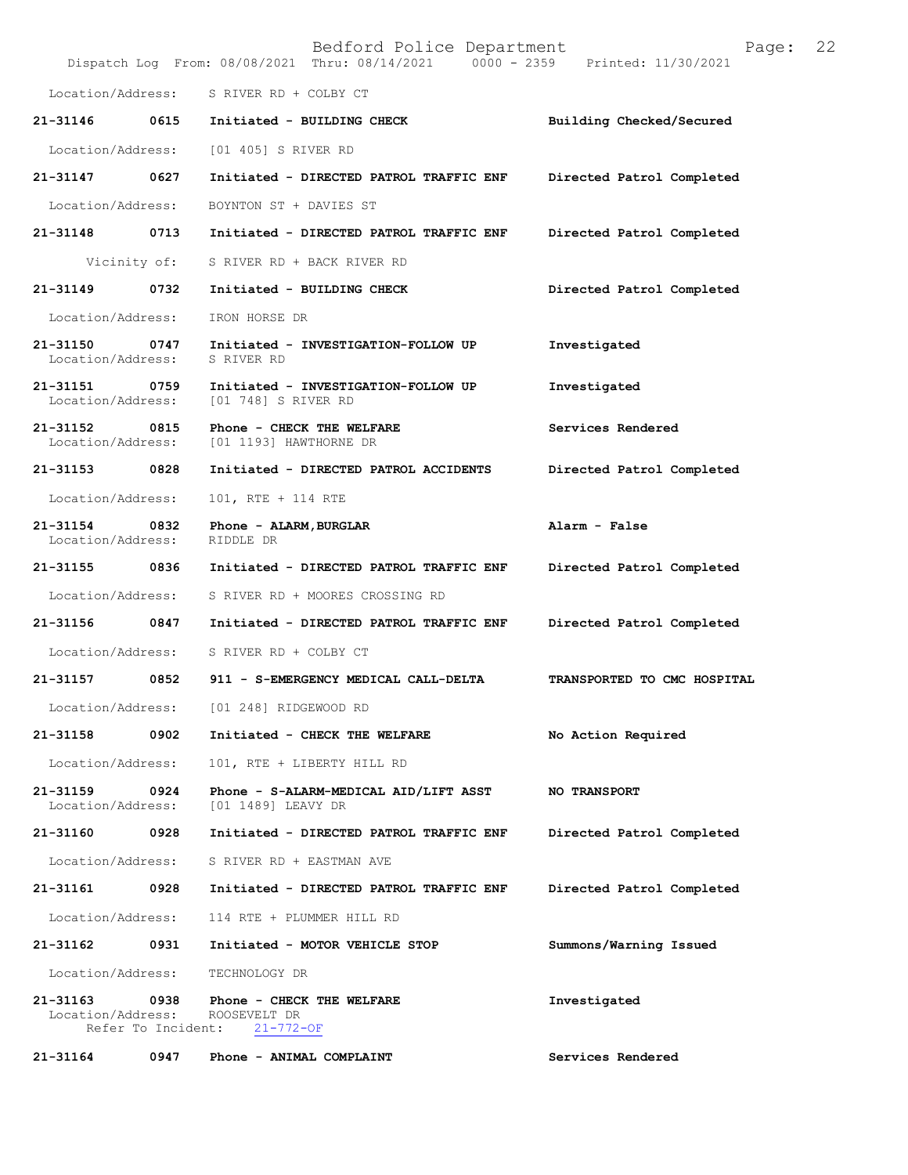|                                    |                            | Bedford Police Department<br>Dispatch Log From: 08/08/2021 Thru: 08/14/2021 0000 - 2359 Printed: 11/30/2021 | 22<br>Page:                 |
|------------------------------------|----------------------------|-------------------------------------------------------------------------------------------------------------|-----------------------------|
| Location/Address:                  |                            | S RIVER RD + COLBY CT                                                                                       |                             |
| 21-31146                           | 0615                       | Initiated - BUILDING CHECK                                                                                  | Building Checked/Secured    |
| Location/Address:                  |                            | [01 405] S RIVER RD                                                                                         |                             |
| 21-31147                           | 0627                       | Initiated - DIRECTED PATROL TRAFFIC ENF                                                                     | Directed Patrol Completed   |
| Location/Address:                  |                            | BOYNTON ST + DAVIES ST                                                                                      |                             |
| 21-31148 0713                      |                            | Initiated - DIRECTED PATROL TRAFFIC ENF                                                                     | Directed Patrol Completed   |
|                                    | Vicinity of:               | S RIVER RD + BACK RIVER RD                                                                                  |                             |
| 21-31149                           | 0732                       | Initiated - BUILDING CHECK                                                                                  | Directed Patrol Completed   |
| Location/Address:                  |                            | IRON HORSE DR                                                                                               |                             |
| 21-31150 0747<br>Location/Address: |                            | Initiated - INVESTIGATION-FOLLOW UP<br>S RIVER RD                                                           | Investigated                |
| 21-31151 0759<br>Location/Address: |                            | Initiated - INVESTIGATION-FOLLOW UP<br>[01 748] S RIVER RD                                                  | Investigated                |
| 21-31152 0815<br>Location/Address: |                            | Phone - CHECK THE WELFARE<br>[01 1193] HAWTHORNE DR                                                         | Services Rendered           |
| 21-31153 0828                      |                            | Initiated - DIRECTED PATROL ACCIDENTS                                                                       | Directed Patrol Completed   |
| Location/Address:                  |                            | 101, RTE + 114 RTE                                                                                          |                             |
| 21-31154<br>Location/Address:      | 0832                       | Phone - ALARM, BURGLAR<br>RIDDLE DR                                                                         | Alarm - False               |
| 21-31155                           | 0836                       | Initiated - DIRECTED PATROL TRAFFIC ENF                                                                     | Directed Patrol Completed   |
| Location/Address:                  |                            | S RIVER RD + MOORES CROSSING RD                                                                             |                             |
| 21-31156                           | 0847                       | Initiated - DIRECTED PATROL TRAFFIC ENF                                                                     | Directed Patrol Completed   |
| Location/Address:                  |                            | S RIVER RD + COLBY CT                                                                                       |                             |
| 21-31157                           | 0852                       | 911 - S-EMERGENCY MEDICAL CALL-DELTA                                                                        | TRANSPORTED TO CMC HOSPITAL |
| Location/Address:                  |                            | [01 248] RIDGEWOOD RD                                                                                       |                             |
| 21-31158                           | 0902                       | Initiated - CHECK THE WELFARE                                                                               | No Action Required          |
| Location/Address:                  |                            | 101, RTE + LIBERTY HILL RD                                                                                  |                             |
| 21-31159<br>Location/Address:      | 0924                       | Phone - S-ALARM-MEDICAL AID/LIFT ASST<br>[01 1489] LEAVY DR                                                 | <b>NO TRANSPORT</b>         |
| 21-31160                           | 0928                       | Initiated - DIRECTED PATROL TRAFFIC ENF                                                                     | Directed Patrol Completed   |
| Location/Address:                  |                            | S RIVER RD + EASTMAN AVE                                                                                    |                             |
| 21-31161                           | 0928                       | Initiated - DIRECTED PATROL TRAFFIC ENF                                                                     | Directed Patrol Completed   |
| Location/Address:                  |                            | 114 RTE + PLUMMER HILL RD                                                                                   |                             |
| 21-31162                           | 0931                       | Initiated - MOTOR VEHICLE STOP                                                                              | Summons/Warning Issued      |
| Location/Address:                  |                            | TECHNOLOGY DR                                                                                               |                             |
| $21 - 31163$<br>Location/Address:  | 0938<br>Refer To Incident: | Phone - CHECK THE WELFARE<br>ROOSEVELT DR<br>$21 - 772 - OF$                                                | Investigated                |
| 21-31164                           | 0947                       | Phone - ANIMAL COMPLAINT                                                                                    | Services Rendered           |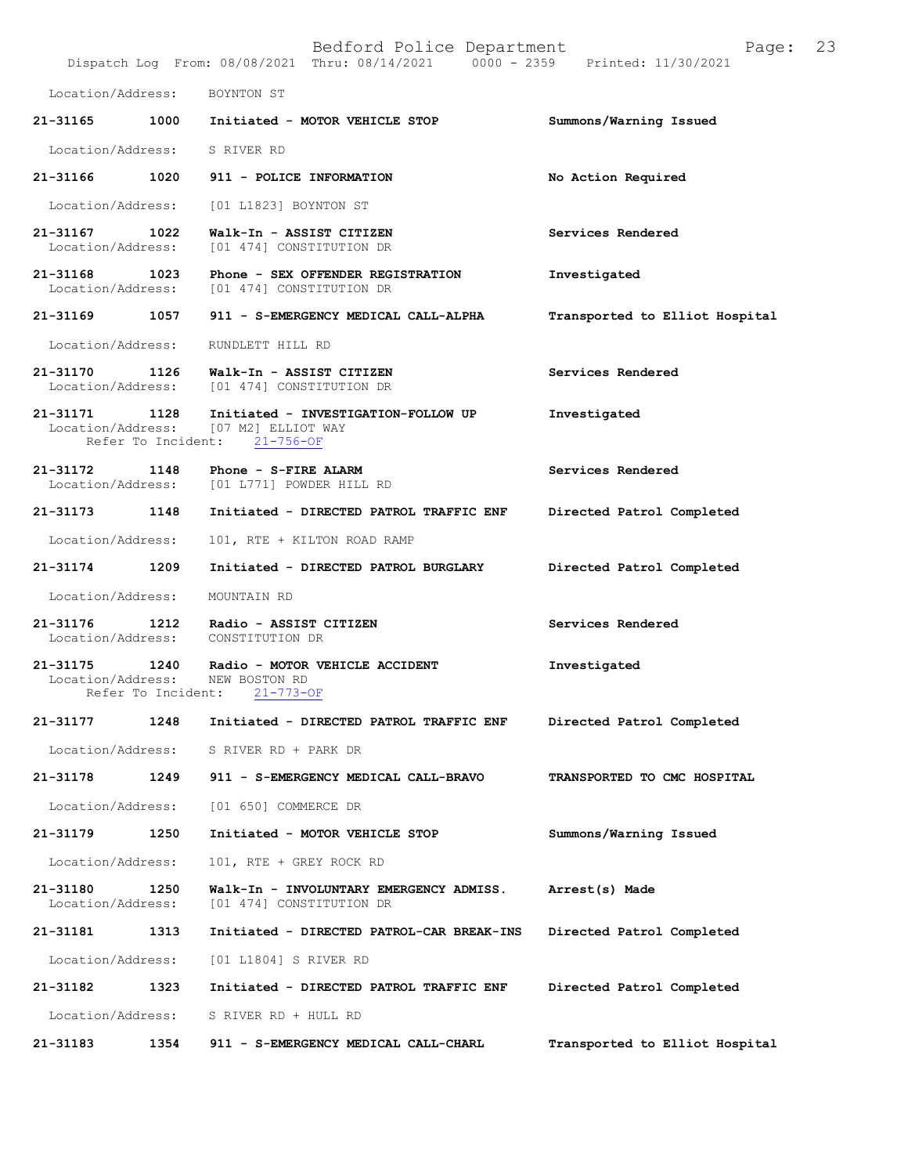|                               |                    | Bedford Police Department<br>Dispatch Log From: 08/08/2021 Thru: 08/14/2021 0000 - 2359 Printed: 11/30/2021 | Page:                          | 23 |
|-------------------------------|--------------------|-------------------------------------------------------------------------------------------------------------|--------------------------------|----|
| Location/Address:             |                    | BOYNTON ST                                                                                                  |                                |    |
| 21-31165                      |                    | 1000 Initiated - MOTOR VEHICLE STOP                                                                         | Summons/Warning Issued         |    |
|                               |                    | Location/Address: S RIVER RD                                                                                |                                |    |
| 21-31166                      | 1020               | 911 - POLICE INFORMATION                                                                                    | No Action Required             |    |
| Location/Address:             |                    | [01 L1823] BOYNTON ST                                                                                       |                                |    |
| 21-31167                      | 1022               | Walk-In - ASSIST CITIZEN<br>Location/Address: [01 474] CONSTITUTION DR                                      | Services Rendered              |    |
|                               |                    | 21-31168 1023 Phone - SEX OFFENDER REGISTRATION<br>Location/Address: [01 474] CONSTITUTION DR               | Investigated                   |    |
| 21-31169 1057                 |                    | 911 - S-EMERGENCY MEDICAL CALL-ALPHA                                                                        | Transported to Elliot Hospital |    |
| Location/Address:             |                    | RUNDLETT HILL RD                                                                                            |                                |    |
|                               |                    | 21-31170 1126 Walk-In - ASSIST CITIZEN<br>Location/Address: [01 474] CONSTITUTION DR                        | Services Rendered              |    |
| 21-31171 1128                 |                    | Initiated - INVESTIGATION-FOLLOW UP<br>Location/Address: [07 M2] ELLIOT WAY<br>Refer To Incident: 21-756-OF | Investigated                   |    |
| 21-31172 1148                 |                    | Phone - S-FIRE ALARM<br>Location/Address: [01 L771] POWDER HILL RD                                          | Services Rendered              |    |
| 21-31173 1148                 |                    | Initiated - DIRECTED PATROL TRAFFIC ENF                                                                     | Directed Patrol Completed      |    |
| Location/Address:             |                    | 101, RTE + KILTON ROAD RAMP                                                                                 |                                |    |
| 21-31174                      | 1209               | Initiated - DIRECTED PATROL BURGLARY                                                                        | Directed Patrol Completed      |    |
| Location/Address:             |                    | MOUNTAIN RD                                                                                                 |                                |    |
| 21-31176 1212                 |                    | Radio - ASSIST CITIZEN<br>Location/Address: CONSTITUTION DR                                                 | Services Rendered              |    |
| Location/Address:             | Refer To Incident: | 21-31175 1240 Radio - MOTOR VEHICLE ACCIDENT<br>NEW BOSTON RD<br>$21 - 773 - OF$                            | Investigated                   |    |
| 21-31177                      | 1248               | Initiated - DIRECTED PATROL TRAFFIC ENF                                                                     | Directed Patrol Completed      |    |
| Location/Address:             |                    | S RIVER RD + PARK DR                                                                                        |                                |    |
| 21-31178                      | 1249               | 911 - S-EMERGENCY MEDICAL CALL-BRAVO                                                                        | TRANSPORTED TO CMC HOSPITAL    |    |
| Location/Address:             |                    | [01 650] COMMERCE DR                                                                                        |                                |    |
| 21-31179                      | 1250               | Initiated - MOTOR VEHICLE STOP                                                                              | Summons/Warning Issued         |    |
| Location/Address:             |                    | 101, RTE + GREY ROCK RD                                                                                     |                                |    |
| 21-31180<br>Location/Address: | 1250               | Walk-In - INVOLUNTARY EMERGENCY ADMISS.<br>[01 474] CONSTITUTION DR                                         | Arrest(s) Made                 |    |
| 21-31181                      | 1313               | Initiated - DIRECTED PATROL-CAR BREAK-INS                                                                   | Directed Patrol Completed      |    |
| Location/Address:             |                    | [01 L1804] S RIVER RD                                                                                       |                                |    |
| 21-31182                      | 1323               | Initiated - DIRECTED PATROL TRAFFIC ENF                                                                     | Directed Patrol Completed      |    |
| Location/Address:             |                    | S RIVER RD + HULL RD                                                                                        |                                |    |
| 21-31183                      | 1354               | 911 - S-EMERGENCY MEDICAL CALL-CHARL                                                                        | Transported to Elliot Hospital |    |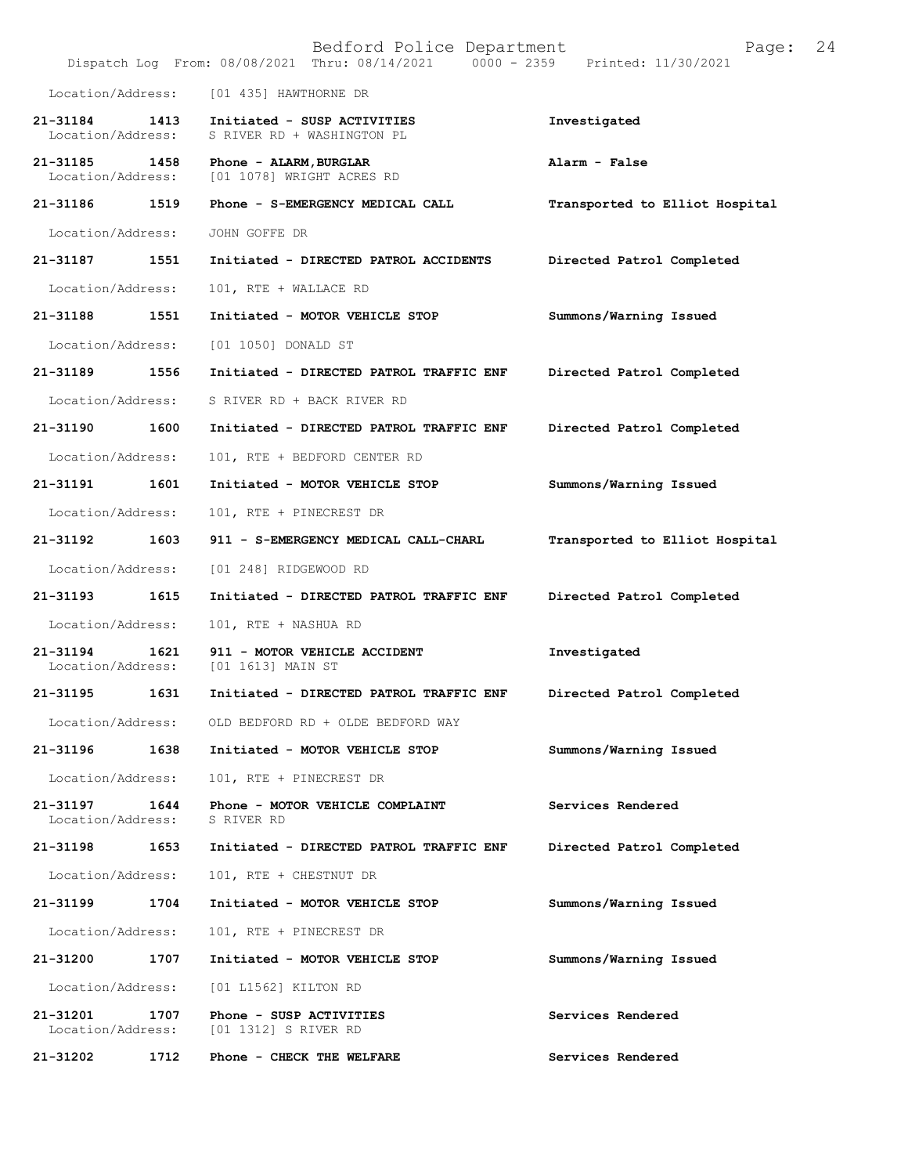|                                    |      | Bedford Police Department<br>Dispatch Log From: 08/08/2021 Thru: 08/14/2021 0000 - 2359 Printed: 11/30/2021 | Page:                          | 24 |
|------------------------------------|------|-------------------------------------------------------------------------------------------------------------|--------------------------------|----|
| Location/Address:                  |      | [01 435] HAWTHORNE DR                                                                                       |                                |    |
| 21-31184<br>Location/Address:      | 1413 | Initiated - SUSP ACTIVITIES<br>S RIVER RD + WASHINGTON PL                                                   | Investigated                   |    |
| 21-31185 1458<br>Location/Address: |      | Phone - ALARM, BURGLAR<br>[01 1078] WRIGHT ACRES RD                                                         | Alarm - False                  |    |
| 21-31186 1519                      |      | Phone - S-EMERGENCY MEDICAL CALL                                                                            | Transported to Elliot Hospital |    |
| Location/Address:                  |      | JOHN GOFFE DR                                                                                               |                                |    |
| 21-31187                           | 1551 | Initiated - DIRECTED PATROL ACCIDENTS                                                                       | Directed Patrol Completed      |    |
| Location/Address:                  |      | 101, RTE + WALLACE RD                                                                                       |                                |    |
| 21-31188                           | 1551 | Initiated - MOTOR VEHICLE STOP                                                                              | Summons/Warning Issued         |    |
| Location/Address:                  |      | [01 1050] DONALD ST                                                                                         |                                |    |
| 21-31189                           | 1556 | Initiated - DIRECTED PATROL TRAFFIC ENF                                                                     | Directed Patrol Completed      |    |
| Location/Address:                  |      | S RIVER RD + BACK RIVER RD                                                                                  |                                |    |
| 21-31190                           | 1600 | Initiated - DIRECTED PATROL TRAFFIC ENF                                                                     | Directed Patrol Completed      |    |
| Location/Address:                  |      | 101, RTE + BEDFORD CENTER RD                                                                                |                                |    |
| 21-31191                           | 1601 | Initiated - MOTOR VEHICLE STOP                                                                              | Summons/Warning Issued         |    |
| Location/Address:                  |      | 101, RTE + PINECREST DR                                                                                     |                                |    |
| 21-31192 1603                      |      | 911 - S-EMERGENCY MEDICAL CALL-CHARL                                                                        | Transported to Elliot Hospital |    |
| Location/Address:                  |      | [01 248] RIDGEWOOD RD                                                                                       |                                |    |
| 21-31193                           | 1615 | Initiated - DIRECTED PATROL TRAFFIC ENF                                                                     | Directed Patrol Completed      |    |
| Location/Address:                  |      | 101, RTE + NASHUA RD                                                                                        |                                |    |
| 21-31194<br>Location/Address:      | 1621 | 911 - MOTOR VEHICLE ACCIDENT<br>[01 1613] MAIN ST                                                           | Investigated                   |    |
| 21-31195                           | 1631 | Initiated - DIRECTED PATROL TRAFFIC ENF                                                                     | Directed Patrol Completed      |    |
|                                    |      | Location/Address: OLD BEDFORD RD + OLDE BEDFORD WAY                                                         |                                |    |
| 21-31196                           | 1638 | Initiated - MOTOR VEHICLE STOP                                                                              | Summons/Warning Issued         |    |
| Location/Address:                  |      | 101, RTE + PINECREST DR                                                                                     |                                |    |
| 21-31197<br>Location/Address:      | 1644 | Phone - MOTOR VEHICLE COMPLAINT<br>S RIVER RD                                                               | Services Rendered              |    |
| 21-31198                           | 1653 | Initiated - DIRECTED PATROL TRAFFIC ENF                                                                     | Directed Patrol Completed      |    |
| Location/Address:                  |      | 101, RTE + CHESTNUT DR                                                                                      |                                |    |
| 21-31199                           | 1704 | Initiated - MOTOR VEHICLE STOP                                                                              | Summons/Warning Issued         |    |
| Location/Address:                  |      | 101, RTE + PINECREST DR                                                                                     |                                |    |
| 21-31200                           | 1707 | Initiated - MOTOR VEHICLE STOP                                                                              | Summons/Warning Issued         |    |
| Location/Address:                  |      | [01 L1562] KILTON RD                                                                                        |                                |    |
| 21-31201<br>Location/Address:      | 1707 | Phone - SUSP ACTIVITIES<br>[01 1312] S RIVER RD                                                             | Services Rendered              |    |
| 21-31202                           | 1712 | Phone - CHECK THE WELFARE                                                                                   | Services Rendered              |    |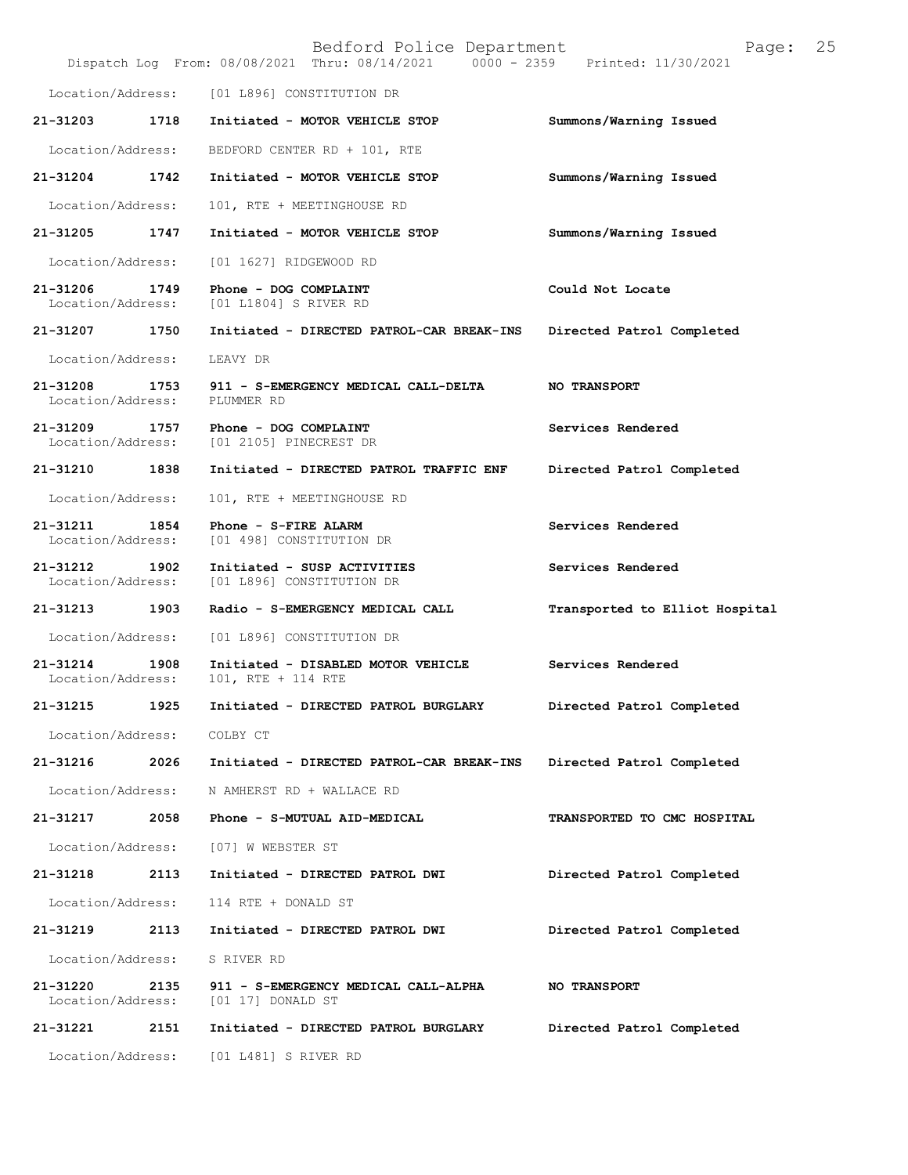|                               |      | Bedford Police Department<br>Dispatch Log From: 08/08/2021 Thru: 08/14/2021 0000 - 2359 Printed: 11/30/2021 | 25<br>Page:                    |
|-------------------------------|------|-------------------------------------------------------------------------------------------------------------|--------------------------------|
| Location/Address:             |      | [01 L896] CONSTITUTION DR                                                                                   |                                |
| 21-31203                      | 1718 | Initiated - MOTOR VEHICLE STOP                                                                              | Summons/Warning Issued         |
| Location/Address:             |      | BEDFORD CENTER RD + 101, RTE                                                                                |                                |
| 21-31204                      | 1742 | Initiated - MOTOR VEHICLE STOP                                                                              | Summons/Warning Issued         |
| Location/Address:             |      | 101, RTE + MEETINGHOUSE RD                                                                                  |                                |
| 21-31205                      | 1747 | Initiated - MOTOR VEHICLE STOP                                                                              | Summons/Warning Issued         |
| Location/Address:             |      | [01 1627] RIDGEWOOD RD                                                                                      |                                |
| 21-31206<br>Location/Address: | 1749 | Phone - DOG COMPLAINT<br>[01 L1804] S RIVER RD                                                              | Could Not Locate               |
| 21-31207 1750                 |      | Initiated - DIRECTED PATROL-CAR BREAK-INS                                                                   | Directed Patrol Completed      |
| Location/Address:             |      | LEAVY DR                                                                                                    |                                |
| 21-31208<br>Location/Address: | 1753 | 911 - S-EMERGENCY MEDICAL CALL-DELTA<br>PLUMMER RD                                                          | <b>NO TRANSPORT</b>            |
| 21-31209<br>Location/Address: | 1757 | Phone - DOG COMPLAINT<br>[01 2105] PINECREST DR                                                             | Services Rendered              |
| 21-31210 1838                 |      | Initiated - DIRECTED PATROL TRAFFIC ENF                                                                     | Directed Patrol Completed      |
| Location/Address:             |      | 101, RTE + MEETINGHOUSE RD                                                                                  |                                |
| 21-31211<br>Location/Address: | 1854 | Phone - S-FIRE ALARM<br>[01 498] CONSTITUTION DR                                                            | Services Rendered              |
| 21-31212<br>Location/Address: | 1902 | Initiated - SUSP ACTIVITIES<br>[01 L896] CONSTITUTION DR                                                    | Services Rendered              |
| 21-31213                      | 1903 | Radio - S-EMERGENCY MEDICAL CALL                                                                            | Transported to Elliot Hospital |
| Location/Address:             |      | [01 L896] CONSTITUTION DR                                                                                   |                                |
| 21-31214<br>Location/Address: | 1908 | Initiated - DISABLED MOTOR VEHICLE<br>101, RTE + 114 RTE                                                    | Services Rendered              |
| 21-31215                      | 1925 | Initiated - DIRECTED PATROL BURGLARY                                                                        | Directed Patrol Completed      |
| Location/Address:             |      | COLBY CT                                                                                                    |                                |
| 21-31216                      | 2026 | Initiated - DIRECTED PATROL-CAR BREAK-INS                                                                   | Directed Patrol Completed      |
| Location/Address:             |      | N AMHERST RD + WALLACE RD                                                                                   |                                |
| 21-31217                      | 2058 | Phone - S-MUTUAL AID-MEDICAL                                                                                | TRANSPORTED TO CMC HOSPITAL    |
| Location/Address:             |      | [07] W WEBSTER ST                                                                                           |                                |
| 21-31218                      | 2113 | Initiated - DIRECTED PATROL DWI                                                                             | Directed Patrol Completed      |
| Location/Address:             |      | 114 RTE + DONALD ST                                                                                         |                                |
| 21-31219                      | 2113 | Initiated - DIRECTED PATROL DWI                                                                             | Directed Patrol Completed      |
| Location/Address:             |      | S RIVER RD                                                                                                  |                                |
| 21-31220<br>Location/Address: | 2135 | 911 - S-EMERGENCY MEDICAL CALL-ALPHA<br>$[01 17]$ DONALD ST                                                 | <b>NO TRANSPORT</b>            |
| 21-31221                      | 2151 | Initiated - DIRECTED PATROL BURGLARY                                                                        | Directed Patrol Completed      |
| Location/Address:             |      | [01 L481] S RIVER RD                                                                                        |                                |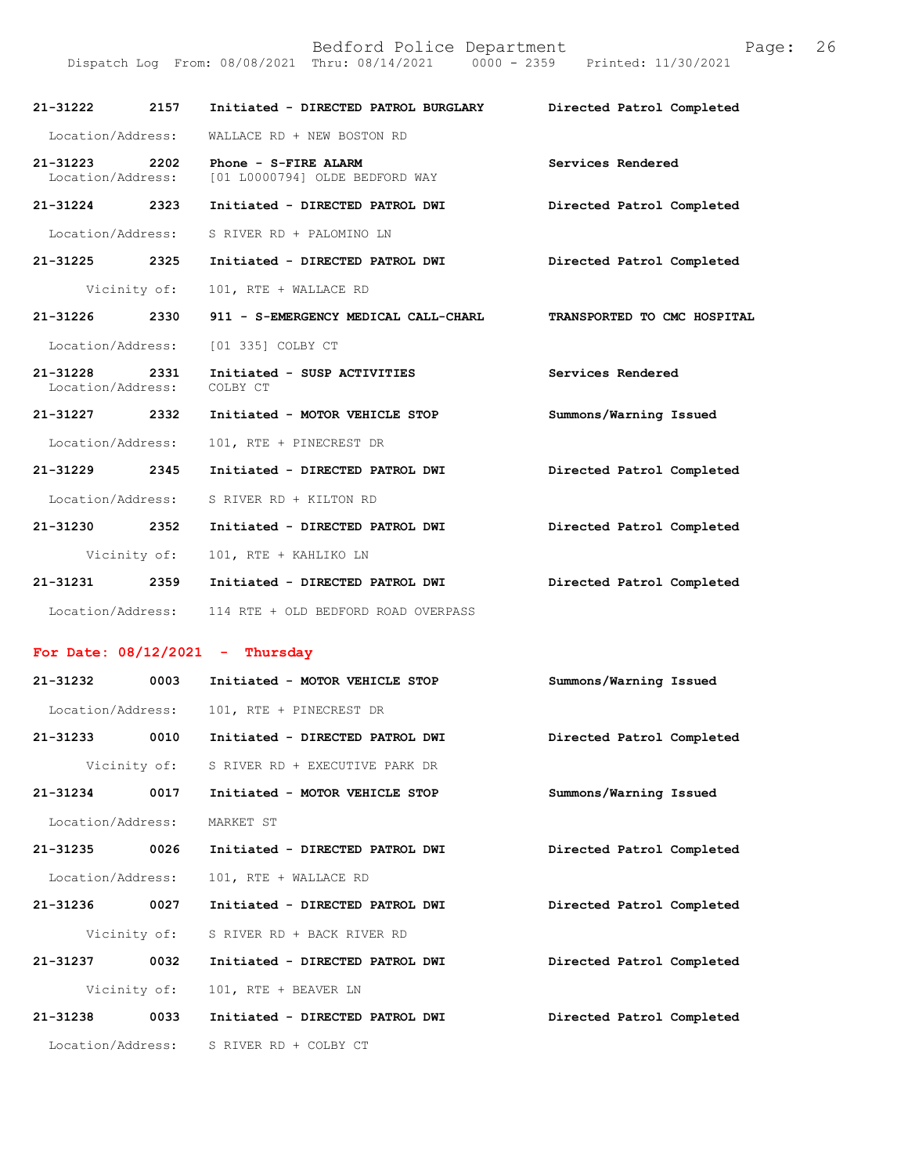|                                   |      |                                                        | Printed: 11/30/2021         |
|-----------------------------------|------|--------------------------------------------------------|-----------------------------|
| 21-31222                          | 2157 | Initiated - DIRECTED PATROL BURGLARY                   | Directed Patrol Completed   |
| Location/Address:                 |      | WALLACE RD + NEW BOSTON RD                             |                             |
| $21 - 31223$<br>Location/Address: | 2202 | Phone - S-FIRE ALARM<br>[01 L0000794] OLDE BEDFORD WAY | Services Rendered           |
| 21-31224                          | 2323 | Initiated - DIRECTED PATROL DWI                        | Directed Patrol Completed   |
| Location/Address:                 |      | S RIVER RD + PALOMINO LN                               |                             |
| 21-31225                          | 2325 | Initiated - DIRECTED PATROL DWI                        | Directed Patrol Completed   |
| Vicinity of:                      |      | 101, RTE + WALLACE RD                                  |                             |
| $21 - 31226$                      | 2330 | 911 - S-EMERGENCY MEDICAL CALL-CHARL                   | TRANSPORTED TO CMC HOSPITAL |
|                                   |      | Location/Address: [01 335] COLBY CT                    |                             |
| 21-31228<br>Location/Address:     | 2331 | Initiated - SUSP ACTIVITIES<br>COLBY CT                | Services Rendered           |
| 21-31227                          | 2332 | Initiated - MOTOR VEHICLE STOP                         | Summons/Warning Issued      |
| Location/Address:                 |      | 101, RTE + PINECREST DR                                |                             |
| 21-31229                          | 2345 | Initiated - DIRECTED PATROL DWI                        | Directed Patrol Completed   |
| Location/Address:                 |      | S RIVER RD + KILTON RD                                 |                             |
| 21-31230 2352                     |      | Initiated - DIRECTED PATROL DWI                        | Directed Patrol Completed   |
|                                   |      | Vicinity of: 101, RTE + KAHLIKO LN                     |                             |
| 21-31231                          | 2359 | Initiated - DIRECTED PATROL DWI                        | Directed Patrol Completed   |
|                                   |      | Location/Address: 114 RTE + OLD BEDFORD ROAD OVERPASS  |                             |
| For Date: $08/12/2021$ - Thursday |      |                                                        |                             |

Bedford Police Department Page: 26

| 21-31232          | 0003         | Initiated - MOTOR VEHICLE STOP  | Summons/Warning Issued    |
|-------------------|--------------|---------------------------------|---------------------------|
| Location/Address: |              | 101, RTE + PINECREST DR         |                           |
| 21-31233          | 0010         | Initiated - DIRECTED PATROL DWI | Directed Patrol Completed |
| Vicinity of:      |              | S RIVER RD + EXECUTIVE PARK DR  |                           |
| 21-31234          | 0017         | Initiated - MOTOR VEHICLE STOP  | Summons/Warning Issued    |
| Location/Address: |              | MARKET ST                       |                           |
| 21-31235          | 0026         | Initiated - DIRECTED PATROL DWI | Directed Patrol Completed |
| Location/Address: |              | 101, RTE + WALLACE RD           |                           |
| 21-31236          | 0027         | Initiated - DIRECTED PATROL DWI | Directed Patrol Completed |
|                   | Vicinity of: | S RIVER RD + BACK RIVER RD      |                           |
| $21 - 31237$      | 0032         | Initiated - DIRECTED PATROL DWI | Directed Patrol Completed |
| Vicinity of:      |              | 101, RTE + BEAVER LN            |                           |
| 21-31238          | 0033         | Initiated - DIRECTED PATROL DWI | Directed Patrol Completed |
| Location/Address: |              | S RIVER RD + COLBY CT           |                           |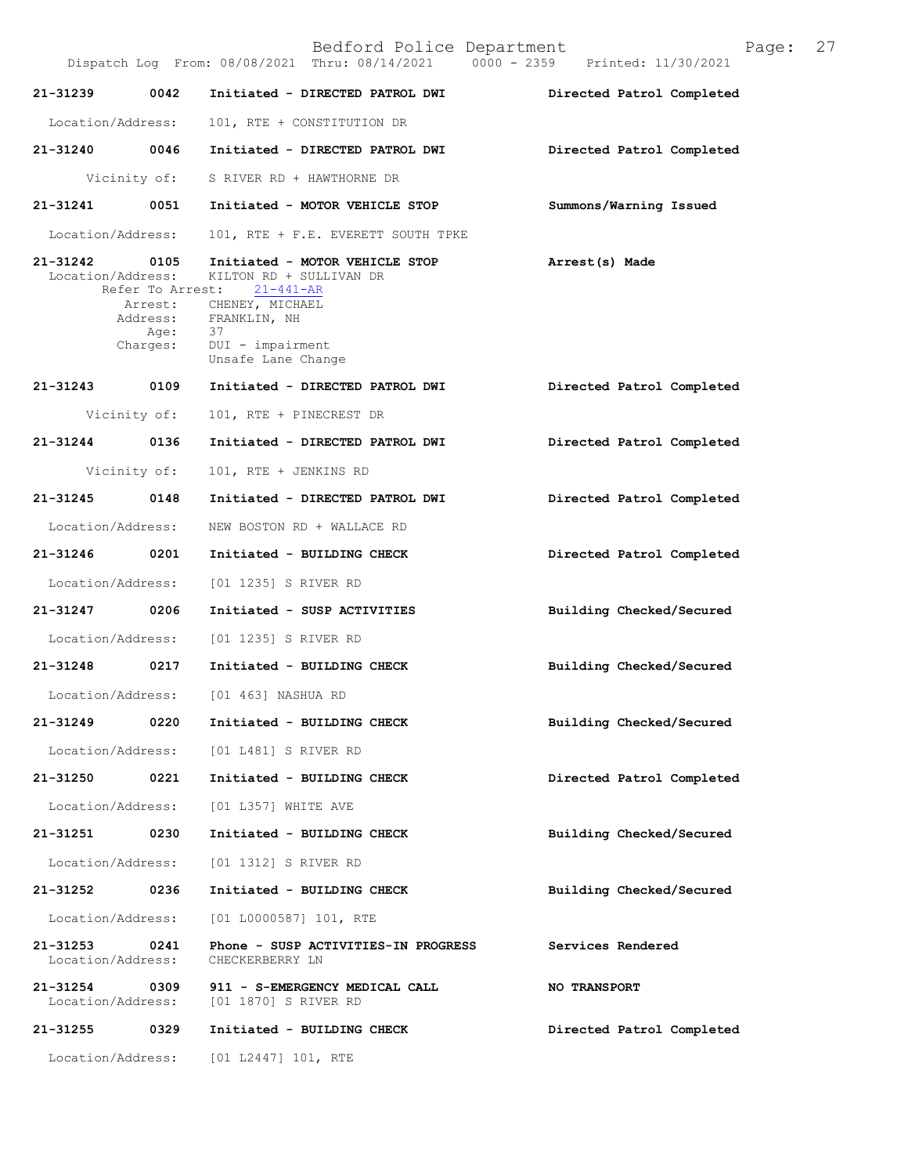|                               |                  | Bedford Police Department<br>Dispatch Log From: 08/08/2021 Thru: 08/14/2021 0000 - 2359 Printed: 11/30/2021 | 27<br>Page:               |
|-------------------------------|------------------|-------------------------------------------------------------------------------------------------------------|---------------------------|
| 21-31239                      | 0042             | Initiated - DIRECTED PATROL DWI                                                                             | Directed Patrol Completed |
| Location/Address:             |                  | 101, RTE + CONSTITUTION DR                                                                                  |                           |
| 21-31240 0046                 |                  | Initiated - DIRECTED PATROL DWI                                                                             | Directed Patrol Completed |
|                               |                  | Vicinity of: S RIVER RD + HAWTHORNE DR                                                                      |                           |
|                               |                  | 21-31241 0051 Initiated - MOTOR VEHICLE STOP                                                                | Summons/Warning Issued    |
| Location/Address:             |                  | 101, RTE + F.E. EVERETT SOUTH TPKE                                                                          |                           |
| 21-31242 0105                 |                  | Initiated - MOTOR VEHICLE STOP<br>Location/Address: KILTON RD + SULLIVAN DR<br>Refer To Arrest: 21-441-AR   | Arrest(s) Made            |
|                               | Age:<br>Charges: | Arrest: CHENEY, MICHAEL<br>Address: FRANKLIN, NH<br>- 37<br>DUI - impairment                                |                           |
|                               |                  | Unsafe Lane Change                                                                                          |                           |
| 21-31243 0109                 |                  | Initiated - DIRECTED PATROL DWI                                                                             | Directed Patrol Completed |
|                               | Vicinity of:     | 101, RTE + PINECREST DR                                                                                     |                           |
| 21-31244                      | 0136             | Initiated - DIRECTED PATROL DWI                                                                             | Directed Patrol Completed |
|                               | Vicinity of:     | 101, RTE + JENKINS RD                                                                                       |                           |
| 21-31245                      | 0148             | Initiated - DIRECTED PATROL DWI                                                                             | Directed Patrol Completed |
| Location/Address:             |                  | NEW BOSTON RD + WALLACE RD                                                                                  |                           |
|                               |                  | 21-31246 0201 Initiated - BUILDING CHECK                                                                    | Directed Patrol Completed |
|                               |                  | Location/Address: [01 1235] S RIVER RD                                                                      |                           |
| 21-31247 0206                 |                  | Initiated - SUSP ACTIVITIES                                                                                 | Building Checked/Secured  |
|                               |                  | Location/Address: [01 1235] S RIVER RD                                                                      |                           |
| 21-31248 0217                 |                  | Initiated - BUILDING CHECK                                                                                  | Building Checked/Secured  |
| Location/Address:             |                  | [01 463] NASHUA RD                                                                                          |                           |
| 21-31249                      | 0220             | Initiated - BUILDING CHECK                                                                                  | Building Checked/Secured  |
| Location/Address:             |                  | [01 L481] S RIVER RD                                                                                        |                           |
| 21-31250                      | 0221             | Initiated - BUILDING CHECK                                                                                  | Directed Patrol Completed |
| Location/Address:             |                  | [01 L357] WHITE AVE                                                                                         |                           |
| 21-31251                      | 0230             | Initiated - BUILDING CHECK                                                                                  | Building Checked/Secured  |
| Location/Address:             |                  | [01 1312] S RIVER RD                                                                                        |                           |
| 21-31252                      | 0236             | Initiated - BUILDING CHECK                                                                                  | Building Checked/Secured  |
| Location/Address:             |                  | $[01 L0000587] 101$ , RTE                                                                                   |                           |
| 21-31253<br>Location/Address: | 0241             | Phone - SUSP ACTIVITIES-IN PROGRESS<br>CHECKERBERRY LN                                                      | Services Rendered         |
| 21-31254<br>Location/Address: | 0309             | 911 - S-EMERGENCY MEDICAL CALL<br>[01 1870] S RIVER RD                                                      | <b>NO TRANSPORT</b>       |
| 21-31255                      | 0329             | Initiated - BUILDING CHECK                                                                                  | Directed Patrol Completed |
|                               |                  | Location/Address: [01 L2447] 101, RTE                                                                       |                           |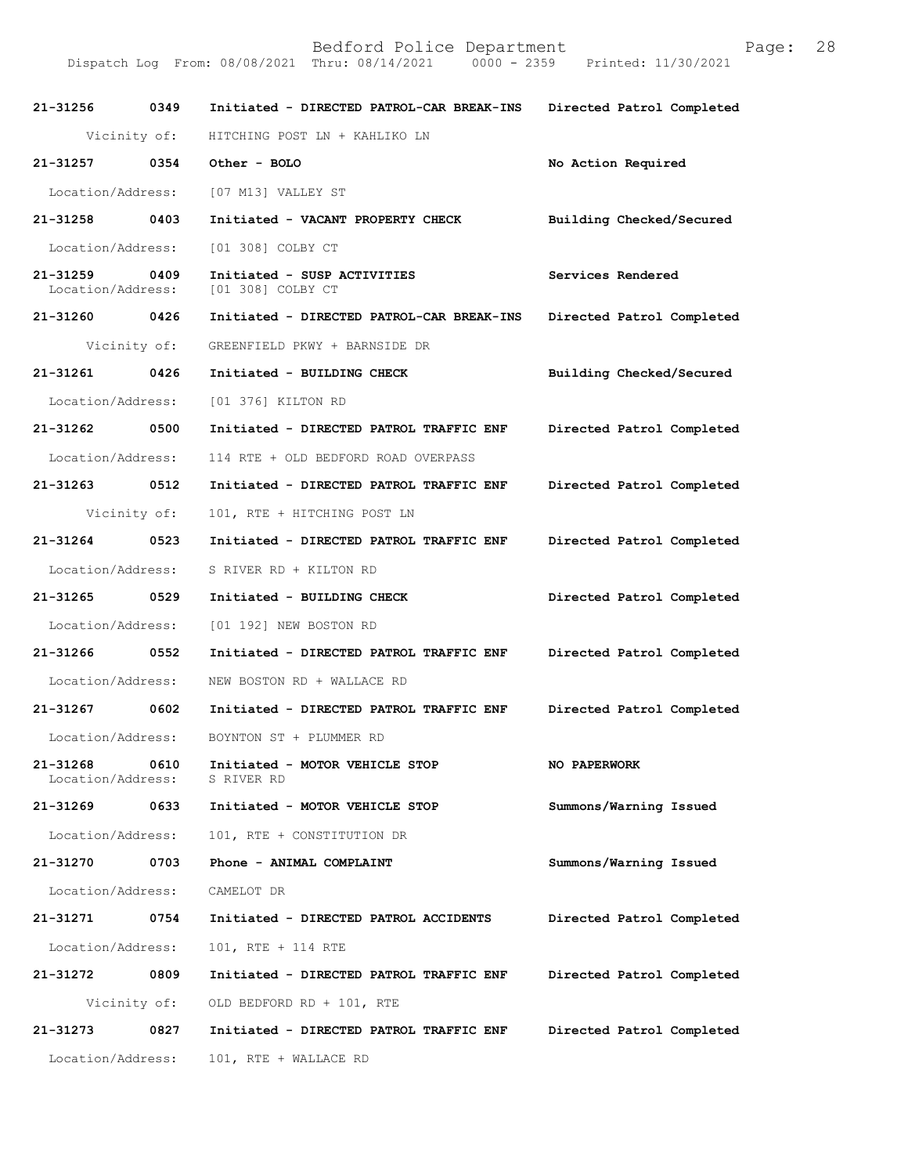Bedford Police Department<br>Thru: 08/14/2021 0000 - 2359 Printed: 11/30/2021 Dispatch Log From: 08/08/2021 Thru: 08/14/2021

21-31256 0349 Initiated - DIRECTED PATROL-CAR BREAK-INS Directed Patrol Completed Vicinity of: HITCHING POST LN + KAHLIKO LN 21-31257 0354 Other-BOLO No Action Required Location/Address: [07 M13] VALLEY ST 21-31258 0403 Initiated - VACANT PROPERTY CHECK Building Checked/Secured Location/Address: [01 308] COLBY CT 21-31259 0409 Initiated - SUSP ACTIVITIES Services Rendered Location/Address: [01 308] COLBY CT [01 308] COLBY CT 21-31260 0426 Initiated - DIRECTED PATROL-CAR BREAK-INS Directed Patrol Completed Vicinity of: GREENFIELD PKWY + BARNSIDE DR 21-31261 0426 Initiated - BUILDING CHECK Building Checked/Secured Location/Address: [01 376] KILTON RD 21-31262 0500 Initiated - DIRECTED PATROL TRAFFIC ENF Directed Patrol Completed Location/Address: 114 RTE + OLD BEDFORD ROAD OVERPASS 21-31263 0512 Initiated - DIRECTED PATROL TRAFFIC ENF Directed Patrol Completed Vicinity of: 101, RTE + HITCHING POST LN 21-31264 0523 Initiated - DIRECTED PATROL TRAFFIC ENF Directed Patrol Completed Location/Address: S RIVER RD + KILTON RD 21-31265 0529 Initiated - BUILDING CHECK Directed Patrol Completed Location/Address: [01 192] NEW BOSTON RD 21-31266 0552 Initiated - DIRECTED PATROL TRAFFIC ENF Directed Patrol Completed Location/Address: NEW BOSTON RD + WALLACE RD 21-31267 0602 Initiated - DIRECTED PATROL TRAFFIC ENF Directed Patrol Completed Location/Address: BOYNTON ST + PLUMMER RD 21-31268 0610 Initiated - MOTOR VEHICLE STOP NO PAPERWORK Location/Address: S RIVER RD Location/Address: 21-31269 0633 Initiated - MOTOR VEHICLE STOP Summons/Warning Issued Location/Address: 101, RTE + CONSTITUTION DR 21-31270 0703 Phone - ANIMAL COMPLAINT Summons/Warning Issued Location/Address: CAMELOT DR 21-31271 0754 Initiated - DIRECTED PATROL ACCIDENTS Directed Patrol Completed

Location/Address: 101, RTE + 114 RTE

21-31272 0809 Initiated - DIRECTED PATROL TRAFFIC ENF Directed Patrol Completed Vicinity of: OLD BEDFORD RD + 101, RTE 21-31273 0827 Initiated - DIRECTED PATROL TRAFFIC ENF Directed Patrol Completed Location/Address: 101, RTE + WALLACE RD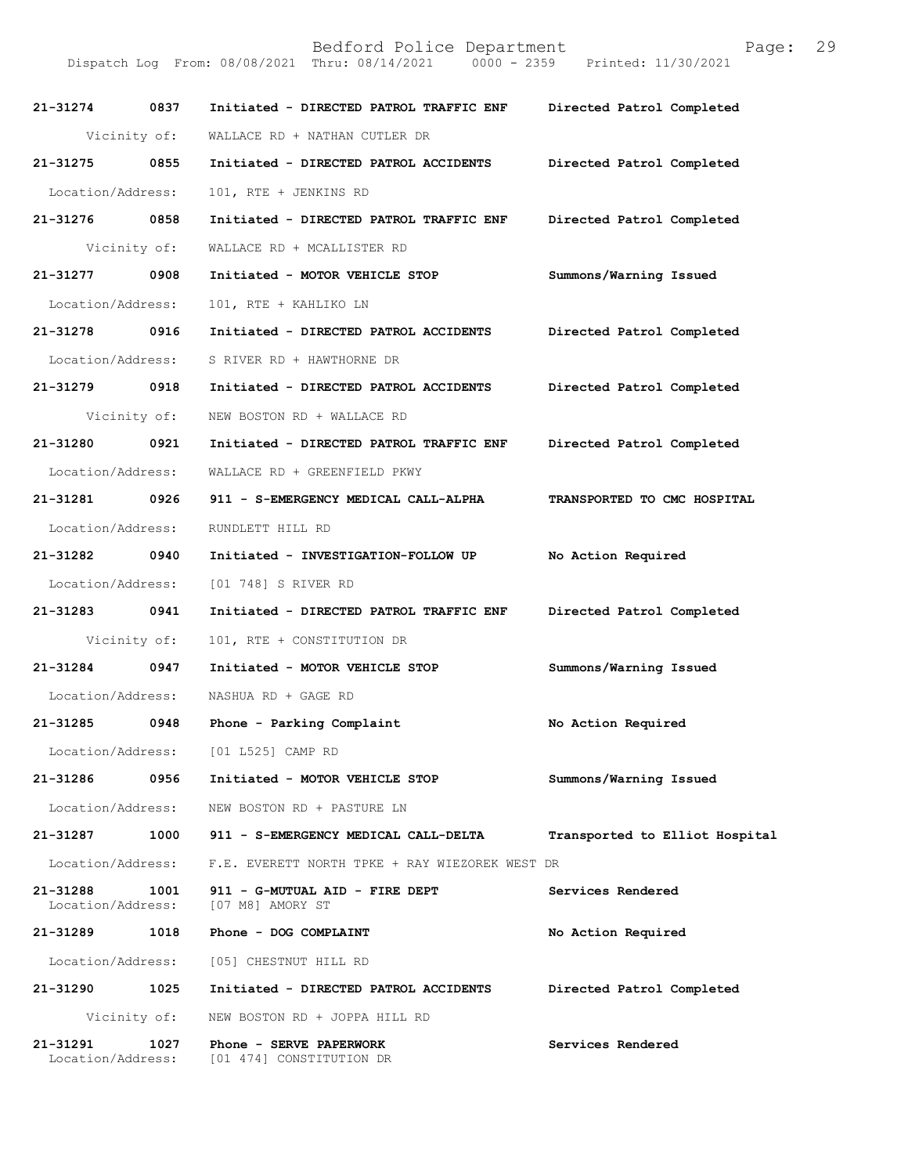Bedford Police Department<br>Thru: 08/14/2021 0000 - 2359 Printed: 11/30/2021 Dispatch Log From: 08/08/2021 Thru: 08/14/2021 21-31274 0837 Initiated - DIRECTED PATROL TRAFFIC ENF Directed Patrol Completed Vicinity of: WALLACE RD + NATHAN CUTLER DR 21-31275 0855 Initiated - DIRECTED PATROL ACCIDENTS Directed Patrol Completed Location/Address: 101, RTE + JENKINS RD 21-31276 0858 Initiated - DIRECTED PATROL TRAFFIC ENF Directed Patrol Completed Vicinity of: WALLACE RD + MCALLISTER RD 21-31277 0908 Initiated - MOTOR VEHICLE STOP Summons/Warning Issued Location/Address: 101, RTE + KAHLIKO LN 21-31278 0916 Initiated - DIRECTED PATROL ACCIDENTS Directed Patrol Completed Location/Address: S RIVER RD + HAWTHORNE DR 21-31279 0918 Initiated - DIRECTED PATROL ACCIDENTS Directed Patrol Completed Vicinity of: NEW BOSTON RD + WALLACE RD 21-31280 0921 Initiated - DIRECTED PATROL TRAFFIC ENF Directed Patrol Completed Location/Address: WALLACE RD + GREENFIELD PKWY 21-312810926 911-S-EMERGENCYMEDICALCALL-ALPHA TRANSPORTEDTOCMCHOSPITAL Location/Address: RUNDLETT HILL RD 21-31282 0940 Initiated - INVESTIGATION-FOLLOW UP No Action Required Location/Address: [01 748] S RIVER RD 21-31283 0941 Initiated - DIRECTED PATROL TRAFFIC ENF Directed Patrol Completed Vicinity of: 101, RTE + CONSTITUTION DR 21-31284 0947 Initiated - MOTOR VEHICLE STOP Summons/Warning Issued Location/Address: NASHUA RD + GAGE RD 21-31285 0948 Phone - Parking Complaint No Action Required Location/Address: [01 L525] CAMP RD 21-31286 0956 Initiated - MOTOR VEHICLE STOP Summons/Warning Issued Location/Address: NEW BOSTON RD + PASTURE LN 21-31287 1000 911 - S-EMERGENCY MEDICAL CALL-DELTA Transported to Elliot Hospital Location/Address: F.E. EVERETT NORTH TPKE + RAY WIEZOREK WEST DR 21-31288 1001 911 - G-MUTUAL AID - FIRE DEPT Services Rendered Location/Address:  $[07 \text{ M8}]$  AMORY ST Location/Address: 21-31289 1018 Phone - DOG COMPLAINT No Action Required Location/Address: [05] CHESTNUT HILL RD 21-31290 1025 Initiated - DIRECTED PATROL ACCIDENTS Directed Patrol Completed Vicinity of: NEW BOSTON RD + JOPPA HILL RD 21-31291 1027 Phone - SERVE PAPERWORK Services Rendered Location/Address: [01 474] CONSTITUTION DR [01 474] CONSTITUTION DR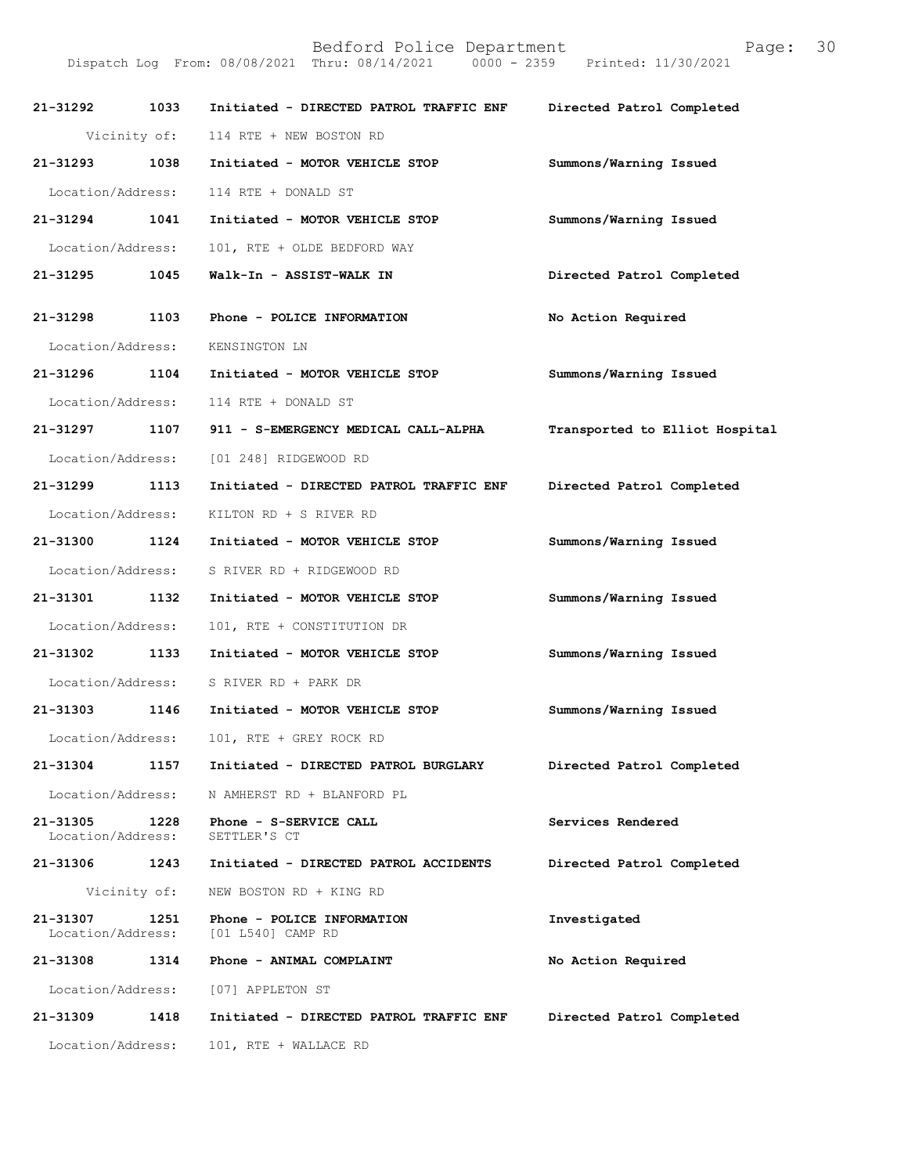Bedford Police Department<br>Thru: 08/14/2021 0000 - 2359 Printed: 11/30/2021 Dispatch Log From: 08/08/2021 Thru: 08/14/2021 21-31292 1033 Initiated - DIRECTED PATROL TRAFFIC ENF Directed Patrol Completed Vicinity of: 114 RTE + NEW BOSTON RD 21-31293 1038 Initiated - MOTOR VEHICLE STOP Summons/Warning Issued Location/Address: 114 RTE + DONALD ST 21-31294 1041 Initiated - MOTOR VEHICLE STOP Summons/Warning Issued Location/Address: 101, RTE + OLDE BEDFORD WAY 21-31295 1045 Walk-In - ASSIST-WALK IN Directed Patrol Completed 21-31298 1103 Phone - POLICE INFORMATION No Action Required Location/Address: KENSINGTON LN 21-31296 1104 Initiated - MOTOR VEHICLE STOP Summons/Warning Issued Location/Address: 114 RTE + DONALD ST 21-31297 1107 911 - S-EMERGENCY MEDICAL CALL-ALPHA Transported to Elliot Hospital Location/Address: [01 248] RIDGEWOOD RD 21-31299 1113 Initiated - DIRECTED PATROL TRAFFIC ENF Directed Patrol Completed Location/Address: KILTON RD + S RIVER RD 21-31300 1124 Initiated - MOTOR VEHICLE STOP Summons/Warning Issued Location/Address: S RIVER RD + RIDGEWOOD RD 21-31301 1132 Initiated - MOTOR VEHICLE STOP Summons/Warning Issued Location/Address: 101, RTE + CONSTITUTION DR 21-31302 1133 Initiated - MOTOR VEHICLE STOP Summons/Warning Issued Location/Address: S RIVER RD + PARK DR 21-31303 1146 Initiated - MOTOR VEHICLE STOP Summons/Warning Issued Location/Address: 101, RTE + GREY ROCK RD 21-31304 1157 Initiated - DIRECTED PATROL BURGLARY Directed Patrol Completed Location/Address: N AMHERST RD + BLANFORD PL 21-31305 1228 Phone - S-SERVICE CALL Services Rendered Location/Address: SETTLER'S CT Location/Address: 21-31306 1243 Initiated - DIRECTED PATROL ACCIDENTS Directed Patrol Completed Vicinity of: NEW BOSTON RD + KING RD 21-31307 1251 Phone - POLICE INFORMATION Investigated Iocation/Address: [01 L540] CAMP RD [01 L540] CAMP RD 21-31308 1314 Phone - ANIMAL COMPLAINT No Action Required Location/Address: [07] APPLETON ST 21-31309 1418 Initiated - DIRECTED PATROL TRAFFIC ENF Directed Patrol Completed Location/Address: 101, RTE + WALLACE RD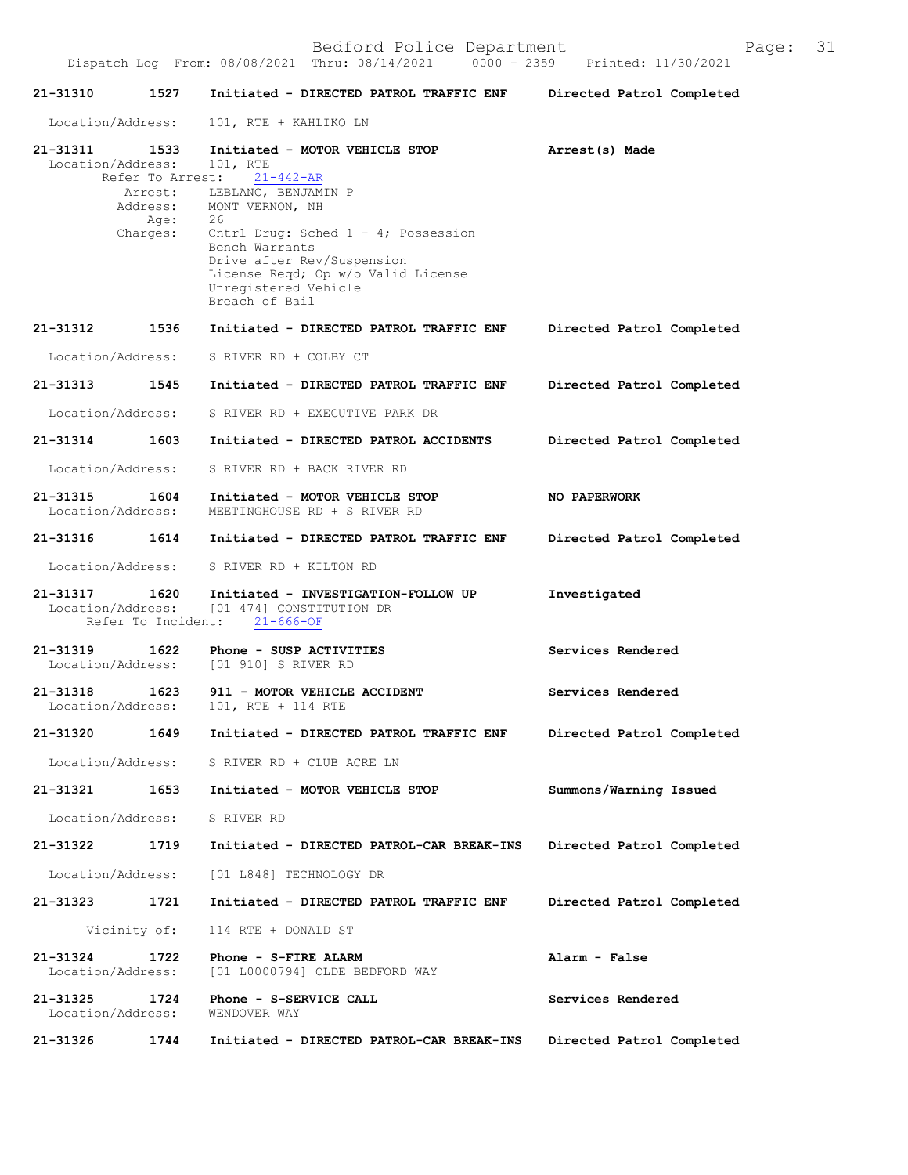21-31310 1527 Initiated - DIRECTED PATROL TRAFFIC ENF Directed Patrol Completed Location/Address: 101, RTE + KAHLIKO LN 21-31311 1533 Initiated - MOTOR VEHICLE STOP Arrest(s) Made Location/Address: 101, RTE Location/Address: 101, RTE<br>Refer To Arrest: 21-442-AR Refer To Arrest:<br>Arrest: LEB 21-31317 1620 Initiated - INVESTIGATION-FOLLOW UP Investigated Location/Address: [01 4741 CONSTITUTION DR  $[01 474]$  CONSTITUTION DR<br>nt:  $21-666-OF$ Refer To Incident: 21-31319 1622 Phone - SUSP ACTIVITIES Services Rendered Location/Address: [01 910] S RIVER RD Location/Address:[01910]SRIVERRD 21-31318 1623 911 - MOTOR VEHICLE ACCIDENT Services Rendered Location/Address:  $101$ , RTE + 114 RTE 101, RTE + 114 RTE 21-31320 1649 Initiated - DIRECTED PATROL TRAFFIC ENF Directed Patrol Completed Location/Address: S RIVER RD + CLUB ACRE LN 21-31321 1653 Initiated - MOTOR VEHICLE STOP Summons/Warning Issued Location/Address: S RIVER RD 21-31322 1719 Initiated - DIRECTED PATROL-CAR BREAK-INS Directed Patrol Completed Location/Address: [01 L848] TECHNOLOGY DR 21-31323 1721 Initiated - DIRECTED PATROL TRAFFIC ENF Directed Patrol Completed Vicinity of: 114 RTE + DONALD ST 21-313241722 Phone-S-FIREALARM Alarm-False [01 L0000794] OLDE BEDFORD WAY 21-31325 1724 Phone - S-SERVICE CALL Services Rendered Location/Address: WENDOVER WAY Location/Address: 21-31326 1744 Initiated - DIRECTED PATROL-CAR BREAK-INS Directed Patrol Completed Arrest: LEBLANC, BENJAMIN P<br>Address: MONT VERNON, NH MONT VERNON, NH<br>26 Age:<br>Charges: Cntrl Drug: Sched 1 - 4; Possession Bench Warrants Drive after Rev/Suspension License Reqd; Op w/o Valid License Unregistered Vehicle Breach of Bail 21-31312 1536 Initiated - DIRECTED PATROL TRAFFIC ENF Directed Patrol Completed Location/Address: S RIVER RD + COLBY CT 21-31313 1545 Initiated - DIRECTED PATROL TRAFFIC ENF Directed Patrol Completed Location/Address: SRIVERRD + EXECUTIVE PARK DR 21-31314 1603 Initiated - DIRECTED PATROL ACCIDENTS Directed Patrol Completed Location/Address: S RIVER RD + BACK RIVER RD 21-31315 1604 Initiated - MOTOR VEHICLE STOP NO PAPERWORK<br>Location/Address: MEETINGHOUSE RD + S RIVER RD MEETINGHOUSE RD + S RIVER RD 21-31316 1614 Initiated - DIRECTED PATROL TRAFFIC ENF Directed Patrol Completed Location/Address: S RIVER RD + KILTON RD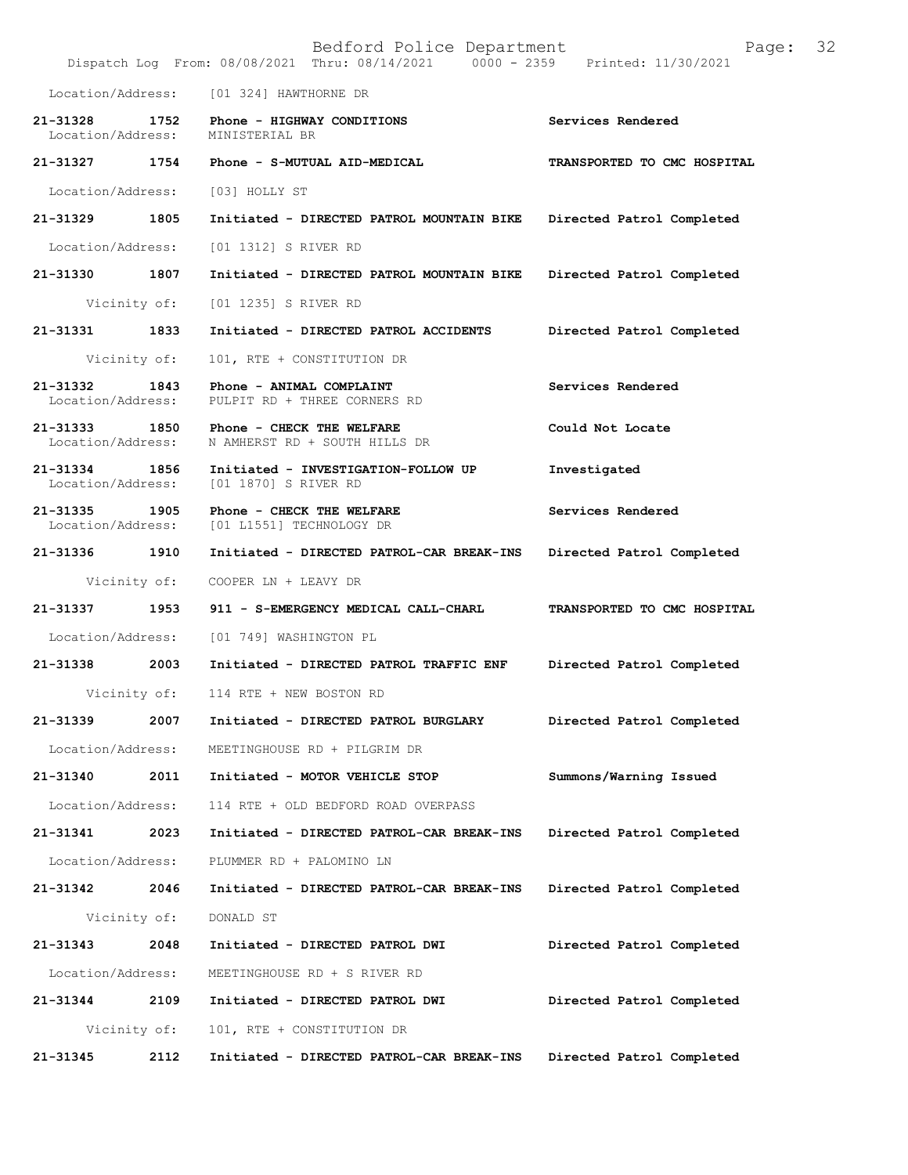|                                    |              | Bedford Police Department<br>Dispatch Log From: 08/08/2021 Thru: 08/14/2021 0000 - 2359 Printed: 11/30/2021 | Page:                       | 32 |
|------------------------------------|--------------|-------------------------------------------------------------------------------------------------------------|-----------------------------|----|
| Location/Address:                  |              | [01 324] HAWTHORNE DR                                                                                       |                             |    |
| 21-31328<br>Location/Address:      | 1752         | Phone - HIGHWAY CONDITIONS<br>MINISTERIAL BR                                                                | Services Rendered           |    |
| 21-31327                           | 1754         | Phone - S-MUTUAL AID-MEDICAL                                                                                | TRANSPORTED TO CMC HOSPITAL |    |
| Location/Address:                  |              | [03] HOLLY ST                                                                                               |                             |    |
| 21-31329 1805                      |              | Initiated - DIRECTED PATROL MOUNTAIN BIKE                                                                   | Directed Patrol Completed   |    |
| Location/Address:                  |              | [01 1312] S RIVER RD                                                                                        |                             |    |
| 21-31330                           | 1807         | Initiated - DIRECTED PATROL MOUNTAIN BIKE                                                                   | Directed Patrol Completed   |    |
|                                    | Vicinity of: | [01 1235] S RIVER RD                                                                                        |                             |    |
| 21-31331 1833                      |              | Initiated - DIRECTED PATROL ACCIDENTS                                                                       | Directed Patrol Completed   |    |
|                                    | Vicinity of: | 101, RTE + CONSTITUTION DR                                                                                  |                             |    |
| 21-31332<br>Location/Address:      | 1843         | Phone - ANIMAL COMPLAINT<br>PULPIT RD + THREE CORNERS RD                                                    | Services Rendered           |    |
| 21-31333 1850<br>Location/Address: |              | Phone - CHECK THE WELFARE<br>N AMHERST RD + SOUTH HILLS DR                                                  | Could Not Locate            |    |
| 21-31334 1856<br>Location/Address: |              | Initiated - INVESTIGATION-FOLLOW UP<br>[01 1870] S RIVER RD                                                 | Investigated                |    |
| 21-31335<br>Location/Address:      | 1905         | Phone - CHECK THE WELFARE<br>[01 L1551] TECHNOLOGY DR                                                       | Services Rendered           |    |
| 21-31336                           | 1910         | Initiated - DIRECTED PATROL-CAR BREAK-INS                                                                   | Directed Patrol Completed   |    |
|                                    | Vicinity of: | COOPER LN + LEAVY DR                                                                                        |                             |    |
| 21-31337                           | 1953         | 911 - S-EMERGENCY MEDICAL CALL-CHARL                                                                        | TRANSPORTED TO CMC HOSPITAL |    |
| Location/Address:                  |              | [01 749] WASHINGTON PL                                                                                      |                             |    |
|                                    |              | 21-31338 2003 Initiated - DIRECTED PATROL TRAFFIC ENF                                                       | Directed Patrol Completed   |    |
|                                    | Vicinity of: | 114 RTE + NEW BOSTON RD                                                                                     |                             |    |
| 21-31339                           | 2007         | Initiated - DIRECTED PATROL BURGLARY                                                                        | Directed Patrol Completed   |    |
| Location/Address:                  |              | MEETINGHOUSE RD + PILGRIM DR                                                                                |                             |    |
| 21-31340                           | 2011         | Initiated - MOTOR VEHICLE STOP                                                                              | Summons/Warning Issued      |    |
| Location/Address:                  |              | 114 RTE + OLD BEDFORD ROAD OVERPASS                                                                         |                             |    |
| 21-31341                           | 2023         | Initiated - DIRECTED PATROL-CAR BREAK-INS                                                                   | Directed Patrol Completed   |    |
| Location/Address:                  |              | PLUMMER RD + PALOMINO LN                                                                                    |                             |    |
| 21-31342                           | 2046         | Initiated - DIRECTED PATROL-CAR BREAK-INS                                                                   | Directed Patrol Completed   |    |
| Vicinity of:                       |              | DONALD ST                                                                                                   |                             |    |
| 21-31343                           | 2048         | Initiated - DIRECTED PATROL DWI                                                                             | Directed Patrol Completed   |    |
| Location/Address:                  |              | MEETINGHOUSE RD + S RIVER RD                                                                                |                             |    |
| 21-31344                           | 2109         | Initiated - DIRECTED PATROL DWI                                                                             | Directed Patrol Completed   |    |
| Vicinity of:                       |              | 101, RTE + CONSTITUTION DR                                                                                  |                             |    |
| 21-31345                           | 2112         | Initiated - DIRECTED PATROL-CAR BREAK-INS                                                                   | Directed Patrol Completed   |    |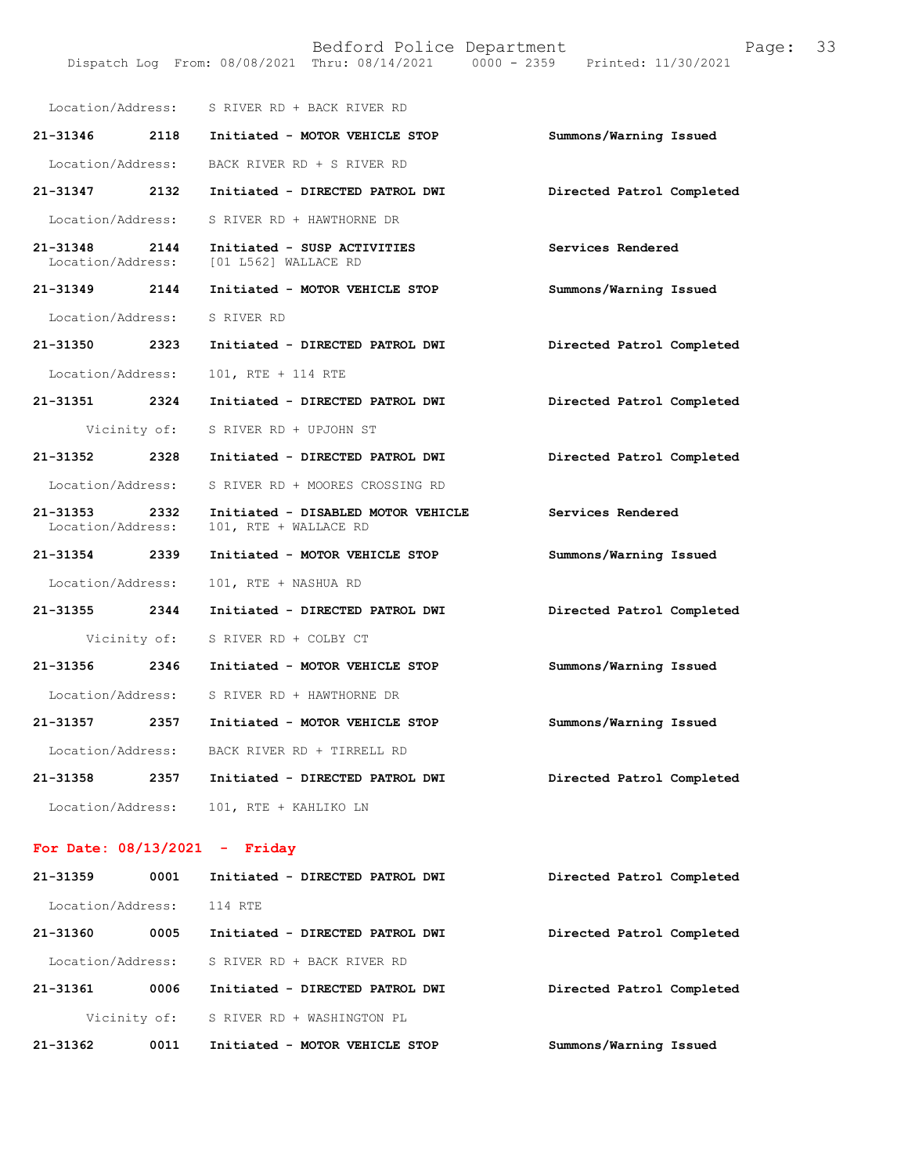Bedford Police Department Page: 33 DispatchLogFrom:08/08/2021Thru:08/14/20210000-2359Printed:11/30/2021

| Location/Address:             |              | S RIVER RD + BACK RIVER RD                                  |                           |
|-------------------------------|--------------|-------------------------------------------------------------|---------------------------|
| 21-31346                      | 2118         | Initiated - MOTOR VEHICLE STOP                              | Summons/Warning Issued    |
| Location/Address:             |              | BACK RIVER RD + S RIVER RD                                  |                           |
| 21-31347                      | 2132         | Initiated - DIRECTED PATROL DWI                             | Directed Patrol Completed |
| Location/Address:             |              | S RIVER RD + HAWTHORNE DR                                   |                           |
| 21-31348<br>Location/Address: | 2144         | Initiated - SUSP ACTIVITIES<br>[01 L562] WALLACE RD         | Services Rendered         |
| 21-31349                      | 2144         | Initiated - MOTOR VEHICLE STOP                              | Summons/Warning Issued    |
| Location/Address:             |              | S RIVER RD                                                  |                           |
| 21-31350                      | 2323         | Initiated - DIRECTED PATROL DWI                             | Directed Patrol Completed |
| Location/Address:             |              | 101, RTE + 114 RTE                                          |                           |
| 21-31351                      | 2324         | Initiated - DIRECTED PATROL DWI                             | Directed Patrol Completed |
|                               | Vicinity of: | S RIVER RD + UPJOHN ST                                      |                           |
| 21-31352                      | 2328         | Initiated - DIRECTED PATROL DWI                             | Directed Patrol Completed |
| Location/Address:             |              | S RIVER RD + MOORES CROSSING RD                             |                           |
| 21-31353<br>Location/Address: | 2332         | Initiated - DISABLED MOTOR VEHICLE<br>101, RTE + WALLACE RD | Services Rendered         |
| $21 - 31354$                  | 2339         | Initiated - MOTOR VEHICLE STOP                              | Summons/Warning Issued    |
| Location/Address:             |              | 101, RTE + NASHUA RD                                        |                           |
| 21-31355                      | 2344         | Initiated - DIRECTED PATROL DWI                             | Directed Patrol Completed |
|                               | Vicinity of: | S RIVER RD + COLBY CT                                       |                           |
| 21-31356 2346                 |              | Initiated - MOTOR VEHICLE STOP                              | Summons/Warning Issued    |
| Location/Address:             |              | S RIVER RD + HAWTHORNE DR                                   |                           |
| 21-31357 2357                 |              | Initiated - MOTOR VEHICLE STOP                              | Summons/Warning Issued    |
| Location/Address:             |              | BACK RIVER RD + TIRRELL RD                                  |                           |
| 21-31358                      | 2357         | Initiated - DIRECTED PATROL DWI                             | Directed Patrol Completed |
| Location/Address:             |              | 101, RTE + KAHLIKO LN                                       |                           |

For Date:  $08/13/2021$  - Friday

| 21-31362 | 0011              | Initiated - MOTOR VEHICLE STOP  | Summons/Warning Issued    |
|----------|-------------------|---------------------------------|---------------------------|
|          | Vicinity of:      | S RIVER RD + WASHINGTON PL      |                           |
| 21-31361 | 0006              | Initiated - DIRECTED PATROL DWI | Directed Patrol Completed |
|          | Location/Address: | S RIVER RD + BACK RIVER RD      |                           |
| 21-31360 | 0005              | Initiated - DIRECTED PATROL DWI | Directed Patrol Completed |
|          | Location/Address: | 114 RTE                         |                           |
| 21-31359 | 0001              | Initiated - DIRECTED PATROL DWI | Directed Patrol Completed |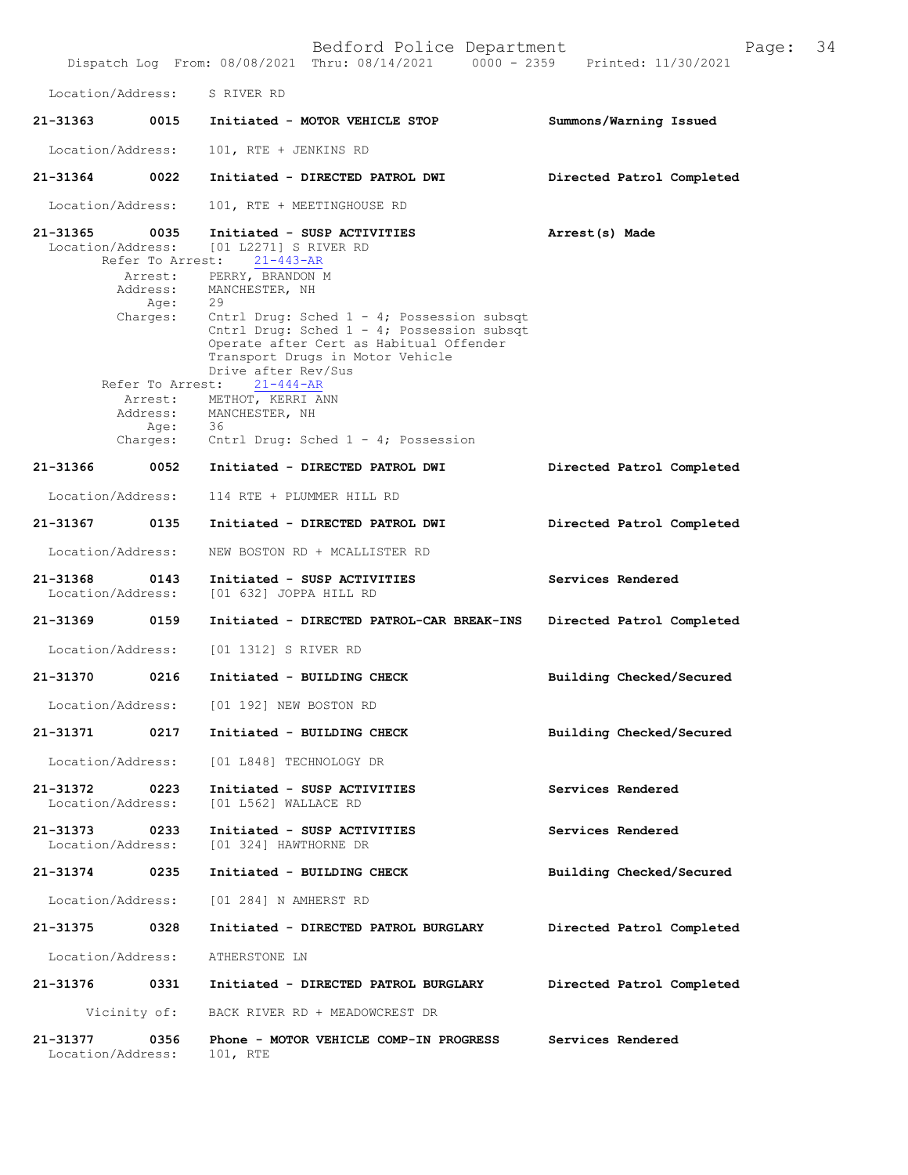|                               |                              | Bedford Police Department<br>Dispatch Log From: 08/08/2021 Thru: 08/14/2021 0000 - 2359 Printed: 11/30/2021                                                                                       | Page:                     | 34 |
|-------------------------------|------------------------------|---------------------------------------------------------------------------------------------------------------------------------------------------------------------------------------------------|---------------------------|----|
|                               | Location/Address:            | S RIVER RD                                                                                                                                                                                        |                           |    |
| 21-31363                      |                              | 0015 Initiated - MOTOR VEHICLE STOP                                                                                                                                                               | Summons/Warning Issued    |    |
| Location/Address:             |                              | 101, RTE + JENKINS RD                                                                                                                                                                             |                           |    |
| 21-31364                      | 0022                         | Initiated - DIRECTED PATROL DWI                                                                                                                                                                   | Directed Patrol Completed |    |
| Location/Address:             |                              | 101, RTE + MEETINGHOUSE RD                                                                                                                                                                        |                           |    |
| 21-31365 0035                 | Location/Address:            | Initiated - SUSP ACTIVITIES<br>[01 L2271] S RIVER RD<br>Refer To Arrest: 21-443-AR                                                                                                                | Arrest(s) Made            |    |
|                               | Arrest:<br>Address:<br>Age:  | PERRY, BRANDON M<br>MANCHESTER, NH<br>29                                                                                                                                                          |                           |    |
|                               | Charges:                     | Cntrl Drug: Sched $1 - 4$ ; Possession subsqt<br>Cntrl Drug: Sched 1 - 4; Possession subsqt<br>Operate after Cert as Habitual Offender<br>Transport Drugs in Motor Vehicle<br>Drive after Rev/Sus |                           |    |
|                               | Refer To Arrest:<br>Arrest:  | $21 - 444 - AR$<br>METHOT, KERRI ANN                                                                                                                                                              |                           |    |
|                               | Address:<br>Age:<br>Charges: | MANCHESTER, NH<br>- 36<br>Cntrl Drug: Sched $1 - 4$ ; Possession                                                                                                                                  |                           |    |
| 21-31366                      | 0052                         | Initiated - DIRECTED PATROL DWI                                                                                                                                                                   | Directed Patrol Completed |    |
| Location/Address:             |                              | 114 RTE + PLUMMER HILL RD                                                                                                                                                                         |                           |    |
| 21-31367                      | 0135                         | Initiated - DIRECTED PATROL DWI                                                                                                                                                                   | Directed Patrol Completed |    |
| Location/Address:             |                              | NEW BOSTON RD + MCALLISTER RD                                                                                                                                                                     |                           |    |
| 21-31368                      | 0143<br>Location/Address:    | Initiated - SUSP ACTIVITIES<br>[01 632] JOPPA HILL RD                                                                                                                                             | Services Rendered         |    |
| 21-31369                      | 0159                         | Initiated - DIRECTED PATROL-CAR BREAK-INS                                                                                                                                                         | Directed Patrol Completed |    |
| Location/Address:             |                              | [01 1312] S RIVER RD                                                                                                                                                                              |                           |    |
| 21-31370                      | 0216                         | Initiated - BUILDING CHECK                                                                                                                                                                        | Building Checked/Secured  |    |
| Location/Address:             |                              | [01 192] NEW BOSTON RD                                                                                                                                                                            |                           |    |
| 21-31371                      | 0217                         | Initiated - BUILDING CHECK                                                                                                                                                                        | Building Checked/Secured  |    |
|                               | Location/Address:            | [01 L848] TECHNOLOGY DR                                                                                                                                                                           |                           |    |
| 21-31372<br>Location/Address: | 0223                         | Initiated - SUSP ACTIVITIES<br>[01 L562] WALLACE RD                                                                                                                                               | Services Rendered         |    |
| 21-31373<br>Location/Address: | 0233                         | Initiated - SUSP ACTIVITIES<br>[01 324] HAWTHORNE DR                                                                                                                                              | Services Rendered         |    |
| 21-31374                      | 0235                         | Initiated - BUILDING CHECK                                                                                                                                                                        | Building Checked/Secured  |    |
|                               | Location/Address:            | [01 284] N AMHERST RD                                                                                                                                                                             |                           |    |
| 21-31375                      | 0328                         | Initiated - DIRECTED PATROL BURGLARY                                                                                                                                                              | Directed Patrol Completed |    |
|                               | Location/Address:            | ATHERSTONE LN                                                                                                                                                                                     |                           |    |
| 21-31376                      | 0331                         | Initiated - DIRECTED PATROL BURGLARY                                                                                                                                                              | Directed Patrol Completed |    |
|                               | Vicinity of:                 | BACK RIVER RD + MEADOWCREST DR                                                                                                                                                                    |                           |    |
| 21-31377                      | 0356<br>Location/Address:    | Phone - MOTOR VEHICLE COMP-IN PROGRESS<br>101, RTE                                                                                                                                                | Services Rendered         |    |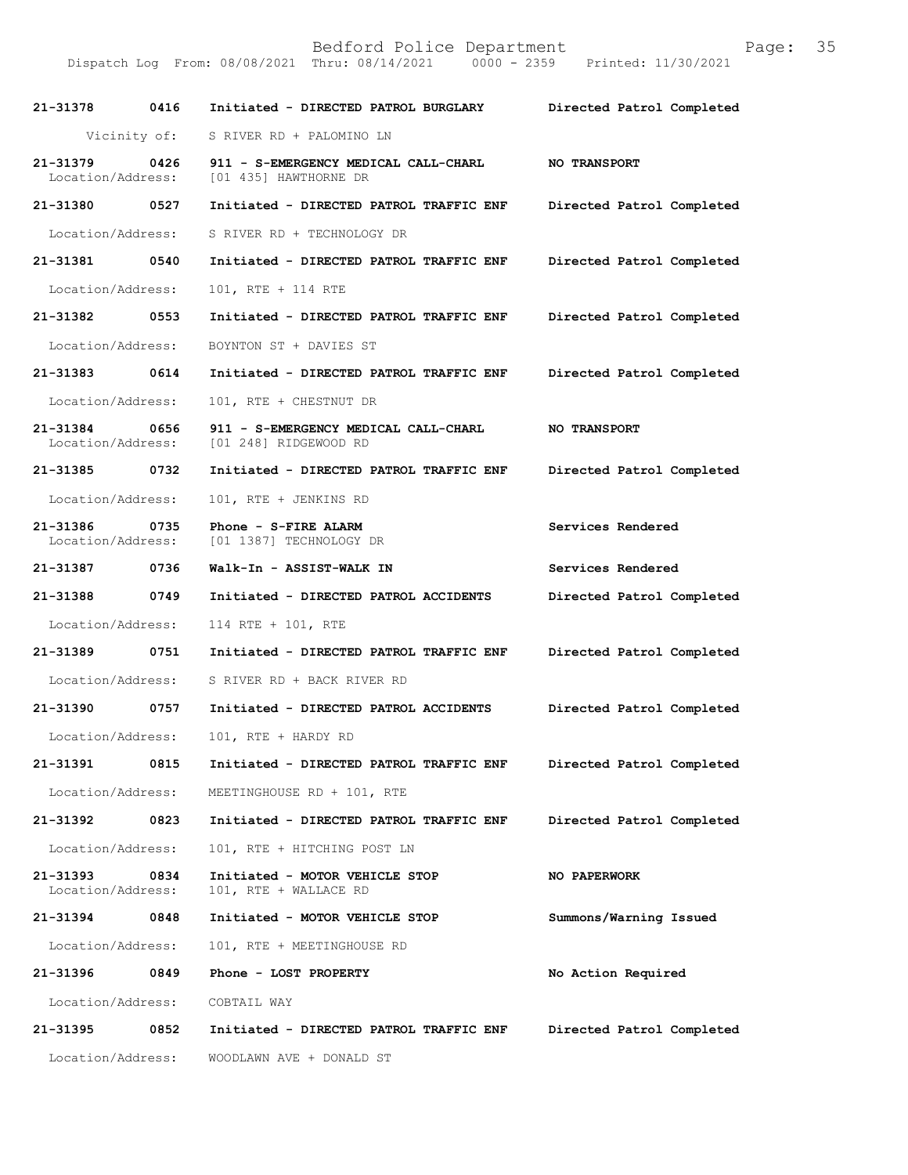21-31378 0416 Initiated - DIRECTED PATROL BURGLARY Directed Patrol Completed Vicinity of: S RIVER RD + PALOMINO LN 21-31379 0426 911 - S-EMERGENCY MEDICAL CALL-CHARL NO TRANSPORT<br>Location/Address: [01 4351 HAWTHORNE DR [01 435] HAWTHORNE DR 21-31380 0527 Initiated - DIRECTED PATROL TRAFFIC ENF Directed Patrol Completed Location/Address: S RIVER RD + TECHNOLOGY DR 21-31381 0540 Initiated - DIRECTED PATROL TRAFFIC ENF Directed Patrol Completed Location/Address: 101, RTE + 114 RTE 21-31382 0553 Initiated - DIRECTED PATROL TRAFFIC ENF Directed Patrol Completed Location/Address: BOYNTON ST + DAVIES ST 21-31383 0614 Initiated - DIRECTED PATROL TRAFFIC ENF Directed Patrol Completed Location/Address: 101, RTE + CHESTNUT DR 21-31384 0656 911 - S-EMERGENCY MEDICAL CALL-CHARL NO TRANSPORT<br>Location/Address: [01 248] RIDGEWOOD RD [01 248] RIDGEWOOD RD 21-31385 0732 Initiated - DIRECTED PATROL TRAFFIC ENF Directed Patrol Completed Location/Address: 101, RTE + JENKINS RD 21-31386 0735 Phone - S-FIRE ALARM Services Rendered Location/Address: [01 1387] TECHNOLOGY DR [01 1387] TECHNOLOGY DR 21-31387 0736 Walk-In - ASSIST-WALK IN Services Rendered 21-31388 0749 Initiated - DIRECTED PATROL ACCIDENTS Directed Patrol Completed Location/Address: 114 RTE + 101, RTE 21-31389 0751 Initiated - DIRECTED PATROL TRAFFIC ENF Directed Patrol Completed Location/Address: S RIVER RD + BACK RIVER RD 21-31390 0757 Initiated - DIRECTED PATROL ACCIDENTS Directed Patrol Completed Location/Address: 101, RTE + HARDY RD 21-31391 0815 Initiated - DIRECTED PATROL TRAFFIC ENF Directed Patrol Completed Location/Address: MEETINGHOUSE RD + 101, RTE 21-31392 0823 Initiated - DIRECTED PATROL TRAFFIC ENF Directed Patrol Completed Location/Address: 101, RTE + HITCHING POST LN 21-31393 0834 Initiated - MOTOR VEHICLE STOP NO PAPERWORK<br>Location/Address: 101, RTE + WALLACE RD 101, RTE + WALLACE RD 21-31394 0848 Initiated - MOTOR VEHICLE STOP Summons/Warning Issued Location/Address: 101, RTE + MEETINGHOUSE RD 21-31396 0849 Phone - LOST PROPERTY No Action Required Location/Address: COBTAIL WAY 21-31395 0852 Initiated - DIRECTED PATROL TRAFFIC ENF Directed Patrol Completed Location/Address: WOODLAWN AVE + DONALD ST

Dispatch Log From: 08/08/2021 Thru: 08/14/2021

Bedford Police Department<br>Thru: 08/14/2021 0000 - 2359 Printed: 11/30/2021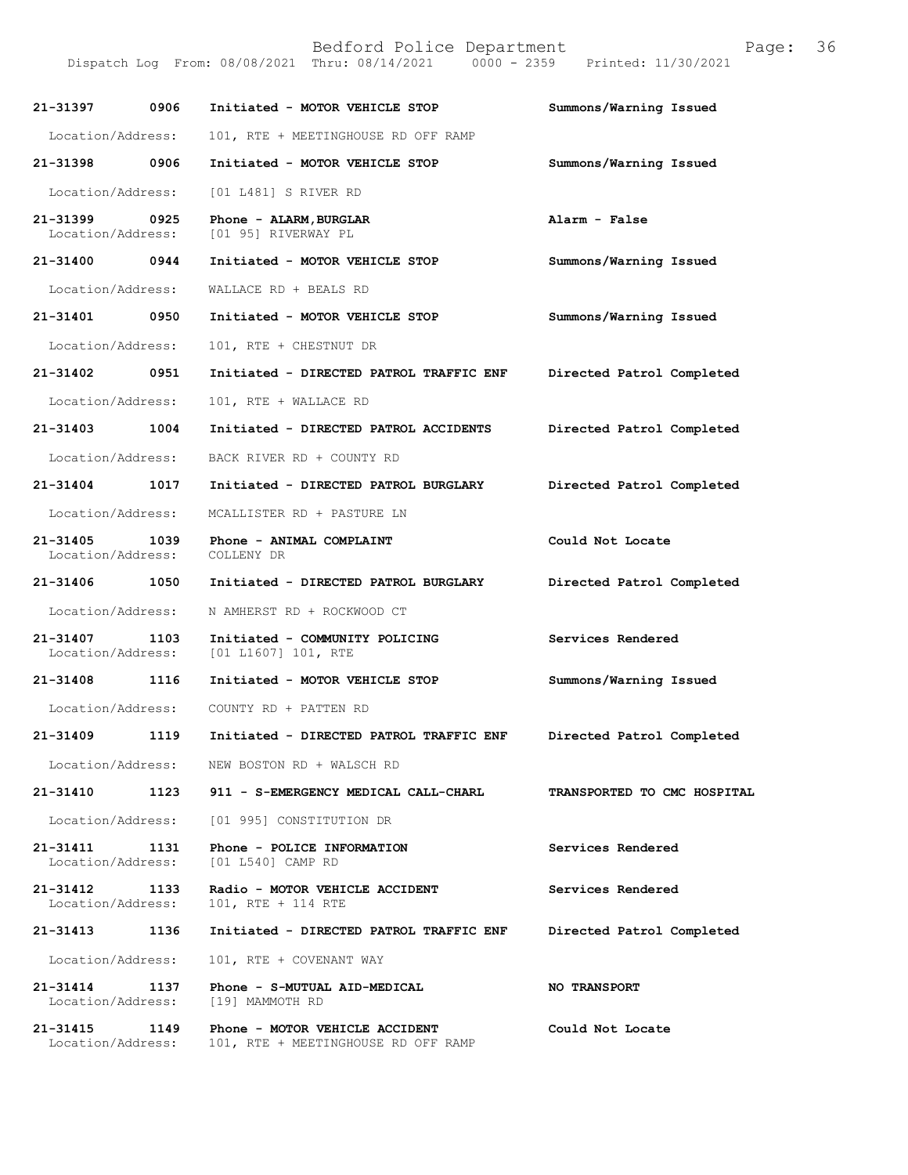21-31397 0906 Initiated - MOTOR VEHICLE STOP Summons/Warning Issued Location/Address: 101, RTE + MEETINGHOUSE RD OFF RAMP 21-31398 0906 Initiated - MOTOR VEHICLE STOP Summons/Warning Issued Location/Address: [01 L481] S RIVER RD 21-31399 0925 Phone - ALARM, BURGLAR Controller and alarm - False<br>
Location/Address: [01 95] RIVERWAY PL [01 95] RIVERWAY PL 21-31400 0944 Initiated - MOTOR VEHICLE STOP Summons/Warning Issued Location/Address: WALLACE RD + BEALS RD 21-31401 0950 Initiated - MOTOR VEHICLE STOP Summons/Warning Issued Location/Address: 101, RTE + CHESTNUT DR 21-31402 0951 Initiated - DIRECTED PATROL TRAFFIC ENF Directed Patrol Completed Location/Address: 101, RTE + WALLACE RD 21-31403 1004 Initiated - DIRECTED PATROL ACCIDENTS Directed Patrol Completed Location/Address: BACK RIVER RD + COUNTY RD 21-31404 1017 Initiated - DIRECTED PATROL BURGLARY Directed Patrol Completed Location/Address: MCALLISTER RD + PASTURE LN 21-31405 1039 Phone - ANIMAL COMPLAINT Could Not Locate<br>Location/Address: COLLENY DR Location/Address: 21-31406 1050 Initiated - DIRECTED PATROL BURGLARY Directed Patrol Completed Location/Address: N AMHERST RD + ROCKWOOD CT 21-31407 1103 Initiated - COMMUNITY POLICING Services Rendered Location/Address: [01 L1607] 101, RTE [01 L1607] 101, RTE 21-31408 1116 Initiated - MOTOR VEHICLE STOP Summons/Warning Issued Location/Address: COUNTY RD + PATTEN RD 21-31409 1119 Initiated - DIRECTED PATROL TRAFFIC ENF Directed Patrol Completed Location/Address: NEW BOSTON RD + WALSCH RD 21-31410 1123 911 - S-EMERGENCY MEDICAL CALL-CHARL TRANSPORTED TO CMC HOSPITAL Location/Address: [01 995] CONSTITUTION DR 21-31411 1131 Phone - POLICE INFORMATION Services Rendered<br>Location/Address: [01 L540] CAMP RD Location/Address: 21-31412 1133 Radio - MOTOR VEHICLE ACCIDENT Services Rendered Location/Address: 101, RTE + 114 RTE 101, RTE + 114 RTE 21-31413 1136 Initiated - DIRECTED PATROL TRAFFIC ENF Directed Patrol Completed Location/Address: 101, RTE + COVENANT WAY 21-31414 1137 Phone - S-MUTUAL AID-MEDICAL NO TRANSPORT Location/Address: [19] MAMMOTH RD Location/Address: 21-31415 1149 Phone - MOTOR VEHICLE ACCIDENT Could Not Locate<br>Location/Address: 101, RTE + MEETINGHOUSE RD OFF RAMP 101, RTE + MEETINGHOUSE RD OFF RAMP

Dispatch Log From: 08/08/2021 Thru: 08/14/2021

Bedford Police Department<br>Thru: 08/14/2021 0000 - 2359 Printed: 11/30/2021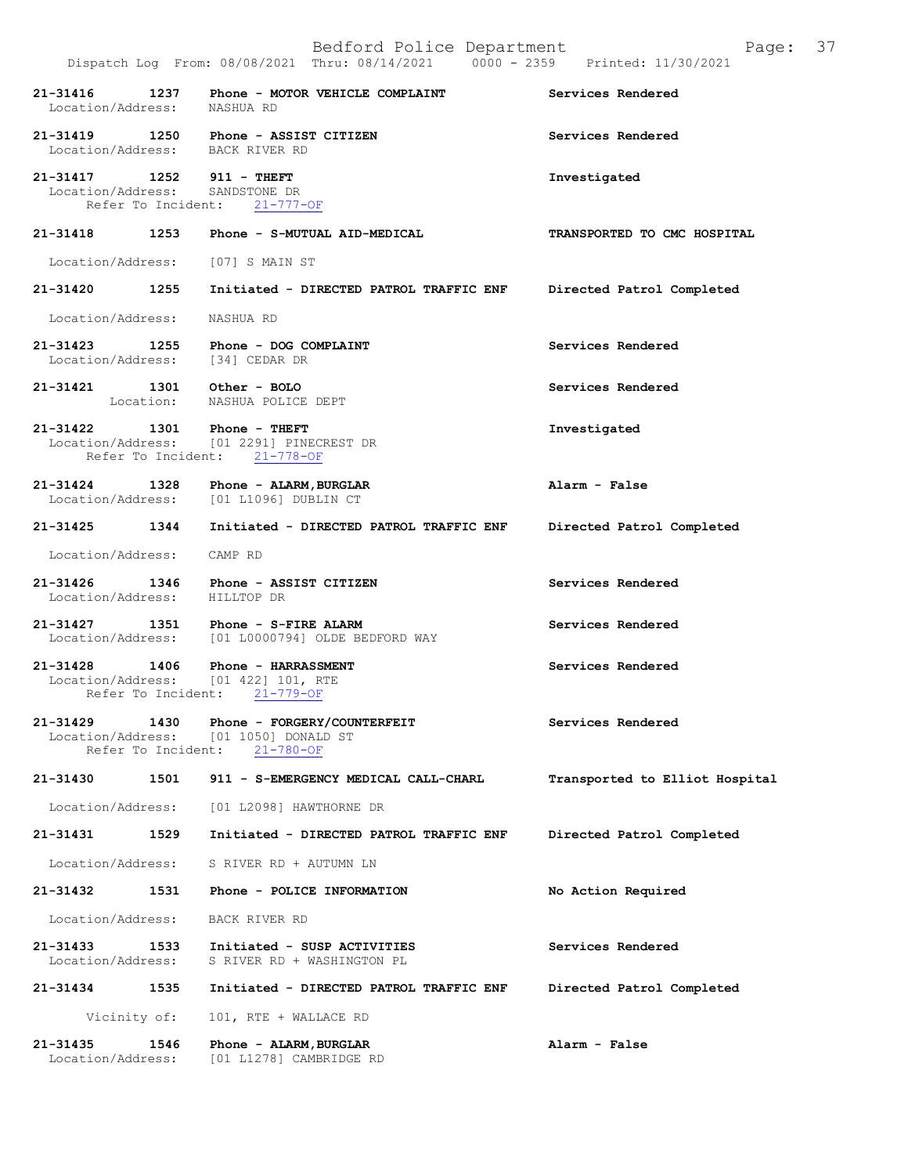|                                                             |      | Bedford Police Department<br>Dispatch Log From: 08/08/2021 Thru: 08/14/2021 0000 - 2359 Printed: 11/30/2021 | 37<br>Page:                    |
|-------------------------------------------------------------|------|-------------------------------------------------------------------------------------------------------------|--------------------------------|
| 21-31416<br>Location/Address: NASHUA RD                     |      | 1237 Phone - MOTOR VEHICLE COMPLAINT                                                                        | Services Rendered              |
|                                                             |      | 21-31419 1250 Phone - ASSIST CITIZEN<br>Location/Address: BACK RIVER RD                                     | Services Rendered              |
| 21-31417 1252 911 - THEFT<br>Location/Address: SANDSTONE DR |      | Refer To Incident: 21-777-OF                                                                                | Investigated                   |
| 21-31418                                                    | 1253 | Phone - S-MUTUAL AID-MEDICAL                                                                                | TRANSPORTED TO CMC HOSPITAL    |
|                                                             |      | Location/Address: [07] S MAIN ST                                                                            |                                |
| 21-31420 1255                                               |      | Initiated - DIRECTED PATROL TRAFFIC ENF                                                                     | Directed Patrol Completed      |
| Location/Address: NASHUA RD                                 |      |                                                                                                             |                                |
|                                                             |      | 21-31423 1255 Phone - DOG COMPLAINT<br>Location/Address: [34] CEDAR DR                                      | Services Rendered              |
| 21-31421 1301 Other - BOLO                                  |      | Location: NASHUA POLICE DEPT                                                                                | Services Rendered              |
| 21-31422 1301 Phone - THEFT<br>Refer To Incident:           |      | Location/Address: [01 2291] PINECREST DR<br>$21 - 778 - OF$                                                 | Investigated                   |
|                                                             |      | 21-31424 1328 Phone - ALARM, BURGLAR<br>Location/Address: [01 L1096] DUBLIN CT                              | Alarm - False                  |
|                                                             |      | 21-31425 1344 Initiated - DIRECTED PATROL TRAFFIC ENF                                                       | Directed Patrol Completed      |
| Location/Address:                                           |      | CAMP RD                                                                                                     |                                |
| 21-31426 1346<br>Location/Address: HILLTOP DR               |      | Phone - ASSIST CITIZEN                                                                                      | Services Rendered              |
|                                                             |      | 21-31427 1351 Phone - S-FIRE ALARM<br>Location/Address: [01 L0000794] OLDE BEDFORD WAY                      | Services Rendered              |
| Refer To Incident:                                          |      | 21-31428 1406 Phone - HARRASSMENT<br>Location/Address: [01 422] 101, RTE<br>$21 - 779 - OF$                 | Services Rendered              |
| 21-31429<br>Location/Address:<br>Refer To Incident:         | 1430 | Phone - FORGERY/COUNTERFEIT<br>[01 1050] DONALD ST<br>$21 - 780 - OF$                                       | Services Rendered              |
| 21-31430                                                    | 1501 | 911 - S-EMERGENCY MEDICAL CALL-CHARL                                                                        | Transported to Elliot Hospital |
| Location/Address:                                           |      | [01 L2098] HAWTHORNE DR                                                                                     |                                |
| 21-31431                                                    | 1529 | Initiated - DIRECTED PATROL TRAFFIC ENF                                                                     | Directed Patrol Completed      |
| Location/Address:                                           |      | S RIVER RD + AUTUMN LN                                                                                      |                                |
| 21-31432                                                    | 1531 | Phone - POLICE INFORMATION                                                                                  | No Action Required             |
| Location/Address:                                           |      | BACK RIVER RD                                                                                               |                                |
| 21-31433<br>Location/Address:                               | 1533 | Initiated - SUSP ACTIVITIES<br>S RIVER RD + WASHINGTON PL                                                   | Services Rendered              |
| 21-31434                                                    | 1535 | Initiated - DIRECTED PATROL TRAFFIC ENF                                                                     | Directed Patrol Completed      |
| Vicinity of:                                                |      | 101, RTE + WALLACE RD                                                                                       |                                |
| 21-31435<br>Location/Address:                               | 1546 | Phone - ALARM, BURGLAR<br>[01 L1278] CAMBRIDGE RD                                                           | Alarm - False                  |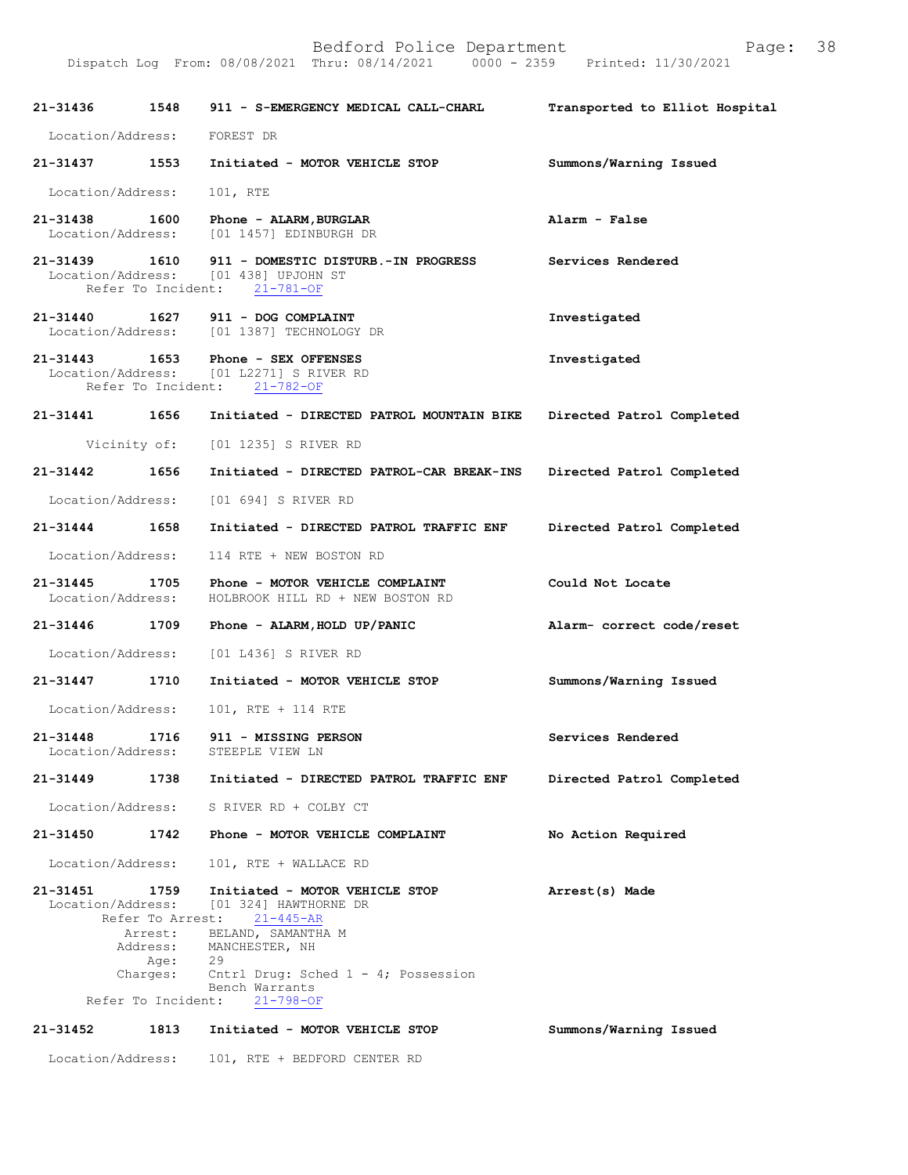|                                    |                                | Dispatch Log From: 08/08/2021 Thru: 08/14/2021<br>$0000 - 2359$                              | Printed: 11/30/2021            |
|------------------------------------|--------------------------------|----------------------------------------------------------------------------------------------|--------------------------------|
| $21 - 31436$                       | 1548                           | 911 - S-EMERGENCY MEDICAL CALL-CHARL                                                         | Transported to Elliot Hospital |
| Location/Address:                  |                                | FOREST DR                                                                                    |                                |
| 21-31437                           | 1553                           | Initiated - MOTOR VEHICLE STOP                                                               | Summons/Warning Issued         |
| Location/Address:                  |                                | 101, RTE                                                                                     |                                |
| 21-31438<br>Location/Address:      | 1600                           | Phone - ALARM, BURGLAR<br>[01 1457] EDINBURGH DR                                             | Alarm - False                  |
| 21-31439<br>Location/Address:      | 1610<br>Refer To Incident:     | 911 - DOMESTIC DISTURB.-IN PROGRESS<br>[01 438] UPJOHN ST<br>$21 - 781 - OF$                 | Services Rendered              |
| 21-31440 1627<br>Location/Address: |                                | 911 - DOG COMPLAINT<br>[01 1387] TECHNOLOGY DR                                               | Investigated                   |
| 21-31443<br>Location/Address:      | 1653<br>Refer To Incident:     | Phone - SEX OFFENSES<br>[01 L2271] S RIVER RD<br>$21 - 782 - OF$                             | Investigated                   |
| 21-31441                           | 1656                           | Initiated - DIRECTED PATROL MOUNTAIN BIKE                                                    | Directed Patrol Completed      |
|                                    | Vicinity of:                   | [01 1235] S RIVER RD                                                                         |                                |
| 21-31442                           | 1656                           | Initiated - DIRECTED PATROL-CAR BREAK-INS                                                    | Directed Patrol Completed      |
| Location/Address:                  |                                | [01 694] S RIVER RD                                                                          |                                |
| 21-31444                           | 1658                           | Initiated - DIRECTED PATROL TRAFFIC ENF                                                      | Directed Patrol Completed      |
| Location/Address:                  |                                | 114 RTE + NEW BOSTON RD                                                                      |                                |
| 21-31445<br>Location/Address:      | 1705                           | Phone - MOTOR VEHICLE COMPLAINT<br>HOLBROOK HILL RD + NEW BOSTON RD                          | Could Not Locate               |
| 21-31446                           | 1709                           | Phone - ALARM, HOLD UP/PANIC                                                                 | Alarm- correct code/reset      |
| Location/Address:                  |                                | [01 L436] S RIVER RD                                                                         |                                |
| 21-31447                           | 1710                           | Initiated - MOTOR VEHICLE STOP                                                               | Summons/Warning Issued         |
| Location/Address:                  |                                | 101, RTE + 114 RTE                                                                           |                                |
| $21 - 31448$<br>Location/Address:  | 1716                           | 911 - MISSING PERSON<br>STEEPLE VIEW LN                                                      | Services Rendered              |
| $21 - 31449$                       | 1738                           | Initiated - DIRECTED PATROL TRAFFIC ENF                                                      | Directed Patrol Completed      |
| Location/Address:                  |                                | S RIVER RD + COLBY CT                                                                        |                                |
| $21 - 31450$                       | 1742                           | Phone - MOTOR VEHICLE COMPLAINT                                                              | No Action Required             |
| Location/Address:                  |                                | 101, RTE + WALLACE RD                                                                        |                                |
| 21-31451                           | 1759<br>Refer To Arrest:       | Initiated - MOTOR VEHICLE STOP<br>Location/Address: [01 324] HAWTHORNE DR<br>$21 - 445 - AR$ | Arrest(s) Made                 |
|                                    | Arrest:<br>Address:<br>Age:    | BELAND, SAMANTHA M<br>MANCHESTER, NH<br>29                                                   |                                |
|                                    | Charges:<br>Refer To Incident: | Cntrl Drug: Sched $1 - 4$ ; Possession<br>Bench Warrants<br>$21 - 798 - OF$                  |                                |
| 21-31452                           | 1813                           | Initiated - MOTOR VEHICLE STOP                                                               | Summons/Warning Issued         |

Location/Address: 101, RTE + BEDFORD CENTER RD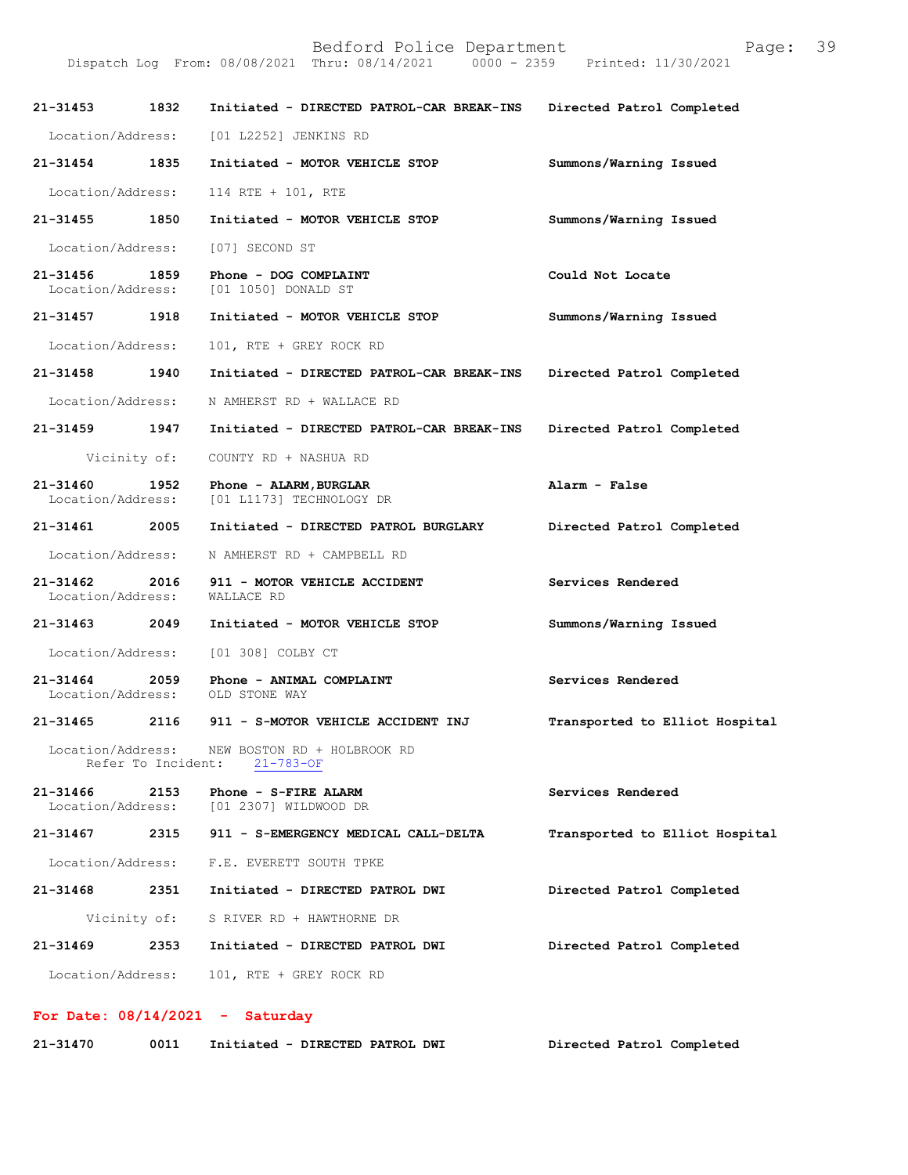|                                    |                    | Bedford Police Department<br>Dispatch Log From: 08/08/2021 Thru: 08/14/2021 0000 - 2359 Printed: 11/30/2021 | Page:                          | 39 |
|------------------------------------|--------------------|-------------------------------------------------------------------------------------------------------------|--------------------------------|----|
| 21-31453 1832                      |                    | Initiated - DIRECTED PATROL-CAR BREAK-INS Directed Patrol Completed                                         |                                |    |
|                                    |                    | Location/Address: [01 L2252] JENKINS RD                                                                     |                                |    |
| 21-31454 1835                      |                    | Initiated - MOTOR VEHICLE STOP                                                                              | Summons/Warning Issued         |    |
| Location/Address:                  |                    | $114$ RTE + $101$ , RTE                                                                                     |                                |    |
| 21-31455 1850                      |                    | Initiated - MOTOR VEHICLE STOP                                                                              | Summons/Warning Issued         |    |
| Location/Address:                  |                    | [07] SECOND ST                                                                                              |                                |    |
| 21-31456 1859<br>Location/Address: |                    | Phone - DOG COMPLAINT<br>[01 1050] DONALD ST                                                                | Could Not Locate               |    |
| 21-31457 1918                      |                    | Initiated - MOTOR VEHICLE STOP                                                                              | Summons/Warning Issued         |    |
| Location/Address:                  |                    | 101, RTE + GREY ROCK RD                                                                                     |                                |    |
| 21-31458 1940                      |                    | Initiated - DIRECTED PATROL-CAR BREAK-INS                                                                   | Directed Patrol Completed      |    |
| Location/Address:                  |                    | N AMHERST RD + WALLACE RD                                                                                   |                                |    |
| 21-31459 1947                      |                    | Initiated - DIRECTED PATROL-CAR BREAK-INS Directed Patrol Completed                                         |                                |    |
|                                    | Vicinity of:       | COUNTY RD + NASHUA RD                                                                                       |                                |    |
| 21-31460 1952<br>Location/Address: |                    | Phone - ALARM, BURGLAR<br>[01 L1173] TECHNOLOGY DR                                                          | Alarm - False                  |    |
| 21-31461 2005                      |                    | Initiated - DIRECTED PATROL BURGLARY                                                                        | Directed Patrol Completed      |    |
| Location/Address:                  |                    | N AMHERST RD + CAMPBELL RD                                                                                  |                                |    |
| Location/Address:                  |                    | 21-31462 2016 911 - MOTOR VEHICLE ACCIDENT<br>WALLACE RD                                                    | Services Rendered              |    |
|                                    |                    | 21-31463 2049 Initiated - MOTOR VEHICLE STOP                                                                | Summons/Warning Issued         |    |
|                                    |                    | Location/Address: [01 308] COLBY CT                                                                         |                                |    |
| Location/Address:                  |                    | 21-31464 2059 Phone - ANIMAL COMPLAINT<br>OLD STONE WAY                                                     | Services Rendered              |    |
| $21 - 31465$                       | 2116               | 911 - S-MOTOR VEHICLE ACCIDENT INJ                                                                          | Transported to Elliot Hospital |    |
| Location/Address:                  | Refer To Incident: | NEW BOSTON RD + HOLBROOK RD<br>$21 - 783 - OF$                                                              |                                |    |
| 21-31466<br>Location/Address:      | 2153               | Phone - S-FIRE ALARM<br>[01 2307] WILDWOOD DR                                                               | Services Rendered              |    |
| 21-31467                           | 2315               | 911 - S-EMERGENCY MEDICAL CALL-DELTA                                                                        | Transported to Elliot Hospital |    |
| Location/Address:                  |                    | F.E. EVERETT SOUTH TPKE                                                                                     |                                |    |

| $21 - 31468$ | 2351 | Initiated - DIRECTED PATROL DWI           | Directed Patrol Completed |
|--------------|------|-------------------------------------------|---------------------------|
|              |      | Vicinity of: S RIVER RD + HAWTHORNE DR    |                           |
| $21 - 31469$ | 2353 | Initiated - DIRECTED PATROL DWI           | Directed Patrol Completed |
|              |      | Location/Address: 101, RTE + GREY ROCK RD |                           |

## For Date:  $08/14/2021$  - Saturday

| 21-31470<br>0011<br>Initiated - DIRECTED PATROL DWI | Directed Patrol Completed |
|-----------------------------------------------------|---------------------------|
|-----------------------------------------------------|---------------------------|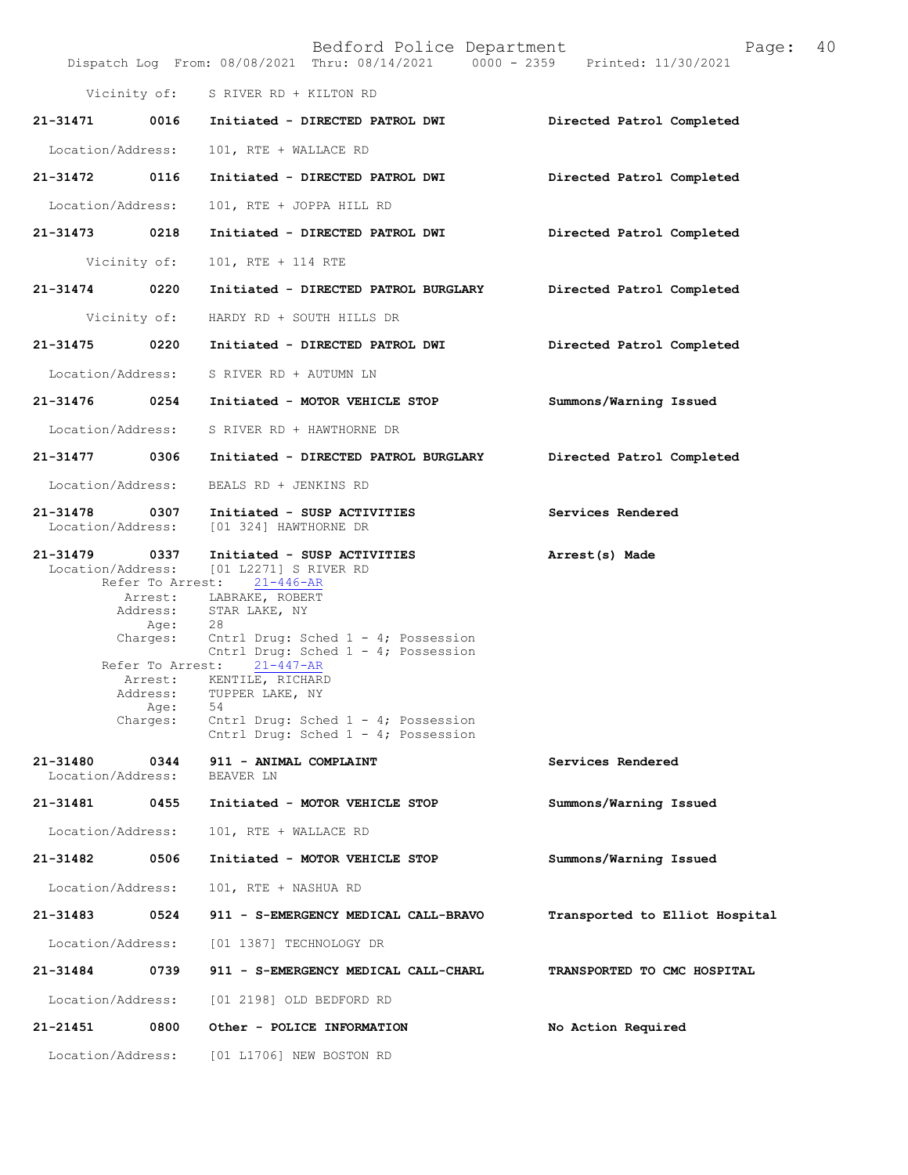|                               |                                                                                                 | Bedford Police Department<br>Dispatch Log From: 08/08/2021 Thru: 08/14/2021 0000 - 2359 Printed: 11/30/2021                                                                                                                                                                                                                                                                                    | 40<br>Page:                        |
|-------------------------------|-------------------------------------------------------------------------------------------------|------------------------------------------------------------------------------------------------------------------------------------------------------------------------------------------------------------------------------------------------------------------------------------------------------------------------------------------------------------------------------------------------|------------------------------------|
|                               |                                                                                                 | Vicinity of: S RIVER RD + KILTON RD                                                                                                                                                                                                                                                                                                                                                            |                                    |
| 21-31471                      |                                                                                                 | 0016 Initiated - DIRECTED PATROL DWI                                                                                                                                                                                                                                                                                                                                                           | Directed Patrol Completed          |
| Location/Address:             |                                                                                                 | 101, RTE + WALLACE RD                                                                                                                                                                                                                                                                                                                                                                          |                                    |
| 21-31472                      | 0116                                                                                            | Initiated - DIRECTED PATROL DWI                                                                                                                                                                                                                                                                                                                                                                | Directed Patrol Completed          |
| Location/Address:             |                                                                                                 | 101, RTE + JOPPA HILL RD                                                                                                                                                                                                                                                                                                                                                                       |                                    |
| 21-31473                      | 0218                                                                                            | Initiated - DIRECTED PATROL DWI                                                                                                                                                                                                                                                                                                                                                                | Directed Patrol Completed          |
| Vicinity of:                  |                                                                                                 | 101, RTE + 114 RTE                                                                                                                                                                                                                                                                                                                                                                             |                                    |
| 21-31474                      | 0220                                                                                            | Initiated - DIRECTED PATROL BURGLARY                                                                                                                                                                                                                                                                                                                                                           | Directed Patrol Completed          |
|                               |                                                                                                 | Vicinity of: HARDY RD + SOUTH HILLS DR                                                                                                                                                                                                                                                                                                                                                         |                                    |
| 21-31475                      | 0220                                                                                            | Initiated - DIRECTED PATROL DWI                                                                                                                                                                                                                                                                                                                                                                | Directed Patrol Completed          |
|                               |                                                                                                 | Location/Address: S RIVER RD + AUTUMN LN                                                                                                                                                                                                                                                                                                                                                       |                                    |
| 21-31476 0254                 |                                                                                                 | Initiated - MOTOR VEHICLE STOP                                                                                                                                                                                                                                                                                                                                                                 | Summons/Warning Issued             |
| Location/Address:             |                                                                                                 | S RIVER RD + HAWTHORNE DR                                                                                                                                                                                                                                                                                                                                                                      |                                    |
| 21-31477                      | 0306                                                                                            | Initiated - DIRECTED PATROL BURGLARY                                                                                                                                                                                                                                                                                                                                                           | Directed Patrol Completed          |
| Location/Address:             |                                                                                                 | BEALS RD + JENKINS RD                                                                                                                                                                                                                                                                                                                                                                          |                                    |
| 21-31478<br>Location/Address: | 0307                                                                                            | Initiated - SUSP ACTIVITIES<br>[01 324] HAWTHORNE DR                                                                                                                                                                                                                                                                                                                                           | Services Rendered                  |
| $21 - 31479$                  | 0337<br>Refer To Arrest:<br>Arrest:<br>Age:<br>Refer To Arrest:<br>Address:<br>Age:<br>Charges: | Initiated - SUSP ACTIVITIES<br>Location/Address: [01 L2271] S RIVER RD<br>21-446-AR<br>LABRAKE, ROBERT<br>Address: STAR LAKE, NY<br>- 28<br>Charges: Cntrl Drug: Sched $1 - 4$ ; Possession<br>Cntrl Drug: Sched $1 - 4$ ; Possession<br>$21 - 447 - AR$<br>Arrest: KENTILE, RICHARD<br>TUPPER LAKE, NY<br>54<br>Cntrl Drug: Sched $1 - 4$ ; Possession<br>Cntrl Drug: Sched 1 - 4; Possession | Arrest(s) Made                     |
| 21-31480<br>Location/Address: | 0344                                                                                            | 911 - ANIMAL COMPLAINT<br>BEAVER LN                                                                                                                                                                                                                                                                                                                                                            | Services Rendered                  |
| 21-31481                      | 0455                                                                                            | Initiated - MOTOR VEHICLE STOP                                                                                                                                                                                                                                                                                                                                                                 | Summons/Warning Issued             |
| Location/Address:             |                                                                                                 | 101, RTE + WALLACE RD                                                                                                                                                                                                                                                                                                                                                                          |                                    |
| 21-31482                      | 0506                                                                                            | Initiated - MOTOR VEHICLE STOP                                                                                                                                                                                                                                                                                                                                                                 | Summons/Warning Issued             |
| Location/Address:             |                                                                                                 | 101, RTE + NASHUA RD                                                                                                                                                                                                                                                                                                                                                                           |                                    |
| 21-31483                      | 0524                                                                                            | 911 - S-EMERGENCY MEDICAL CALL-BRAVO                                                                                                                                                                                                                                                                                                                                                           | Transported to Elliot Hospital     |
| Location/Address:             |                                                                                                 | [01 1387] TECHNOLOGY DR                                                                                                                                                                                                                                                                                                                                                                        |                                    |
| 21-31484                      | 0739                                                                                            | 911 - S-EMERGENCY MEDICAL CALL-CHARL                                                                                                                                                                                                                                                                                                                                                           | <b>TRANSPORTED TO CMC HOSPITAL</b> |
| Location/Address:             |                                                                                                 | [01 2198] OLD BEDFORD RD                                                                                                                                                                                                                                                                                                                                                                       |                                    |
| 21-21451                      | 0800                                                                                            | Other - POLICE INFORMATION                                                                                                                                                                                                                                                                                                                                                                     | No Action Required                 |
| Location/Address:             |                                                                                                 | [01 L1706] NEW BOSTON RD                                                                                                                                                                                                                                                                                                                                                                       |                                    |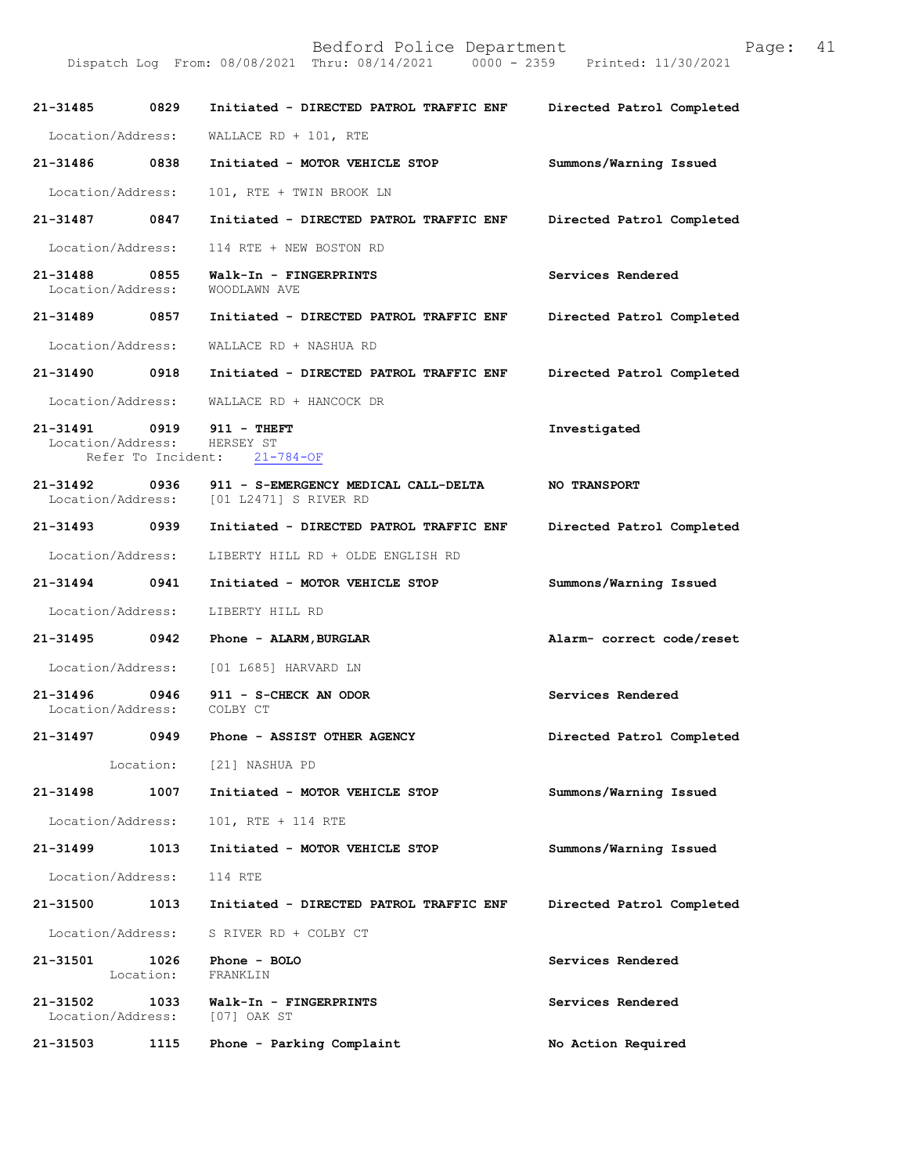Bedford Police Department<br>Thru: 08/14/2021 0000 - 2359 Printed: 11/30/2021 Dispatch Log From: 08/08/2021 Thru: 08/14/2021 21-31485 0829 Initiated - DIRECTED PATROL TRAFFIC ENF Directed Patrol Completed Location/Address: WALLACERD + 101, RTE 21-31486 0838 Initiated - MOTOR VEHICLE STOP Summons/Warning Issued Location/Address: 101, RTE + TWIN BROOK LN 21-31487 0847 Initiated - DIRECTED PATROL TRAFFIC ENF Directed Patrol Completed Location/Address: 114 RTE + NEW BOSTON RD 21-31488 0855 Walk-In - FINGERPRINTS Services Rendered Location/Address: WOODLAWN AVE Location/Address: 21-31489 0857 Initiated - DIRECTED PATROL TRAFFIC ENF Directed Patrol Completed Location/Address: WALLACE RD + NASHUA RD 21-31490 0918 Initiated - DIRECTED PATROL TRAFFIC ENF Directed Patrol Completed Location/Address: WALLACERD + HANCOCKDR 21-314910919 911-THEFT Investigated Location/Address: HERSEY ST<br>Refer To Incident: 21-784-OF Refer To Incident: 21-31492 0936 911 - S-EMERGENCY MEDICAL CALL-DELTA NO TRANSPORT<br>Location/Address: [01 L2471] S RIVER RD [01 L2471] S RIVER RD 21-31493 0939 Initiated - DIRECTED PATROL TRAFFIC ENF Directed Patrol Completed Location/Address: LIBERTY HILL RD + OLDE ENGLISH RD 21-31494 0941 Initiated - MOTOR VEHICLE STOP Summons/Warning Issued Location/Address: LIBERTY HILL RD 21-31495 0942 Phone - ALARM, BURGLAR Alarm-correctcode/reset Location/Address: [01 L685] HARVARD LN 21-31496 0946 911 - S-CHECKAN ODOR Services Rendered Location/Address: 21-31497 0949 Phone - ASSIST OTHER AGENCY Directed Patrol Completed Location: [21] NASHUA PD 21-31498 1007 Initiated - MOTOR VEHICLE STOP Summons/Warning Issued Location/Address: 101, RTE + 114 RTE 21-31499 1013 Initiated - MOTOR VEHICLE STOP Summons/Warning Issued Location/Address: 114 RTE 21-31500 1013 Initiated - DIRECTED PATROL TRAFFIC ENF Directed Patrol Completed Location/Address: S RIVER RD + COLBY CT 21-31501 1026 Phone - BOLO<br>
Location: FRANKLIN FRANKLIN 21-31502 1033 Walk-In - FINGERPRINTS Services Rendered Location/Address: [07] OAK ST Location/Address: 21-31503 1115 Phone - Parking Complaint No Action Required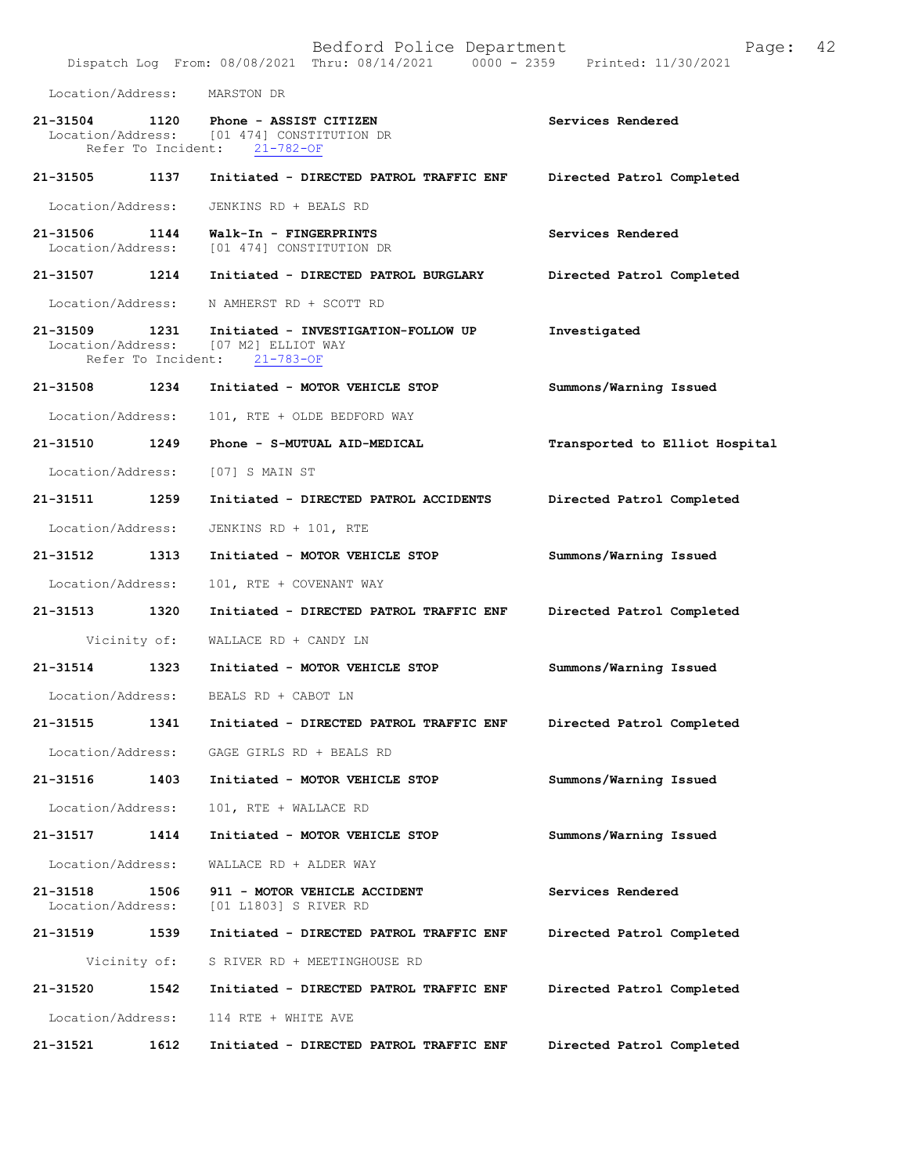|                               |              | Bedford Police Department<br>Dispatch Log From: 08/08/2021 Thru: 08/14/2021 0000 - 2359 Printed: 11/30/2021        | Page:                          | 42 |
|-------------------------------|--------------|--------------------------------------------------------------------------------------------------------------------|--------------------------------|----|
|                               |              | Location/Address: MARSTON DR                                                                                       |                                |    |
|                               |              | 21-31504 1120 Phone - ASSIST CITIZEN<br>Location/Address: [01 474] CONSTITUTION DR<br>Refer To Incident: 21-782-OF | Services Rendered              |    |
| 21-31505                      | 1137         | Initiated - DIRECTED PATROL TRAFFIC ENF                                                                            | Directed Patrol Completed      |    |
| Location/Address:             |              | JENKINS RD + BEALS RD                                                                                              |                                |    |
| 21-31506 1144                 |              | Walk-In - FINGERPRINTS<br>Location/Address: [01 474] CONSTITUTION DR                                               | Services Rendered              |    |
| 21-31507 1214                 |              | Initiated - DIRECTED PATROL BURGLARY                                                                               | Directed Patrol Completed      |    |
|                               |              | Location/Address: N AMHERST RD + SCOTT RD                                                                          |                                |    |
| 21-31509 1231                 |              | Initiated - INVESTIGATION-FOLLOW UP<br>Location/Address: [07 M2] ELLIOT WAY<br>Refer To Incident: 21-783-OF        | Investigated                   |    |
| 21-31508 1234                 |              | Initiated - MOTOR VEHICLE STOP                                                                                     | Summons/Warning Issued         |    |
| Location/Address:             |              | 101, RTE + OLDE BEDFORD WAY                                                                                        |                                |    |
| 21-31510                      | 1249         | Phone - S-MUTUAL AID-MEDICAL                                                                                       | Transported to Elliot Hospital |    |
| Location/Address:             |              | [07] S MAIN ST                                                                                                     |                                |    |
| 21-31511 1259                 |              | Initiated - DIRECTED PATROL ACCIDENTS                                                                              | Directed Patrol Completed      |    |
| Location/Address:             |              | JENKINS RD + 101, RTE                                                                                              |                                |    |
| 21-31512 1313                 |              | Initiated - MOTOR VEHICLE STOP                                                                                     | Summons/Warning Issued         |    |
| Location/Address:             |              | 101, RTE + COVENANT WAY                                                                                            |                                |    |
| 21-31513 1320                 |              | Initiated - DIRECTED PATROL TRAFFIC ENF                                                                            | Directed Patrol Completed      |    |
|                               |              | Vicinity of: WALLACE RD + CANDY LN                                                                                 |                                |    |
| 21-31514 1323                 |              | Initiated - MOTOR VEHICLE STOP                                                                                     | Summons/Warning Issued         |    |
| Location/Address:             |              | BEALS RD + CABOT LN                                                                                                |                                |    |
| 21-31515                      | 1341         | Initiated - DIRECTED PATROL TRAFFIC ENF                                                                            | Directed Patrol Completed      |    |
| Location/Address:             |              | GAGE GIRLS RD + BEALS RD                                                                                           |                                |    |
| 21-31516                      | 1403         | Initiated - MOTOR VEHICLE STOP                                                                                     | Summons/Warning Issued         |    |
| Location/Address:             |              | 101, RTE + WALLACE RD                                                                                              |                                |    |
| 21-31517                      | 1414         | Initiated - MOTOR VEHICLE STOP                                                                                     | Summons/Warning Issued         |    |
| Location/Address:             |              | WALLACE RD + ALDER WAY                                                                                             |                                |    |
| 21-31518<br>Location/Address: | 1506         | 911 - MOTOR VEHICLE ACCIDENT<br>[01 L1803] S RIVER RD                                                              | Services Rendered              |    |
| 21-31519                      | 1539         | Initiated - DIRECTED PATROL TRAFFIC ENF                                                                            | Directed Patrol Completed      |    |
|                               | Vicinity of: | S RIVER RD + MEETINGHOUSE RD                                                                                       |                                |    |
| 21-31520                      | 1542         | Initiated - DIRECTED PATROL TRAFFIC ENF                                                                            | Directed Patrol Completed      |    |
| Location/Address:             |              | 114 RTE + WHITE AVE                                                                                                |                                |    |
| 21-31521                      | 1612         | Initiated - DIRECTED PATROL TRAFFIC ENF                                                                            | Directed Patrol Completed      |    |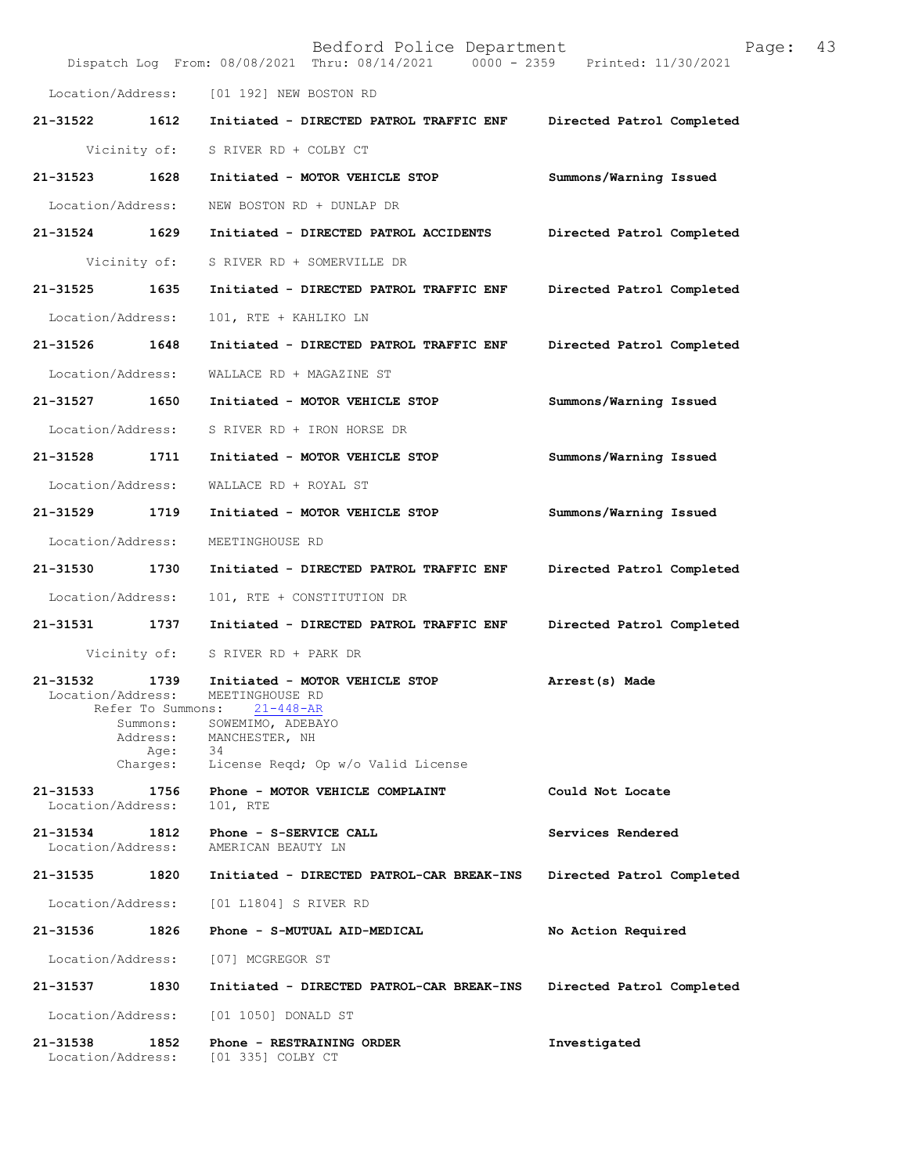|                               |                                                                       | Bedford Police Department<br>Dispatch Log From: 08/08/2021 Thru: 08/14/2021 0000 - 2359 Printed: 11/30/2021                                             | 43<br>Page:               |
|-------------------------------|-----------------------------------------------------------------------|---------------------------------------------------------------------------------------------------------------------------------------------------------|---------------------------|
|                               |                                                                       | Location/Address: [01 192] NEW BOSTON RD                                                                                                                |                           |
| 21-31522                      | 1612                                                                  | Initiated - DIRECTED PATROL TRAFFIC ENF                                                                                                                 | Directed Patrol Completed |
| Vicinity of:                  |                                                                       | S RIVER RD + COLBY CT                                                                                                                                   |                           |
| 21-31523                      | 1628                                                                  | Initiated - MOTOR VEHICLE STOP                                                                                                                          | Summons/Warning Issued    |
| Location/Address:             |                                                                       | NEW BOSTON RD + DUNLAP DR                                                                                                                               |                           |
| 21-31524                      | 1629                                                                  | Initiated - DIRECTED PATROL ACCIDENTS                                                                                                                   | Directed Patrol Completed |
| Vicinity of:                  |                                                                       | S RIVER RD + SOMERVILLE DR                                                                                                                              |                           |
| 21-31525                      | 1635                                                                  | Initiated - DIRECTED PATROL TRAFFIC ENF                                                                                                                 | Directed Patrol Completed |
| Location/Address:             |                                                                       | 101, RTE + KAHLIKO LN                                                                                                                                   |                           |
| 21-31526 1648                 |                                                                       | Initiated - DIRECTED PATROL TRAFFIC ENF                                                                                                                 | Directed Patrol Completed |
| Location/Address:             |                                                                       | WALLACE RD + MAGAZINE ST                                                                                                                                |                           |
| 21-31527                      | 1650                                                                  | Initiated - MOTOR VEHICLE STOP                                                                                                                          | Summons/Warning Issued    |
| Location/Address:             |                                                                       | S RIVER RD + IRON HORSE DR                                                                                                                              |                           |
| 21-31528                      | 1711                                                                  | Initiated - MOTOR VEHICLE STOP                                                                                                                          | Summons/Warning Issued    |
| Location/Address:             |                                                                       | WALLACE RD + ROYAL ST                                                                                                                                   |                           |
| 21-31529                      | 1719                                                                  | Initiated - MOTOR VEHICLE STOP                                                                                                                          | Summons/Warning Issued    |
| Location/Address:             |                                                                       | MEETINGHOUSE RD                                                                                                                                         |                           |
| 21-31530                      | 1730                                                                  | Initiated - DIRECTED PATROL TRAFFIC ENF                                                                                                                 | Directed Patrol Completed |
| Location/Address:             |                                                                       | 101, RTE + CONSTITUTION DR                                                                                                                              |                           |
| 21-31531                      | 1737                                                                  | Initiated - DIRECTED PATROL TRAFFIC ENF                                                                                                                 | Directed Patrol Completed |
| Vicinity of:                  |                                                                       | S RIVER RD + PARK DR                                                                                                                                    |                           |
| 21-31532<br>Location/Address: | 1739<br>Refer To Summons:<br>Summons:<br>Address:<br>Age:<br>Charges: | Initiated - MOTOR VEHICLE STOP<br>MEETINGHOUSE RD<br>$21 - 448 - AR$<br>SOWEMIMO, ADEBAYO<br>MANCHESTER, NH<br>34<br>License Regd; Op w/o Valid License | Arrest(s) Made            |
| 21-31533<br>Location/Address: | 1756                                                                  | Phone - MOTOR VEHICLE COMPLAINT<br>101, RTE                                                                                                             | Could Not Locate          |
| 21-31534<br>Location/Address: | 1812                                                                  | Phone - S-SERVICE CALL<br>AMERICAN BEAUTY LN                                                                                                            | Services Rendered         |
| 21-31535                      | 1820                                                                  | Initiated - DIRECTED PATROL-CAR BREAK-INS                                                                                                               | Directed Patrol Completed |
| Location/Address:             |                                                                       | [01 L1804] S RIVER RD                                                                                                                                   |                           |
| 21-31536                      | 1826                                                                  | Phone - S-MUTUAL AID-MEDICAL                                                                                                                            | No Action Required        |
| Location/Address:             |                                                                       | [07] MCGREGOR ST                                                                                                                                        |                           |
| 21-31537                      | 1830                                                                  | Initiated - DIRECTED PATROL-CAR BREAK-INS                                                                                                               | Directed Patrol Completed |
| Location/Address:             |                                                                       | [01 1050] DONALD ST                                                                                                                                     |                           |
| 21-31538<br>Location/Address: | 1852                                                                  | Phone - RESTRAINING ORDER<br>[01 335] COLBY CT                                                                                                          | Investigated              |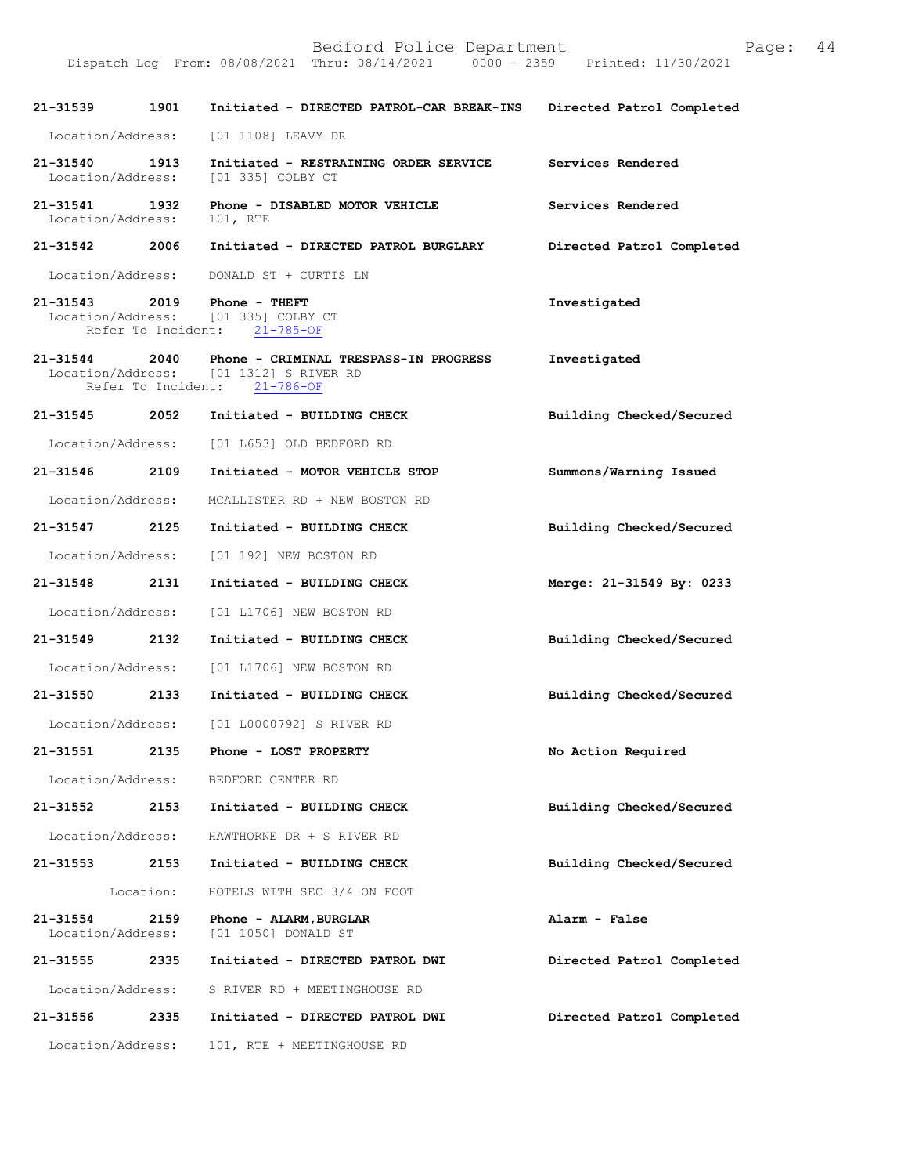|                                                          |           |                                                                                               | Printed: 11/30/2021       |  |
|----------------------------------------------------------|-----------|-----------------------------------------------------------------------------------------------|---------------------------|--|
| 21-31539                                                 | 1901      | Initiated - DIRECTED PATROL-CAR BREAK-INS                                                     | Directed Patrol Completed |  |
| Location/Address:                                        |           | [01 1108] LEAVY DR                                                                            |                           |  |
| 21-31540<br>Location/Address:                            | 1913      | Initiated - RESTRAINING ORDER SERVICE<br>[01 335] COLBY CT                                    | Services Rendered         |  |
| 21-31541<br>Location/Address:                            | 1932      | Phone - DISABLED MOTOR VEHICLE<br>101, RTE                                                    | Services Rendered         |  |
| 21-31542                                                 | 2006      | Initiated - DIRECTED PATROL BURGLARY                                                          | Directed Patrol Completed |  |
| Location/Address:                                        |           | DONALD ST + CURTIS LN                                                                         |                           |  |
| 21-31543 2019<br>Location/Address:<br>Refer To Incident: |           | Phone - THEFT<br>[01 335] COLBY CT<br>$21 - 785 - OF$                                         | Investigated              |  |
| $21 - 31544$<br>Location/Address:                        | 2040      | Phone - CRIMINAL TRESPASS-IN PROGRESS<br>[01 1312] S RIVER RD<br>Refer To Incident: 21-786-OF | Investigated              |  |
| 21-31545                                                 | 2052      | Initiated - BUILDING CHECK                                                                    | Building Checked/Secured  |  |
| Location/Address:                                        |           | [01 L653] OLD BEDFORD RD                                                                      |                           |  |
| 21-31546                                                 | 2109      | Initiated - MOTOR VEHICLE STOP                                                                | Summons/Warning Issued    |  |
| Location/Address:                                        |           | MCALLISTER RD + NEW BOSTON RD                                                                 |                           |  |
| 21-31547<br>2125                                         |           | Initiated - BUILDING CHECK                                                                    | Building Checked/Secured  |  |
| Location/Address:                                        |           | [01 192] NEW BOSTON RD                                                                        |                           |  |
| 21-31548<br>2131                                         |           | Initiated - BUILDING CHECK                                                                    | Merge: 21-31549 By: 0233  |  |
| Location/Address:                                        |           | [01 L1706] NEW BOSTON RD                                                                      |                           |  |
| 21-31549                                                 | 2132      | Initiated - BUILDING CHECK                                                                    | Building Checked/Secured  |  |
| Location/Address:                                        |           | [01 L1706] NEW BOSTON RD                                                                      |                           |  |
| 21-31550                                                 | 2133      | Initiated - BUILDING CHECK                                                                    | Building Checked/Secured  |  |
| Location/Address:                                        |           | [01 L0000792] S RIVER RD                                                                      |                           |  |
| 2135<br>21-31551                                         |           | Phone - LOST PROPERTY                                                                         | No Action Required        |  |
| Location/Address:                                        |           | BEDFORD CENTER RD                                                                             |                           |  |
| 21-31552                                                 | 2153      | Initiated - BUILDING CHECK                                                                    | Building Checked/Secured  |  |
| Location/Address:                                        |           | HAWTHORNE DR + S RIVER RD                                                                     |                           |  |
| 21-31553                                                 | 2153      | Initiated - BUILDING CHECK                                                                    | Building Checked/Secured  |  |
|                                                          | Location: | HOTELS WITH SEC 3/4 ON FOOT                                                                   |                           |  |
| 21-31554<br>Location/Address:                            | 2159      | Phone - ALARM, BURGLAR<br>[01 1050] DONALD ST                                                 | Alarm - False             |  |
| 21-31555                                                 | 2335      | Initiated - DIRECTED PATROL DWI                                                               | Directed Patrol Completed |  |
| Location/Address:                                        |           | S RIVER RD + MEETINGHOUSE RD                                                                  |                           |  |
| 21-31556                                                 | 2335      | Initiated - DIRECTED PATROL DWI                                                               | Directed Patrol Completed |  |
| Location/Address:                                        |           | 101, RTE + MEETINGHOUSE RD                                                                    |                           |  |